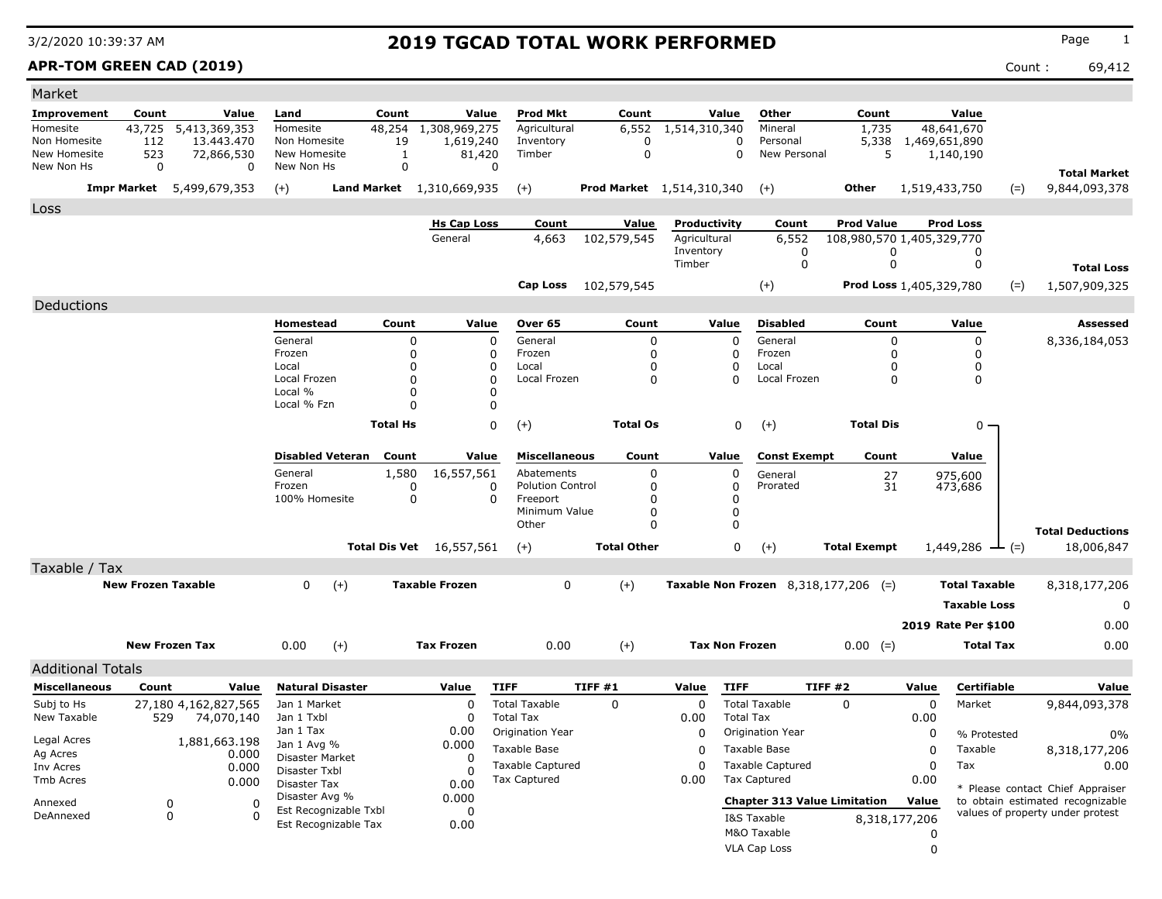### **APR-TOM GREEN CAD (2019)** Count : 69,412

| Market                        |                           |                                  |                                |                         |                    |                                 |                                           |                                  |                           |                            |                                        |                                |               |                            |       |                                                                      |
|-------------------------------|---------------------------|----------------------------------|--------------------------------|-------------------------|--------------------|---------------------------------|-------------------------------------------|----------------------------------|---------------------------|----------------------------|----------------------------------------|--------------------------------|---------------|----------------------------|-------|----------------------------------------------------------------------|
| Improvement                   | Count                     | Value                            | Land                           | Count                   |                    | Value                           | <b>Prod Mkt</b>                           | Count                            |                           | Value                      | Other                                  | Count                          |               | Value                      |       |                                                                      |
| Homesite                      | 43,725                    | 5,413,369,353                    | Homesite                       | 48,254                  |                    | 1,308,969,275                   | Agricultural                              | 6,552                            | 1,514,310,340             |                            | Mineral                                | 1,735                          |               | 48,641,670                 |       |                                                                      |
| Non Homesite<br>New Homesite  | 112<br>523                | 13.443.470<br>72,866,530         | Non Homesite<br>New Homesite   |                         | 19<br>$\mathbf{1}$ | 1,619,240<br>81,420             | Inventory<br>Timber                       | 0<br>$\mathbf 0$                 |                           | $\mathbf 0$<br>$\mathbf 0$ | Personal<br>New Personal               | 5,338<br>5                     | 1,469,651,890 | 1,140,190                  |       |                                                                      |
| New Non Hs                    | $\mathbf 0$               | 0                                | New Non Hs                     |                         | $\mathbf 0$        |                                 | $\mathbf 0$                               |                                  |                           |                            |                                        |                                |               |                            |       |                                                                      |
|                               |                           |                                  |                                |                         |                    |                                 |                                           |                                  |                           |                            |                                        |                                |               |                            |       | <b>Total Market</b>                                                  |
|                               |                           | <b>Impr Market</b> 5,499,679,353 | $(+)$                          |                         |                    | Land Market 1,310,669,935       | $(+)$                                     | <b>Prod Market</b> 1,514,310,340 |                           |                            | $(+)$                                  | Other                          | 1,519,433,750 |                            | $(=)$ | 9,844,093,378                                                        |
| Loss                          |                           |                                  |                                |                         |                    |                                 |                                           |                                  |                           |                            |                                        |                                |               |                            |       |                                                                      |
|                               |                           |                                  |                                |                         |                    | <b>Hs Cap Loss</b>              | Count                                     | Value                            | Productivity              |                            | Count                                  | <b>Prod Value</b>              |               | <b>Prod Loss</b>           |       |                                                                      |
|                               |                           |                                  |                                |                         |                    | General                         | 4,663                                     | 102,579,545                      | Agricultural<br>Inventory |                            | 6,552<br>0                             | 108,980,570 1,405,329,770<br>0 |               | 0                          |       |                                                                      |
|                               |                           |                                  |                                |                         |                    |                                 |                                           |                                  | Timber                    |                            | $\mathbf 0$                            | $\mathbf 0$                    |               | 0                          |       | <b>Total Loss</b>                                                    |
|                               |                           |                                  |                                |                         |                    |                                 |                                           |                                  |                           |                            |                                        |                                |               |                            |       |                                                                      |
|                               |                           |                                  |                                |                         |                    |                                 | Cap Loss                                  | 102,579,545                      |                           |                            | $(+)$                                  | Prod Loss 1,405,329,780        |               |                            | $(=)$ | 1,507,909,325                                                        |
| Deductions                    |                           |                                  |                                |                         |                    |                                 |                                           |                                  |                           |                            |                                        |                                |               |                            |       |                                                                      |
|                               |                           |                                  | Homestead                      |                         | Count              | Value                           | Over 65                                   | Count                            |                           | Value                      | <b>Disabled</b>                        | Count                          |               | Value                      |       | Assessed                                                             |
|                               |                           |                                  | General<br>Frozen              |                         | $\mathbf 0$<br>0   |                                 | $\Omega$<br>General<br>$\Omega$<br>Frozen | 0<br>0                           |                           | $\Omega$<br>$\Omega$       | General<br>Frozen                      | 0<br>0                         |               | $\mathbf 0$<br>0           |       | 8,336,184,053                                                        |
|                               |                           |                                  | Local                          |                         | $\Omega$           |                                 | $\Omega$<br>Local                         | 0                                |                           | $\Omega$                   | Local                                  | 0                              |               | 0                          |       |                                                                      |
|                               |                           |                                  | Local Frozen                   |                         | $\Omega$           |                                 | $\Omega$<br>Local Frozen                  | $\Omega$                         |                           | n                          | Local Frozen                           | 0                              |               | $\mathbf 0$                |       |                                                                      |
|                               |                           |                                  | Local %                        |                         | 0                  |                                 | $\Omega$                                  |                                  |                           |                            |                                        |                                |               |                            |       |                                                                      |
|                               |                           |                                  | Local % Fzn                    |                         | $\Omega$           |                                 | $\mathbf 0$                               |                                  |                           |                            |                                        |                                |               |                            |       |                                                                      |
|                               |                           |                                  |                                | <b>Total Hs</b>         |                    |                                 | $\Omega$<br>$(+)$                         | <b>Total Os</b>                  |                           | 0                          | $(+)$                                  | <b>Total Dis</b>               |               | $0 \cdot$                  |       |                                                                      |
|                               |                           |                                  |                                | <b>Disabled Veteran</b> | Count              | Value                           | <b>Miscellaneous</b>                      | Count                            |                           | Value                      | <b>Const Exempt</b>                    | Count                          |               | Value                      |       |                                                                      |
|                               |                           |                                  | General                        |                         | 1,580              | 16,557,561                      | Abatements                                | 0                                |                           | 0                          | General                                |                                |               | 975,600                    |       |                                                                      |
|                               |                           |                                  | Frozen                         |                         | 0                  |                                 | <b>Polution Control</b><br>0              | 0                                |                           | $\Omega$                   | Prorated                               | $\frac{27}{31}$                |               | 473,686                    |       |                                                                      |
|                               |                           |                                  | 100% Homesite                  |                         | 0                  |                                 | $\Omega$<br>Freeport<br>Minimum Value     | $\Omega$<br>O                    |                           | $\Omega$<br>$\Omega$       |                                        |                                |               |                            |       |                                                                      |
|                               |                           |                                  |                                |                         |                    |                                 | Other                                     | 0                                |                           | $\Omega$                   |                                        |                                |               |                            |       |                                                                      |
|                               |                           |                                  |                                |                         |                    |                                 |                                           |                                  |                           |                            |                                        |                                |               |                            |       | <b>Total Deductions</b>                                              |
|                               |                           |                                  |                                |                         |                    | <b>Total Dis Vet</b> 16,557,561 | $(+)$                                     | <b>Total Other</b>               |                           | $\mathbf 0$                | $(+)$                                  | <b>Total Exempt</b>            |               | $1,449,286 \leftarrow (=)$ |       | 18,006,847                                                           |
| Taxable / Tax                 |                           |                                  |                                |                         |                    |                                 |                                           |                                  |                           |                            |                                        |                                |               |                            |       |                                                                      |
|                               | <b>New Frozen Taxable</b> |                                  | $\Omega$                       | $(+)$                   |                    | <b>Taxable Frozen</b>           | $\mathbf{0}$                              | $(+)$                            |                           |                            | Taxable Non Frozen $8,318,177,206$ (=) |                                |               | <b>Total Taxable</b>       |       | 8,318,177,206                                                        |
|                               |                           |                                  |                                |                         |                    |                                 |                                           |                                  |                           |                            |                                        |                                |               | <b>Taxable Loss</b>        |       | 0                                                                    |
|                               |                           |                                  |                                |                         |                    |                                 |                                           |                                  |                           |                            |                                        |                                |               | 2019 Rate Per \$100        |       | 0.00                                                                 |
|                               |                           | <b>New Frozen Tax</b>            | 0.00                           | $(+)$                   |                    | <b>Tax Frozen</b>               | 0.00                                      | $(+)$                            |                           | <b>Tax Non Frozen</b>      |                                        | $0.00 (=)$                     |               | <b>Total Tax</b>           |       | 0.00                                                                 |
|                               |                           |                                  |                                |                         |                    |                                 |                                           |                                  |                           |                            |                                        |                                |               |                            |       |                                                                      |
| <b>Additional Totals</b>      |                           |                                  |                                |                         |                    |                                 |                                           |                                  |                           |                            |                                        |                                |               |                            |       |                                                                      |
| <b>Miscellaneous</b>          | Count                     | Value                            | <b>Natural Disaster</b>        |                         |                    | Value                           | <b>TIFF</b>                               | TIFF#1                           | Value                     | <b>TIFF</b>                | TIFF#2                                 |                                | Value         | Certifiable                |       | Value                                                                |
| Subj to Hs<br>New Taxable     |                           | 27,180 4,162,827,565             | Jan 1 Market<br>Jan 1 Txbl     |                         |                    | $\mathbf 0$<br>$\Omega$         | <b>Total Taxable</b><br><b>Total Tax</b>  | $\Omega$                         | $\mathbf 0$               | <b>Total Tax</b>           | <b>Total Taxable</b>                   | $\Omega$                       | $\mathbf 0$   | Market                     |       | 9,844,093,378                                                        |
|                               | 529                       | 74,070,140                       | Jan 1 Tax                      |                         |                    | 0.00                            | Origination Year                          |                                  | 0.00<br>0                 |                            | Origination Year                       |                                | 0.00<br>0     |                            |       |                                                                      |
| Legal Acres                   |                           | 1,881,663.198                    | Jan 1 Avg %                    |                         |                    | 0.000                           | Taxable Base                              |                                  | $\Omega$                  |                            | Taxable Base                           |                                | $\mathbf 0$   | % Protested<br>Taxable     |       | 0%                                                                   |
| Ag Acres                      |                           | 0.000                            | Disaster Market                |                         |                    | 0                               | <b>Taxable Captured</b>                   |                                  | $\Omega$                  |                            | <b>Taxable Captured</b>                |                                | $\mathbf 0$   | Tax                        |       | 8,318,177,206                                                        |
| Inv Acres<br><b>Tmb Acres</b> |                           | 0.000<br>0.000                   | Disaster Txbl                  |                         |                    | $\Omega$                        | <b>Tax Captured</b>                       |                                  | 0.00                      |                            | Tax Captured                           |                                | 0.00          |                            |       | 0.00                                                                 |
|                               |                           |                                  | Disaster Tax<br>Disaster Avg % |                         |                    | 0.00<br>0.000                   |                                           |                                  |                           |                            |                                        |                                |               |                            |       | * Please contact Chief Appraiser                                     |
| Annexed                       |                           | 0<br>$\sqrt{ }$                  |                                | Est Recognizable Txbl   |                    | $\mathbf 0$                     |                                           |                                  |                           |                            | <b>Chapter 313 Value Limitation</b>    |                                | Value         |                            |       | to obtain estimated recognizable<br>values of property under protest |
| DeAnnexed                     |                           | $\mathbf 0$<br>$\Omega$          |                                | Est Recognizable Tax    |                    | 0.00                            |                                           |                                  |                           |                            | I&S Taxable                            |                                | 8,318,177,206 |                            |       |                                                                      |
|                               |                           |                                  |                                |                         |                    |                                 |                                           |                                  |                           |                            | M&O Taxable                            |                                | 0             |                            |       |                                                                      |
|                               |                           |                                  |                                |                         |                    |                                 |                                           |                                  |                           |                            | <b>VLA Cap Loss</b>                    |                                | $\Omega$      |                            |       |                                                                      |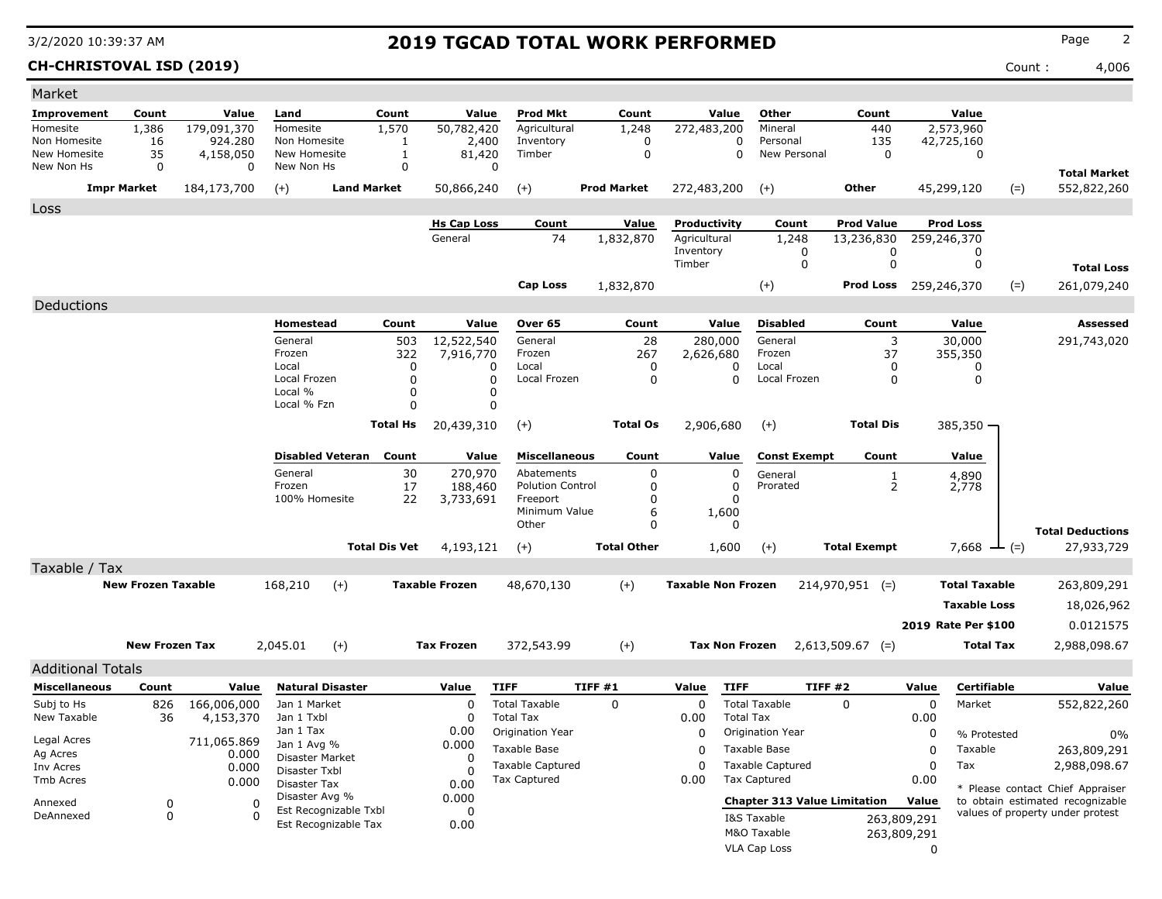**CH-CHRISTOVAL ISD (2019)** Count : 4,006

| Market                   |                           |             |                                |                         |                      |                       |                               |         |                    |                           |                  |                                     |                     |             |                      |         |                                  |
|--------------------------|---------------------------|-------------|--------------------------------|-------------------------|----------------------|-----------------------|-------------------------------|---------|--------------------|---------------------------|------------------|-------------------------------------|---------------------|-------------|----------------------|---------|----------------------------------|
| Improvement              | Count                     | Value       | Land                           |                         | Count                | Value                 | <b>Prod Mkt</b>               |         | Count              |                           | Value            | Other                               | Count               |             | Value                |         |                                  |
| Homesite                 | 1,386                     | 179,091,370 | Homesite                       |                         | 1,570                | 50,782,420            | Agricultural                  |         | 1,248              | 272,483,200               |                  | Mineral                             | 440                 |             | 2,573,960            |         |                                  |
| Non Homesite             | 16                        | 924.280     | Non Homesite                   |                         | 1                    | 2,400                 | Inventory                     |         | 0                  |                           | $\Omega$         | Personal                            | 135                 |             | 42,725,160           |         |                                  |
| New Homesite             | 35                        | 4,158,050   | New Homesite                   |                         | 1                    | 81,420                | Timber<br>$\Omega$            |         | 0                  |                           | 0                | New Personal                        | $\mathbf 0$         |             | 0                    |         |                                  |
| New Non Hs               | 0                         | 0           | New Non Hs                     |                         | $\mathbf 0$          |                       |                               |         |                    |                           |                  |                                     |                     |             |                      |         | <b>Total Market</b>              |
|                          | <b>Impr Market</b>        | 184,173,700 | $(+)$                          | <b>Land Market</b>      |                      | 50,866,240            | $(+)$                         |         | <b>Prod Market</b> | 272,483,200               |                  | $(+)$                               | Other               |             | 45,299,120           | $(=)$   | 552,822,260                      |
| Loss                     |                           |             |                                |                         |                      |                       |                               |         |                    |                           |                  |                                     |                     |             |                      |         |                                  |
|                          |                           |             |                                |                         |                      | <b>Hs Cap Loss</b>    | Count                         |         | Value              | Productivity              |                  | Count                               | <b>Prod Value</b>   |             | <b>Prod Loss</b>     |         |                                  |
|                          |                           |             |                                |                         |                      | General               | 74                            |         | 1,832,870          | Agricultural              |                  | 1,248                               | 13,236,830          |             | 259,246,370          |         |                                  |
|                          |                           |             |                                |                         |                      |                       |                               |         |                    | Inventory                 |                  | 0                                   | 0                   |             | 0                    |         |                                  |
|                          |                           |             |                                |                         |                      |                       |                               |         |                    | Timber                    |                  | 0                                   | 0                   |             | 0                    |         | <b>Total Loss</b>                |
|                          |                           |             |                                |                         |                      |                       | <b>Cap Loss</b>               |         | 1,832,870          |                           |                  | $(+)$                               | Prod Loss           |             | 259,246,370          | $(=)$   | 261,079,240                      |
| Deductions               |                           |             |                                |                         |                      |                       |                               |         |                    |                           |                  |                                     |                     |             |                      |         |                                  |
|                          |                           |             | Homestead                      |                         | Count                | Value                 | Over 65                       |         | Count              |                           | Value            | <b>Disabled</b>                     | Count               |             | Value                |         | Assessed                         |
|                          |                           |             | General                        |                         | 503                  | 12,522,540            | General                       |         | 28                 | 280,000                   |                  | General                             | 3                   |             | 30,000               |         | 291,743,020                      |
|                          |                           |             | Frozen                         |                         | 322                  | 7,916,770             | Frozen                        |         | 267                | 2,626,680                 |                  | Frozen                              | 37                  |             | 355,350              |         |                                  |
|                          |                           |             | Local                          |                         | 0                    |                       | Local<br>0                    |         | 0                  |                           | 0                | Local                               | 0                   |             | 0                    |         |                                  |
|                          |                           |             | Local Frozen<br>Local %        |                         | $\Omega$<br>$\Omega$ |                       | $\Omega$<br>Local Frozen<br>0 |         | $\mathbf 0$        |                           | $\Omega$         | Local Frozen                        | 0                   |             | 0                    |         |                                  |
|                          |                           |             | Local % Fzn                    |                         | $\Omega$             |                       | 0                             |         |                    |                           |                  |                                     |                     |             |                      |         |                                  |
|                          |                           |             |                                |                         |                      |                       |                               |         | <b>Total Os</b>    |                           |                  |                                     | <b>Total Dis</b>    |             |                      |         |                                  |
|                          |                           |             |                                |                         | <b>Total Hs</b>      | 20,439,310            | $(+)$                         |         |                    | 2,906,680                 |                  | $(+)$                               |                     |             | $385,350 -$          |         |                                  |
|                          |                           |             |                                | <b>Disabled Veteran</b> | Count                | Value                 | <b>Miscellaneous</b>          |         | Count              | Value                     |                  | <b>Const Exempt</b>                 | Count               |             | Value                |         |                                  |
|                          |                           |             | General                        |                         | 30                   | 270,970               | Abatements                    |         | 0                  |                           | 0                | General                             | 1                   |             | 4,890                |         |                                  |
|                          |                           |             | Frozen                         |                         | 17                   | 188,460               | <b>Polution Control</b>       |         | 0                  |                           | 0                | Prorated                            | $\overline{2}$      |             | 2,778                |         |                                  |
|                          |                           |             | 100% Homesite                  |                         | 22                   | 3,733,691             | Freeport                      |         | 0                  |                           | 0                |                                     |                     |             |                      |         |                                  |
|                          |                           |             |                                |                         |                      |                       | Minimum Value<br>Other        |         | 6<br>0             | 1,600                     | 0                |                                     |                     |             |                      |         |                                  |
|                          |                           |             |                                |                         |                      |                       |                               |         |                    |                           |                  |                                     |                     |             |                      |         | <b>Total Deductions</b>          |
|                          |                           |             |                                |                         | <b>Total Dis Vet</b> | 4,193,121             | $(+)$                         |         | <b>Total Other</b> | 1,600                     |                  | $(+)$                               | <b>Total Exempt</b> |             | 7,668                | $-$ (=) | 27,933,729                       |
| Taxable / Tax            |                           |             |                                |                         |                      |                       |                               |         |                    |                           |                  |                                     |                     |             |                      |         |                                  |
|                          | <b>New Frozen Taxable</b> |             | 168,210                        | $(+)$                   |                      | <b>Taxable Frozen</b> | 48,670,130                    |         | $(+)$              | <b>Taxable Non Frozen</b> |                  |                                     | $214,970,951$ (=)   |             | <b>Total Taxable</b> |         | 263,809,291                      |
|                          |                           |             |                                |                         |                      |                       |                               |         |                    |                           |                  |                                     |                     |             | <b>Taxable Loss</b>  |         | 18,026,962                       |
|                          |                           |             |                                |                         |                      |                       |                               |         |                    |                           |                  |                                     |                     |             | 2019 Rate Per \$100  |         | 0.0121575                        |
|                          |                           |             |                                |                         |                      |                       |                               |         |                    |                           |                  |                                     |                     |             |                      |         |                                  |
|                          | <b>New Frozen Tax</b>     |             | 2,045.01                       | $(+)$                   |                      | <b>Tax Frozen</b>     | 372,543.99                    |         | $(+)$              | <b>Tax Non Frozen</b>     |                  |                                     | $2,613,509.67$ (=)  |             | Total Tax            |         | 2,988,098.67                     |
| <b>Additional Totals</b> |                           |             |                                |                         |                      |                       |                               |         |                    |                           |                  |                                     |                     |             |                      |         |                                  |
| <b>Miscellaneous</b>     | Count                     | Value       |                                | <b>Natural Disaster</b> |                      | Value                 | <b>TIFF</b>                   | TIFF #1 |                    | Value                     | <b>TIFF</b>      |                                     | TIFF#2              | Value       | Certifiable          |         | Value                            |
| Subj to Hs               | 826                       | 166,006,000 | Jan 1 Market                   |                         |                      | 0                     | <b>Total Taxable</b>          |         | $\Omega$           | 0                         |                  | <b>Total Taxable</b>                | $\mathbf{0}$        | 0           | Market               |         | 552,822,260                      |
| New Taxable              | 36                        | 4,153,370   | Jan 1 Txbl                     |                         |                      | 0                     | <b>Total Tax</b>              |         |                    | 0.00                      | <b>Total Tax</b> |                                     |                     | 0.00        |                      |         |                                  |
| Legal Acres              |                           | 711,065.869 | Jan 1 Tax                      |                         |                      | 0.00                  | Origination Year              |         |                    | 0                         |                  | <b>Origination Year</b>             |                     | 0           | % Protested          |         | 0%                               |
| Ag Acres                 |                           | 0.000       | Jan 1 Avg %<br>Disaster Market |                         |                      | 0.000                 | Taxable Base                  |         |                    | 0                         |                  | Taxable Base                        |                     | 0           | Taxable              |         | 263,809,291                      |
| Inv Acres                |                           | 0.000       | Disaster Txbl                  |                         |                      | 0<br><sup>0</sup>     | <b>Taxable Captured</b>       |         |                    | 0                         |                  | <b>Taxable Captured</b>             |                     | 0           | Tax                  |         | 2,988,098.67                     |
| Tmb Acres                |                           | 0.000       | Disaster Tax                   |                         |                      | 0.00                  | Tax Captured                  |         |                    | 0.00                      |                  | <b>Tax Captured</b>                 |                     | 0.00        |                      |         | * Please contact Chief Appraiser |
| Annexed                  | 0                         |             | Disaster Avg %<br>0            |                         |                      | 0.000                 |                               |         |                    |                           |                  | <b>Chapter 313 Value Limitation</b> |                     | Value       |                      |         | to obtain estimated recognizable |
| DeAnnexed                | 0                         |             | $\Omega$                       | Est Recognizable Txbl   |                      | 0                     |                               |         |                    |                           |                  | I&S Taxable                         |                     | 263,809,291 |                      |         | values of property under protest |
|                          |                           |             |                                | Est Recognizable Tax    |                      | 0.00                  |                               |         |                    |                           |                  | M&O Taxable                         |                     | 263,809,291 |                      |         |                                  |
|                          |                           |             |                                |                         |                      |                       |                               |         |                    |                           |                  | VLA Cap Loss                        |                     | 0           |                      |         |                                  |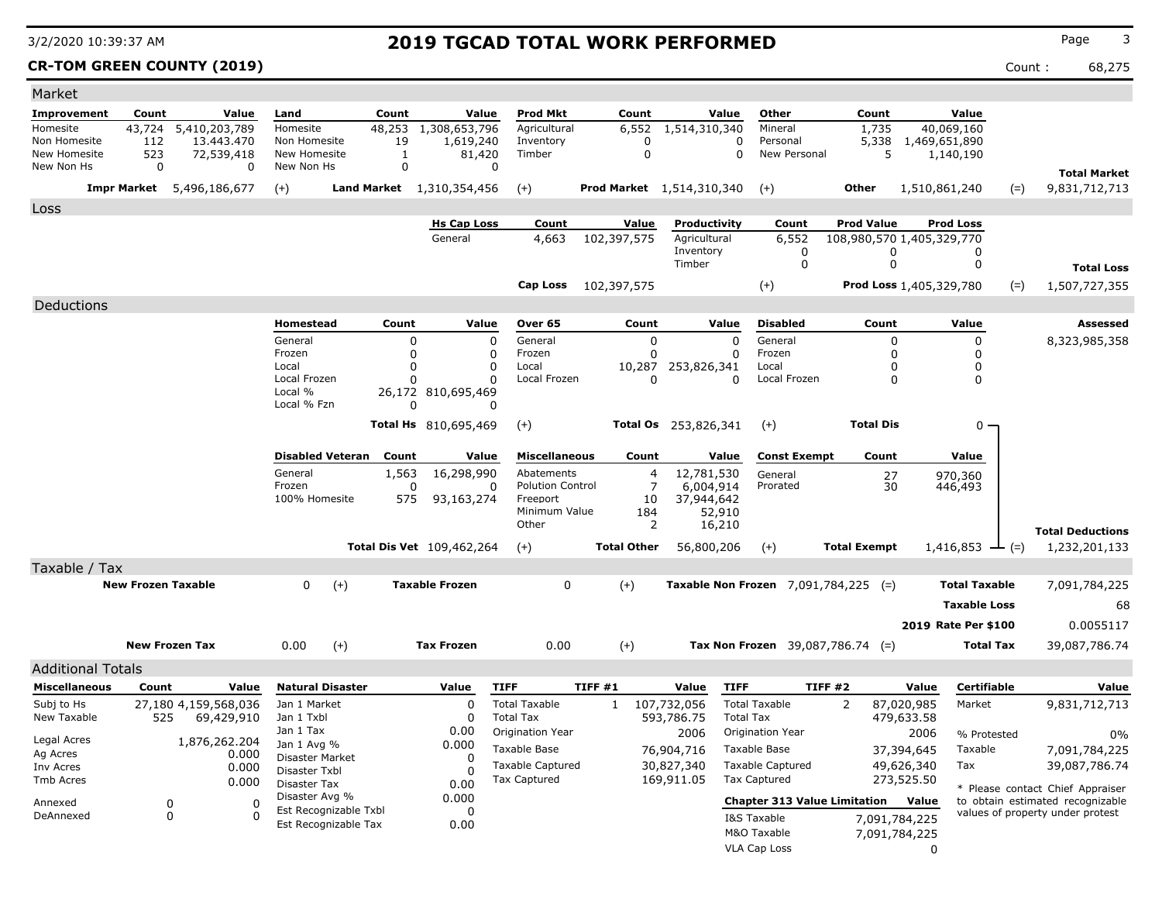### **CR-TOM GREEN COUNTY (2019)** Count : 68,275

| Market                                                                 |                                           |                                  |                                                |                    |                                  |                                                |                                |                                 |                  |                                                                      |
|------------------------------------------------------------------------|-------------------------------------------|----------------------------------|------------------------------------------------|--------------------|----------------------------------|------------------------------------------------|--------------------------------|---------------------------------|------------------|----------------------------------------------------------------------|
| Improvement<br>Count<br>Value                                          | Land<br>Count                             | Value                            | Prod Mkt                                       | Count              | Value                            | Other                                          | Count                          | Value                           |                  |                                                                      |
| 5,410,203,789<br>43,724<br>Homesite                                    | 48,253<br>Homesite                        | 1,308,653,796                    | Agricultural                                   | 6,552              | 1,514,310,340                    | Mineral                                        | 1,735                          | 40,069,160                      |                  |                                                                      |
| Non Homesite<br>112<br>13.443.470<br>523<br>New Homesite<br>72,539,418 | Non Homesite<br>19<br>New Homesite<br>1   | 1,619,240<br>81,420              | Inventory<br>Timber                            | 0<br>$\Omega$      | 0<br>$\Omega$                    | Personal<br>New Personal                       | 5,338<br>5                     | 1,469,651,890<br>1,140,190      |                  |                                                                      |
| New Non Hs<br>$\Omega$<br>0                                            | $\mathbf 0$<br>New Non Hs                 | O                                |                                                |                    |                                  |                                                |                                |                                 |                  | <b>Total Market</b>                                                  |
| <b>Impr Market</b><br>5,496,186,677                                    | $(+)$<br><b>Land Market</b> 1,310,354,456 |                                  | $(+)$                                          |                    | <b>Prod Market</b> 1,514,310,340 | $(+)$                                          | <b>Other</b>                   | 1,510,861,240                   | $(=)$            | 9,831,712,713                                                        |
| Loss                                                                   |                                           |                                  |                                                |                    |                                  |                                                |                                |                                 |                  |                                                                      |
|                                                                        |                                           | <b>Hs Cap Loss</b>               | Count                                          | Value              | Productivity                     | Count                                          | <b>Prod Value</b>              | <b>Prod Loss</b>                |                  |                                                                      |
|                                                                        |                                           | General                          | 4,663                                          | 102,397,575        | Agricultural                     | 6,552                                          |                                | 108,980,570 1,405,329,770       |                  |                                                                      |
|                                                                        |                                           |                                  |                                                |                    | Inventory                        | 0                                              | 0                              | 0                               |                  |                                                                      |
|                                                                        |                                           |                                  |                                                |                    | Timber                           | $\mathbf 0$                                    | 0                              | 0                               |                  | <b>Total Loss</b>                                                    |
|                                                                        |                                           |                                  | Cap Loss                                       | 102,397,575        |                                  | $(+)$                                          |                                | Prod Loss 1,405,329,780         | $(=)$            | 1,507,727,355                                                        |
| Deductions                                                             |                                           |                                  |                                                |                    |                                  |                                                |                                |                                 |                  |                                                                      |
|                                                                        | <b>Homestead</b><br>Count                 | Value                            | Over 65                                        | Count              | Value                            | <b>Disabled</b>                                | Count                          | Value                           |                  | <b>Assessed</b>                                                      |
|                                                                        | General<br>$\Omega$                       | $\mathbf 0$                      | General                                        | $\mathbf 0$        | O                                | General                                        | $\mathbf 0$                    | 0                               |                  | 8,323,985,358                                                        |
|                                                                        | $\Omega$<br>Frozen<br>Local<br>$\Omega$   | 0<br>$\mathbf 0$                 | Frozen<br>Local                                | $\Omega$<br>10,287 | $\Omega$<br>253,826,341          | Frozen<br>Local                                | 0<br>0                         | 0<br>0                          |                  |                                                                      |
|                                                                        | Local Frozen                              | 0                                | Local Frozen                                   | $\Omega$           | $\Omega$                         | Local Frozen                                   | $\Omega$                       | $\Omega$                        |                  |                                                                      |
|                                                                        | Local %                                   | 26,172 810,695,469               |                                                |                    |                                  |                                                |                                |                                 |                  |                                                                      |
|                                                                        | Local % Fzn<br>n                          | $\mathbf{0}$                     |                                                |                    |                                  |                                                |                                |                                 |                  |                                                                      |
|                                                                        |                                           | <b>Total Hs</b> 810,695,469      | $(+)$                                          |                    | <b>Total Os</b> 253,826,341      | $(+)$                                          | <b>Total Dis</b>               | 0                               |                  |                                                                      |
|                                                                        | <b>Disabled Veteran</b><br>Count          | Value                            | <b>Miscellaneous</b>                           | Count              | Value                            | <b>Const Exempt</b>                            | Count                          | Value                           |                  |                                                                      |
|                                                                        | General<br>1,563                          | 16,298,990                       | Abatements                                     | 4                  | 12,781,530                       | General                                        | 27                             | 970,360                         |                  |                                                                      |
|                                                                        | Frozen<br>$\Omega$                        | 0                                | <b>Polution Control</b>                        | $\overline{7}$     | 6,004,914                        | Prorated                                       | 30                             | 446,493                         |                  |                                                                      |
|                                                                        | 100% Homesite<br>575                      | 93,163,274                       | Freeport<br>Minimum Value                      | 10<br>184          | 37,944,642<br>52,910             |                                                |                                |                                 |                  |                                                                      |
|                                                                        |                                           |                                  | Other                                          | 2                  | 16,210                           |                                                |                                |                                 |                  | <b>Total Deductions</b>                                              |
|                                                                        |                                           | <b>Total Dis Vet</b> 109,462,264 | $(+)$                                          | <b>Total Other</b> | 56,800,206                       | $(+)$                                          | <b>Total Exempt</b>            | $1,416,853 \leftarrow (=)$      |                  | 1,232,201,133                                                        |
| Taxable / Tax                                                          |                                           |                                  |                                                |                    |                                  |                                                |                                |                                 |                  |                                                                      |
| <b>New Frozen Taxable</b>                                              | $\Omega$<br>$(+)$                         | <b>Taxable Frozen</b>            | $\Omega$                                       | $(+)$              |                                  | Taxable Non Frozen $7,091,784,225$ (=)         |                                | <b>Total Taxable</b>            |                  | 7,091,784,225                                                        |
|                                                                        |                                           |                                  |                                                |                    |                                  |                                                |                                | <b>Taxable Loss</b>             |                  | 68                                                                   |
|                                                                        |                                           |                                  |                                                |                    |                                  |                                                |                                |                                 |                  |                                                                      |
|                                                                        |                                           |                                  |                                                |                    |                                  |                                                |                                | 2019 Rate Per \$100             |                  | 0.0055117                                                            |
| <b>New Frozen Tax</b>                                                  | $(+)$<br>0.00                             | <b>Tax Frozen</b>                | 0.00                                           | $(+)$              |                                  | Tax Non Frozen $39,087,786.74$ (=)             |                                |                                 | <b>Total Tax</b> | 39,087,786.74                                                        |
| <b>Additional Totals</b>                                               |                                           |                                  |                                                |                    |                                  |                                                |                                |                                 |                  |                                                                      |
| <b>Miscellaneous</b><br>Count<br>Value                                 | <b>Natural Disaster</b>                   | Value                            | <b>TIFF</b>                                    | TIFF#1             | Value<br><b>TIFF</b>             | <b>TIFF #2</b>                                 |                                | Value                           | Certifiable      | Value                                                                |
| Subj to Hs<br>27,180 4,159,568,036                                     | Jan 1 Market                              | $\Omega$                         | <b>Total Taxable</b>                           | 1                  | 107,732,056                      | <b>Total Taxable</b>                           | 2                              | 87,020,985<br>Market            |                  | 9,831,712,713                                                        |
| New Taxable<br>525<br>69,429,910                                       | Jan 1 Txbl<br>Jan 1 Tax                   | 0                                | <b>Total Tax</b>                               |                    | 593,786.75<br><b>Total Tax</b>   |                                                |                                | 479,633.58                      |                  |                                                                      |
| Legal Acres<br>1,876,262.204                                           | Jan 1 Avg %                               | 0.00<br>0.000                    | Origination Year                               |                    | 2006                             | Origination Year                               |                                | 2006                            | % Protested      | $0\%$                                                                |
| Ag Acres<br>0.000                                                      | Disaster Market                           | O                                | Taxable Base                                   |                    | 76,904,716                       | Taxable Base                                   |                                | 37,394,645<br>Taxable           |                  | 7,091,784,225                                                        |
| 0.000<br>Inv Acres<br>Tmb Acres                                        | Disaster Txbl                             | U                                | <b>Taxable Captured</b><br><b>Tax Captured</b> |                    | 30,827,340<br>169,911.05         | <b>Taxable Captured</b><br><b>Tax Captured</b> |                                | 49,626,340<br>Tax<br>273,525.50 |                  | 39,087,786.74                                                        |
| 0.000                                                                  | Disaster Tax<br>Disaster Avg %            | 0.00<br>0.000                    |                                                |                    |                                  |                                                |                                |                                 |                  | * Please contact Chief Appraiser                                     |
| $\mathbf 0$<br>0<br>Annexed<br>DeAnnexed<br>$\mathbf{0}$<br>$\Omega$   | Est Recognizable Txbl                     | $\Omega$                         |                                                |                    |                                  | <b>Chapter 313 Value Limitation</b>            |                                | Value                           |                  | to obtain estimated recognizable<br>values of property under protest |
|                                                                        | Est Recognizable Tax                      | 0.00                             |                                                |                    |                                  | I&S Taxable<br>M&O Taxable                     | 7,091,784,225<br>7,091,784,225 |                                 |                  |                                                                      |
|                                                                        |                                           |                                  |                                                |                    |                                  | <b>VLA Cap Loss</b>                            |                                | $\Omega$                        |                  |                                                                      |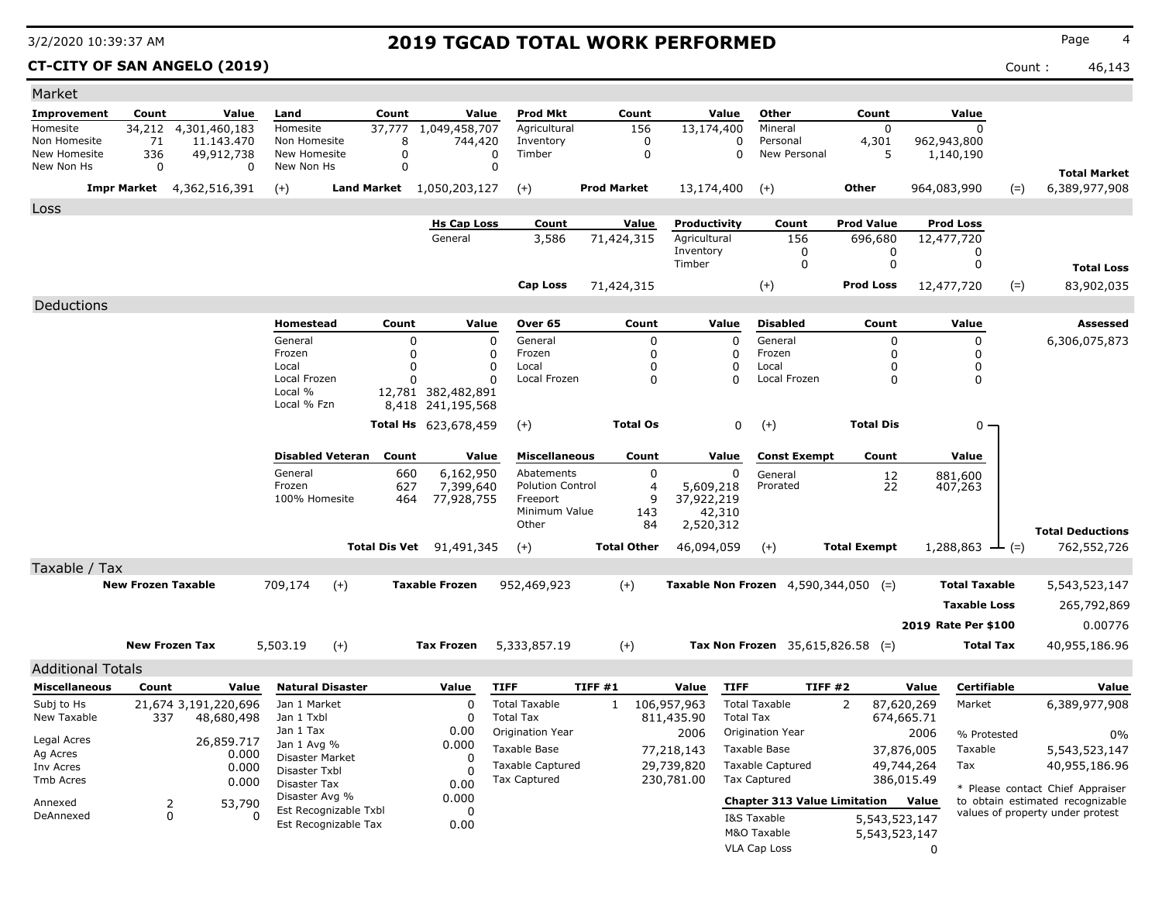### **CT-CITY OF SAN ANGELO (2019)** Count : 46,143

| Market                        |                                     |                          |                                |                       |                                      |                      |                                       |                    |                      |                          |                                         |                     |                          |                          |                    |                                                                      |
|-------------------------------|-------------------------------------|--------------------------|--------------------------------|-----------------------|--------------------------------------|----------------------|---------------------------------------|--------------------|----------------------|--------------------------|-----------------------------------------|---------------------|--------------------------|--------------------------|--------------------|----------------------------------------------------------------------|
| <b>Improvement</b>            | Count                               | Value                    | Land                           | Count                 |                                      | Value                | <b>Prod Mkt</b>                       |                    | Count                | Value                    | Other                                   |                     | Count                    | Value                    |                    |                                                                      |
| Homesite                      | 34,212 4,301,460,183                |                          | Homesite                       | 37,777                | 1,049,458,707                        |                      | Agricultural                          |                    | 156                  | 13,174,400               | Mineral                                 |                     | $\mathbf 0$              | $\Omega$                 |                    |                                                                      |
| Non Homesite<br>New Homesite  | 71<br>336                           | 11,143,470<br>49,912,738 | Non Homesite<br>New Homesite   |                       | 8<br>0                               | 744,420<br>$\Omega$  | Inventory<br>Timber                   |                    | 0<br>$\mathbf 0$     |                          | Personal<br>0<br>0<br>New Personal      |                     | 4,301<br>5               | 962,943,800<br>1,140,190 |                    |                                                                      |
| New Non Hs                    | $\Omega$                            | 0                        | New Non Hs                     |                       | 0                                    | $\Omega$             |                                       |                    |                      |                          |                                         |                     |                          |                          |                    | <b>Total Market</b>                                                  |
|                               | <b>Impr Market</b><br>4,362,516,391 |                          | $(+)$                          |                       | Land Market 1,050,203,127            |                      | $(+)$                                 | <b>Prod Market</b> |                      | 13,174,400               | $(+)$                                   | <b>Other</b>        |                          | 964,083,990              | $(=)$              | 6,389,977,908                                                        |
|                               |                                     |                          |                                |                       |                                      |                      |                                       |                    |                      |                          |                                         |                     |                          |                          |                    |                                                                      |
| Loss                          |                                     |                          |                                |                       | <b>Hs Cap Loss</b>                   |                      | Count                                 |                    | Value                | Productivity             | Count                                   | <b>Prod Value</b>   |                          | <b>Prod Loss</b>         |                    |                                                                      |
|                               |                                     |                          |                                |                       | General                              |                      | 3,586                                 | 71,424,315         |                      | Agricultural             | 156                                     |                     | 696,680                  | 12,477,720               |                    |                                                                      |
|                               |                                     |                          |                                |                       |                                      |                      |                                       |                    |                      | Inventory                | 0                                       |                     | 0                        | 0                        |                    |                                                                      |
|                               |                                     |                          |                                |                       |                                      |                      |                                       |                    |                      | Timber                   | $\Omega$                                |                     | 0                        | 0                        |                    | <b>Total Loss</b>                                                    |
|                               |                                     |                          |                                |                       |                                      |                      | <b>Cap Loss</b>                       | 71,424,315         |                      |                          | $^{(+)}$                                | <b>Prod Loss</b>    |                          | 12,477,720               | $(=)$              | 83,902,035                                                           |
| Deductions                    |                                     |                          |                                |                       |                                      |                      |                                       |                    |                      |                          |                                         |                     |                          |                          |                    |                                                                      |
|                               |                                     |                          | Homestead                      | Count                 |                                      | Value                | Over 65                               |                    | Count                | Value                    | <b>Disabled</b>                         |                     | Count                    | Value                    |                    | <b>Assessed</b>                                                      |
|                               |                                     |                          | General                        |                       | $\Omega$                             | $\Omega$             | General                               |                    | 0                    | $\Omega$                 | General                                 |                     | 0                        | 0                        |                    | 6,306,075,873                                                        |
|                               |                                     |                          | Frozen                         |                       | $\Omega$                             | 0                    | Frozen                                |                    | $\Omega$             | $\Omega$                 | Frozen                                  |                     | $\Omega$                 | $\Omega$                 |                    |                                                                      |
|                               |                                     |                          | Local<br>Local Frozen          |                       | $\Omega$<br>n                        | $\Omega$<br>$\Omega$ | Local<br>Local Frozen                 |                    | $\Omega$<br>$\Omega$ | $\Omega$<br>$\Omega$     | Local<br>Local Frozen                   |                     | $\Omega$<br>$\Omega$     | 0<br>0                   |                    |                                                                      |
|                               |                                     |                          | Local %                        |                       | 12,781 382,482,891                   |                      |                                       |                    |                      |                          |                                         |                     |                          |                          |                    |                                                                      |
|                               |                                     |                          | Local % Fzn                    |                       | 8,418 241,195,568                    |                      |                                       |                    |                      |                          |                                         |                     |                          |                          |                    |                                                                      |
|                               |                                     |                          |                                |                       | Total Hs 623,678,459                 |                      | $(+)$                                 |                    | <b>Total Os</b>      | $\mathbf 0$              | $(+)$                                   |                     | <b>Total Dis</b>         | $0 \cdot$                |                    |                                                                      |
|                               |                                     |                          |                                |                       |                                      |                      |                                       |                    |                      |                          |                                         |                     |                          |                          |                    |                                                                      |
|                               |                                     |                          | <b>Disabled Veteran</b>        | Count                 |                                      | Value                | <b>Miscellaneous</b>                  |                    | Count                | Value                    | <b>Const Exempt</b>                     |                     | Count                    | Value                    |                    |                                                                      |
|                               |                                     |                          | General<br>Frozen              |                       | 6,162,950<br>660<br>627<br>7,399,640 |                      | Abatements<br><b>Polution Control</b> |                    | $\mathbf 0$<br>4     | $\Omega$<br>5,609,218    | General<br>Prorated                     |                     | $\frac{12}{22}$          | 881,600<br>407,263       |                    |                                                                      |
|                               |                                     |                          | 100% Homesite                  |                       | 464<br>77,928,755                    |                      | Freeport                              |                    | 9                    | 37,922,219               |                                         |                     |                          |                          |                    |                                                                      |
|                               |                                     |                          |                                |                       |                                      |                      | Minimum Value                         |                    | 143                  | 42,310                   |                                         |                     |                          |                          |                    |                                                                      |
|                               |                                     |                          |                                |                       |                                      |                      | Other                                 |                    | 84                   | 2,520,312                |                                         |                     |                          |                          |                    | <b>Total Deductions</b>                                              |
|                               |                                     |                          |                                | <b>Total Dis Vet</b>  | 91,491,345                           |                      | $(+)$                                 |                    | <b>Total Other</b>   | 46,094,059               | $(+)$                                   | <b>Total Exempt</b> |                          | $1,288,863$ — (=)        |                    | 762,552,726                                                          |
| Taxable / Tax                 |                                     |                          |                                |                       |                                      |                      |                                       |                    |                      |                          |                                         |                     |                          |                          |                    |                                                                      |
|                               | <b>New Frozen Taxable</b>           |                          | 709,174                        | $(+)$                 | <b>Taxable Frozen</b>                |                      | 952,469,923                           |                    | $(+)$                |                          | Taxable Non Frozen $4,590,344,050$ (=)  |                     |                          | <b>Total Taxable</b>     |                    | 5,543,523,147                                                        |
|                               |                                     |                          |                                |                       |                                      |                      |                                       |                    |                      |                          |                                         |                     |                          | <b>Taxable Loss</b>      |                    | 265,792,869                                                          |
|                               |                                     |                          |                                |                       |                                      |                      |                                       |                    |                      |                          |                                         |                     |                          | 2019 Rate Per \$100      |                    | 0.00776                                                              |
|                               | <b>New Frozen Tax</b>               |                          | 5,503.19                       | $(+)$                 | <b>Tax Frozen</b>                    |                      | 5,333,857.19                          |                    | $(+)$                |                          | Tax Non Frozen 35,615,826.58 (=)        |                     |                          |                          | <b>Total Tax</b>   | 40,955,186.96                                                        |
|                               |                                     |                          |                                |                       |                                      |                      |                                       |                    |                      |                          |                                         |                     |                          |                          |                    |                                                                      |
| <b>Additional Totals</b>      |                                     |                          |                                |                       |                                      |                      |                                       |                    |                      |                          |                                         |                     |                          |                          |                    |                                                                      |
| <b>Miscellaneous</b>          | Count                               | Value                    | <b>Natural Disaster</b>        |                       | Value                                | <b>TIFF</b>          |                                       | TIFF#1             |                      | <b>TIFF</b><br>Value     |                                         | TIFF#2              |                          | Value                    | <b>Certifiable</b> | Value                                                                |
| Subj to Hs                    | 21,674 3,191,220,696                |                          | Jan 1 Market                   |                       | $\Omega$                             |                      | <b>Total Taxable</b>                  | 1                  |                      | 106,957,963              | <b>Total Taxable</b>                    | 2                   | 87,620,269               | Market                   |                    | 6,389,977,908                                                        |
| New Taxable                   | 337                                 | 48,680,498               | Jan 1 Txbl<br>Jan 1 Tax        |                       | $\Omega$<br>0.00                     |                      | <b>Total Tax</b><br>Origination Year  |                    |                      | 811,435.90               | <b>Total Tax</b><br>Origination Year    |                     | 674,665.71               |                          |                    |                                                                      |
| Legal Acres                   |                                     | 26,859.717               | Jan 1 Avg %                    |                       | 0.000                                |                      | Taxable Base                          |                    |                      | 2006                     |                                         |                     |                          | 2006                     | % Protested        | 0%                                                                   |
| Ag Acres                      |                                     | 0.000                    | Disaster Market                |                       | $\Omega$                             |                      | <b>Taxable Captured</b>               |                    |                      | 77,218,143               | Taxable Base<br><b>Taxable Captured</b> |                     | 37,876,005               | Taxable<br>Tax           |                    | 5,543,523,147                                                        |
| Inv Acres<br><b>Tmb Acres</b> |                                     | 0.000                    | Disaster Txbl                  |                       | ŋ                                    |                      | <b>Tax Captured</b>                   |                    |                      | 29,739,820<br>230,781.00 | <b>Tax Captured</b>                     |                     | 49,744,264<br>386,015.49 |                          |                    | 40,955,186.96                                                        |
|                               |                                     | 0.000                    | Disaster Tax<br>Disaster Avg % |                       | 0.00<br>0.000                        |                      |                                       |                    |                      |                          |                                         |                     |                          |                          |                    | * Please contact Chief Appraiser                                     |
| Annexed<br>DeAnnexed          | $\overline{2}$<br>$\Omega$          | 53,790<br>0              |                                | Est Recognizable Txbl | $\Omega$                             |                      |                                       |                    |                      |                          | <b>Chapter 313 Value Limitation</b>     |                     |                          | Value                    |                    | to obtain estimated recognizable<br>values of property under protest |
|                               |                                     |                          |                                | Est Recognizable Tax  | 0.00                                 |                      |                                       |                    |                      |                          | I&S Taxable<br>M&O Taxable              |                     | 5,543,523,147            |                          |                    |                                                                      |
|                               |                                     |                          |                                |                       |                                      |                      |                                       |                    |                      |                          | VLA Cap Loss                            |                     | 5,543,523,147            | $\Omega$                 |                    |                                                                      |
|                               |                                     |                          |                                |                       |                                      |                      |                                       |                    |                      |                          |                                         |                     |                          |                          |                    |                                                                      |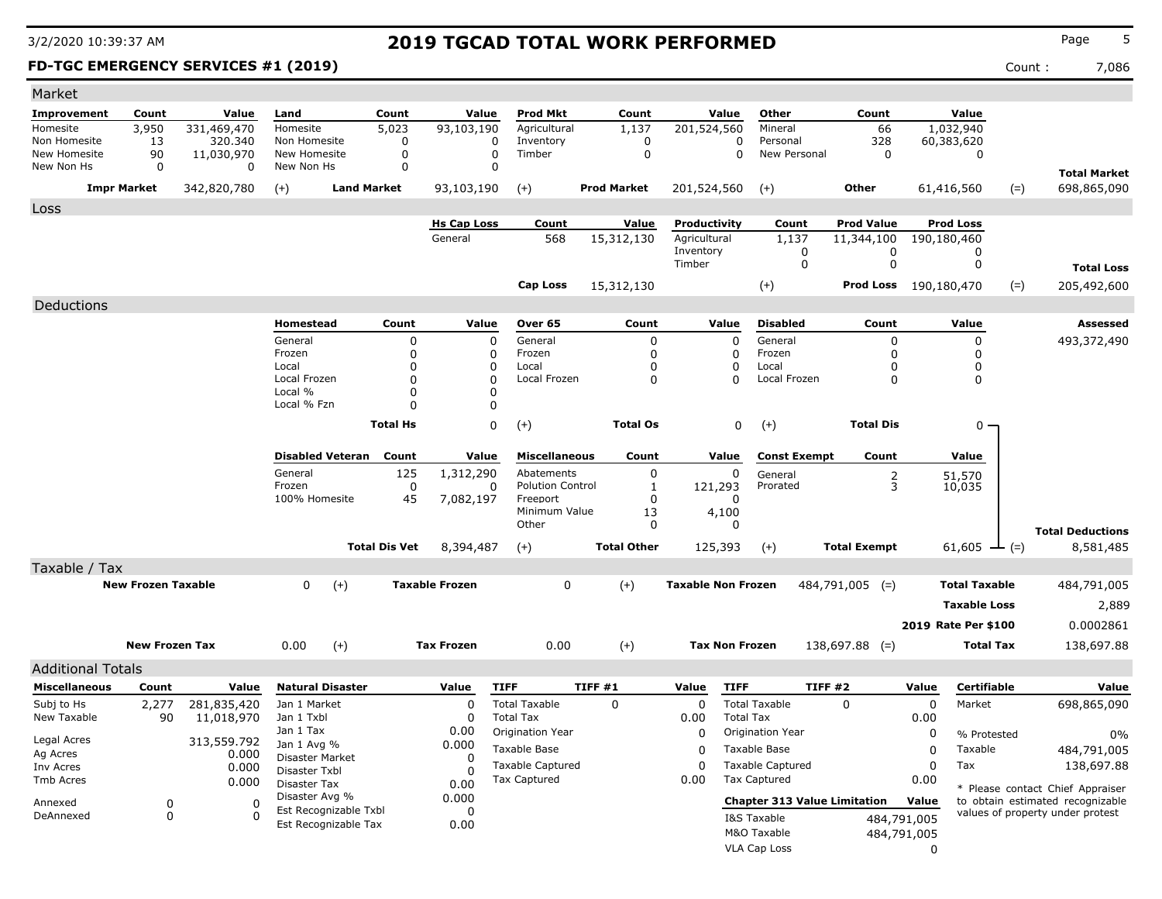### **FD-TGC EMERGENCY SERVICES #1 (2019)** Count : 7,086

| Market                       |                           |                       |                                               |                      |                               |                                     |                     |                              |                                     |                                 |                                 |                      |                                    |
|------------------------------|---------------------------|-----------------------|-----------------------------------------------|----------------------|-------------------------------|-------------------------------------|---------------------|------------------------------|-------------------------------------|---------------------------------|---------------------------------|----------------------|------------------------------------|
| Improvement                  | Count                     | Value                 | Land                                          | Count                | Value                         | <b>Prod Mkt</b>                     | Count               | Value                        | Other                               | Count                           |                                 | Value                |                                    |
| Homesite                     | 3,950                     | 331,469,470           | Homesite                                      | 5,023                | 93,103,190                    | Agricultural                        | 1,137               | 201,524,560                  | Mineral                             | 66                              | 1,032,940                       |                      |                                    |
| Non Homesite<br>New Homesite | 13<br>90                  | 320.340<br>11,030,970 | Non Homesite<br>New Homesite                  | $\mathbf 0$<br>0     | $\mathbf 0$<br>$\mathbf 0$    | Inventory<br>Timber                 | 0<br>$\mathbf 0$    | 0<br>0                       | Personal<br>New Personal            | 328<br>$\mathbf 0$              | 60,383,620                      | $\mathbf 0$          |                                    |
| New Non Hs                   | $\mathbf 0$               | 0                     | New Non Hs                                    | $\Omega$             | $\Omega$                      |                                     |                     |                              |                                     |                                 |                                 |                      |                                    |
|                              | <b>Impr Market</b>        | 342,820,780           | $(+)$                                         | <b>Land Market</b>   | 93,103,190                    |                                     | <b>Prod Market</b>  | 201,524,560                  | $(+)$                               | Other                           |                                 |                      | <b>Total Market</b><br>698,865,090 |
|                              |                           |                       |                                               |                      |                               | $(+)$                               |                     |                              |                                     |                                 | 61,416,560                      | $(=)$                |                                    |
| Loss                         |                           |                       |                                               |                      |                               |                                     |                     |                              |                                     |                                 |                                 |                      |                                    |
|                              |                           |                       |                                               |                      | <b>Hs Cap Loss</b><br>General | Count<br>568                        | Value<br>15,312,130 | Productivity<br>Agricultural | Count<br>1,137                      | <b>Prod Value</b><br>11,344,100 | <b>Prod Loss</b><br>190,180,460 |                      |                                    |
|                              |                           |                       |                                               |                      |                               |                                     |                     | Inventory                    | 0                                   | 0                               |                                 | 0                    |                                    |
|                              |                           |                       |                                               |                      |                               |                                     |                     | Timber                       | $\mathbf 0$                         | $\mathbf 0$                     |                                 | 0                    | <b>Total Loss</b>                  |
|                              |                           |                       |                                               |                      |                               | <b>Cap Loss</b>                     | 15,312,130          |                              | $(+)$                               | Prod Loss 190,180,470           |                                 | $(=)$                | 205,492,600                        |
| Deductions                   |                           |                       |                                               |                      |                               |                                     |                     |                              |                                     |                                 |                                 |                      |                                    |
|                              |                           |                       | Homestead                                     | Count                | Value                         | Over 65                             | Count               | Value                        | <b>Disabled</b>                     | Count                           |                                 | Value                | <b>Assessed</b>                    |
|                              |                           |                       | General                                       | $\mathbf 0$          | 0                             | General                             | $\mathbf 0$         | 0                            | General                             | 0                               |                                 | 0                    | 493,372,490                        |
|                              |                           |                       | Frozen                                        | $\mathbf 0$          | 0                             | Frozen                              | 0                   | $\Omega$                     | Frozen                              | 0                               |                                 | 0                    |                                    |
|                              |                           |                       | Local                                         | $\mathbf 0$          | 0                             | Local                               | 0                   | 0                            | Local                               | 0                               |                                 | 0                    |                                    |
|                              |                           |                       | Local Frozen<br>Local %                       | $\Omega$<br>0        | 0<br>0                        | Local Frozen                        | $\Omega$            | 0                            | Local Frozen                        | $\Omega$                        |                                 | 0                    |                                    |
|                              |                           |                       | Local % Fzn                                   | $\Omega$             | 0                             |                                     |                     |                              |                                     |                                 |                                 |                      |                                    |
|                              |                           |                       |                                               | <b>Total Hs</b>      | $\Omega$                      | $(+)$                               | <b>Total Os</b>     | $\mathbf 0$                  | $(+)$                               | <b>Total Dis</b>                |                                 | $0 \cdot$            |                                    |
|                              |                           |                       |                                               |                      |                               |                                     |                     |                              |                                     |                                 |                                 |                      |                                    |
|                              |                           |                       | <b>Disabled Veteran</b>                       | Count                | Value                         | <b>Miscellaneous</b>                | Count               | Value                        | <b>Const Exempt</b>                 | Count                           |                                 | Value                |                                    |
|                              |                           |                       | General                                       | 125                  | 1,312,290                     | Abatements                          | 0                   | 0                            | General                             | $\frac{2}{3}$                   |                                 | 51,570               |                                    |
|                              |                           |                       | Frozen                                        | $\mathbf 0$          | 0                             | <b>Polution Control</b><br>Freeport | $\mathbf{1}$        | 121,293                      | Prorated                            |                                 |                                 | 10,035               |                                    |
|                              |                           |                       | 100% Homesite                                 | 45                   | 7,082,197                     | Minimum Value                       | $\mathbf{0}$<br>13  | $\Omega$<br>4,100            |                                     |                                 |                                 |                      |                                    |
|                              |                           |                       |                                               |                      |                               | Other                               | $\mathbf 0$         | $\Omega$                     |                                     |                                 |                                 |                      | <b>Total Deductions</b>            |
|                              |                           |                       |                                               | <b>Total Dis Vet</b> | 8,394,487                     | $(+)$                               | <b>Total Other</b>  | 125,393                      | $(+)$                               | <b>Total Exempt</b>             |                                 | 61,605<br>$ (=)$     | 8,581,485                          |
| Taxable / Tax                |                           |                       |                                               |                      |                               |                                     |                     |                              |                                     |                                 |                                 |                      |                                    |
|                              | <b>New Frozen Taxable</b> |                       | $(+)$<br>$\Omega$                             |                      | <b>Taxable Frozen</b>         | $\Omega$                            | $(+)$               | <b>Taxable Non Frozen</b>    |                                     | $484,791,005$ (=)               |                                 | <b>Total Taxable</b> | 484,791,005                        |
|                              |                           |                       |                                               |                      |                               |                                     |                     |                              |                                     |                                 |                                 | <b>Taxable Loss</b>  |                                    |
|                              |                           |                       |                                               |                      |                               |                                     |                     |                              |                                     |                                 |                                 |                      | 2,889                              |
|                              |                           |                       |                                               |                      |                               |                                     |                     |                              |                                     |                                 |                                 | 2019 Rate Per \$100  | 0.0002861                          |
|                              | <b>New Frozen Tax</b>     |                       | $(+)$<br>0.00                                 |                      | <b>Tax Frozen</b>             | 0.00                                | $(+)$               | <b>Tax Non Frozen</b>        |                                     | $138,697.88$ (=)                |                                 | <b>Total Tax</b>     | 138,697.88                         |
| <b>Additional Totals</b>     |                           |                       |                                               |                      |                               |                                     |                     |                              |                                     |                                 |                                 |                      |                                    |
| <b>Miscellaneous</b>         | Count                     | Value                 | <b>Natural Disaster</b>                       |                      | Value                         | <b>TIFF</b>                         | TIFF#1              | <b>TIFF</b><br>Value         |                                     | TIFF#2                          | Value                           | Certifiable          | Value                              |
| Subj to Hs                   | 2,277                     | 281,835,420           | Jan 1 Market                                  |                      | 0                             | <b>Total Taxable</b>                | $\mathbf 0$         | $\mathbf 0$                  | <b>Total Taxable</b>                | $\Omega$                        | $\mathbf 0$                     | Market               | 698,865,090                        |
| New Taxable                  | 90                        | 11,018,970            | Jan 1 Txbl                                    |                      | 0                             | <b>Total Tax</b>                    |                     | 0.00                         | <b>Total Tax</b>                    |                                 | 0.00                            |                      |                                    |
| Legal Acres                  |                           | 313,559.792           | Jan 1 Tax                                     |                      | 0.00                          | Origination Year                    |                     | 0                            | Origination Year                    |                                 | $\mathbf 0$                     | % Protested          | 0%                                 |
| Ag Acres                     |                           | 0.000                 | Jan 1 Avg %<br>Disaster Market                |                      | 0.000<br>0                    | Taxable Base                        |                     | $\Omega$                     | Taxable Base                        |                                 | $\mathbf 0$                     | Taxable              | 484,791,005                        |
| Inv Acres                    |                           | 0.000                 | Disaster Txbl                                 |                      | O                             | <b>Taxable Captured</b>             |                     | $\Omega$                     | <b>Taxable Captured</b>             |                                 | $\mathbf 0$                     | Tax                  | 138,697.88                         |
| Tmb Acres                    |                           | 0.000                 | Disaster Tax                                  |                      | 0.00                          | <b>Tax Captured</b>                 |                     | 0.00                         | <b>Tax Captured</b>                 |                                 | 0.00                            |                      | * Please contact Chief Appraiser   |
| Annexed                      | 0                         | $\Omega$              | Disaster Avg %                                |                      | 0.000                         |                                     |                     |                              | <b>Chapter 313 Value Limitation</b> |                                 | Value                           |                      | to obtain estimated recognizable   |
| DeAnnexed                    | $\mathbf 0$               | n                     | Est Recognizable Txbl<br>Est Recognizable Tax |                      | 0<br>0.00                     |                                     |                     |                              | I&S Taxable                         |                                 | 484,791,005                     |                      | values of property under protest   |
|                              |                           |                       |                                               |                      |                               |                                     |                     |                              | M&O Taxable                         |                                 | 484,791,005                     |                      |                                    |
|                              |                           |                       |                                               |                      |                               |                                     |                     |                              | <b>VLA Cap Loss</b>                 |                                 | $\Omega$                        |                      |                                    |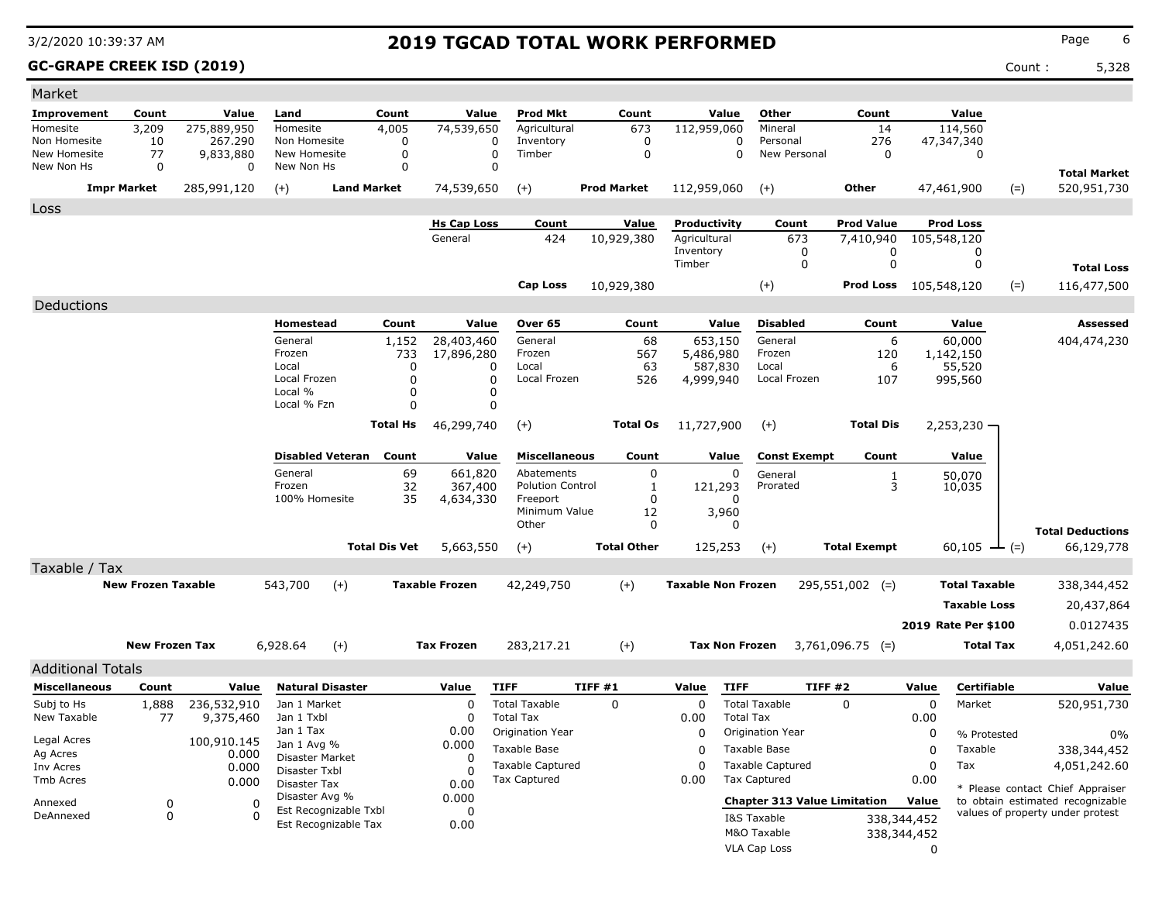### **GC-GRAPE CREEK ISD (2019)** Count : 5,328

| Market                     |                           |                      |                                  |                       |                                  |                                     |                    |                           |                                     |                              |             |                      |                                  |
|----------------------------|---------------------------|----------------------|----------------------------------|-----------------------|----------------------------------|-------------------------------------|--------------------|---------------------------|-------------------------------------|------------------------------|-------------|----------------------|----------------------------------|
| Improvement                | Count                     | Value                | Land                             | Count                 | Value                            | <b>Prod Mkt</b>                     | Count              | Value                     | Other                               | Count                        |             | Value                |                                  |
| Homesite                   | 3,209                     | 275,889,950          | Homesite                         | 4,005                 | 74,539,650                       | Agricultural                        | 673                | 112,959,060               | Mineral                             | 14                           |             | 114,560              |                                  |
| Non Homesite               | 10                        | 267.290              | Non Homesite                     | $\mathbf 0$           |                                  | Inventory<br>$\Omega$               | $\mathbf 0$        | $\Omega$                  | Personal                            | 276                          |             | 47,347,340           |                                  |
| New Homesite<br>New Non Hs | 77<br>$\mathbf 0$         | 9,833,880<br>0       | New Homesite<br>New Non Hs       | 0<br>0                |                                  | Timber<br>0<br>$\mathbf 0$          | $\mathbf 0$        | 0                         | New Personal                        | 0                            |             | 0                    |                                  |
|                            |                           |                      |                                  |                       |                                  |                                     |                    |                           |                                     |                              |             |                      | <b>Total Market</b>              |
|                            | <b>Impr Market</b>        | 285,991,120          | $(+)$                            | <b>Land Market</b>    | 74,539,650                       | $(+)$                               | <b>Prod Market</b> | 112,959,060               | $(+)$                               | Other                        |             | $(=)$<br>47,461,900  | 520,951,730                      |
| Loss                       |                           |                      |                                  |                       |                                  |                                     |                    |                           |                                     |                              |             |                      |                                  |
|                            |                           |                      |                                  |                       | <b>Hs Cap Loss</b>               | Count                               | Value              | Productivity              | Count                               | <b>Prod Value</b>            |             | <b>Prod Loss</b>     |                                  |
|                            |                           |                      |                                  |                       | General                          | 424                                 | 10,929,380         | Agricultural<br>Inventory | 673                                 | 7,410,940                    |             | 105,548,120          |                                  |
|                            |                           |                      |                                  |                       |                                  |                                     |                    | Timber                    | 0<br>$\mathbf 0$                    | 0<br>$\mathbf 0$             |             | 0<br>$\mathbf 0$     | <b>Total Loss</b>                |
|                            |                           |                      |                                  |                       |                                  |                                     |                    |                           |                                     |                              |             |                      |                                  |
|                            |                           |                      |                                  |                       |                                  | <b>Cap Loss</b>                     | 10,929,380         |                           | $(+)$                               | <b>Prod Loss</b> 105,548,120 |             | $(=)$                | 116,477,500                      |
| Deductions                 |                           |                      |                                  |                       |                                  |                                     |                    |                           |                                     |                              |             |                      |                                  |
|                            |                           |                      | Homestead                        | Count                 | Value                            | Over 65                             | Count              | Value                     | <b>Disabled</b>                     | Count                        |             | Value                | Assessed                         |
|                            |                           |                      | General                          | 1,152                 | 28,403,460                       | General                             | 68                 | 653,150                   | General                             | 6                            |             | 60,000               | 404,474,230                      |
|                            |                           |                      | Frozen<br>Local                  |                       | 733<br>17,896,280<br>0           | Frozen<br>Local                     | 567<br>63          | 5,486,980<br>587,830      | Frozen<br>Local                     | 120<br>6                     |             | 1,142,150<br>55,520  |                                  |
|                            |                           |                      | Local Frozen                     |                       | $\mathbf 0$                      | $\Omega$<br>Local Frozen            | 526                | 4,999,940                 | Local Frozen                        | 107                          |             | 995,560              |                                  |
|                            |                           |                      | Local %                          |                       | 0                                | 0                                   |                    |                           |                                     |                              |             |                      |                                  |
|                            |                           |                      | Local % Fzn                      |                       | 0                                | $\Omega$                            |                    |                           |                                     |                              |             |                      |                                  |
|                            |                           |                      |                                  | Total Hs              | 46,299,740                       | $(+)$                               | <b>Total Os</b>    | 11,727,900                | $(+)$                               | <b>Total Dis</b>             |             | $2,253,230 -$        |                                  |
|                            |                           |                      |                                  |                       |                                  |                                     |                    |                           |                                     |                              |             |                      |                                  |
|                            |                           |                      | <b>Disabled Veteran</b>          | Count                 | Value                            | <b>Miscellaneous</b>                | Count              | Value                     | <b>Const Exempt</b>                 | Count                        |             | Value                |                                  |
|                            |                           |                      | General<br>Frozen                |                       | 69<br>661,820                    | Abatements                          | 0                  | 0                         | General                             | $\frac{1}{3}$                |             | 50,070               |                                  |
|                            |                           |                      | 100% Homesite                    |                       | 32<br>367,400<br>35<br>4,634,330 | <b>Polution Control</b><br>Freeport | 1<br>$\Omega$      | 121,293<br>n              | Prorated                            |                              |             | 10,035               |                                  |
|                            |                           |                      |                                  |                       |                                  | Minimum Value                       | 12                 | 3,960                     |                                     |                              |             |                      |                                  |
|                            |                           |                      |                                  |                       |                                  | Other                               | 0                  | $\Omega$                  |                                     |                              |             |                      | <b>Total Deductions</b>          |
|                            |                           |                      |                                  | <b>Total Dis Vet</b>  | 5,663,550                        | $(+)$                               | <b>Total Other</b> | 125,253                   | $(+)$                               | <b>Total Exempt</b>          |             | $60,105$ - (=)       | 66,129,778                       |
| Taxable / Tax              |                           |                      |                                  |                       |                                  |                                     |                    |                           |                                     |                              |             |                      |                                  |
|                            | <b>New Frozen Taxable</b> |                      | 543,700                          | $(+)$                 | <b>Taxable Frozen</b>            | 42,249,750                          | $(+)$              | <b>Taxable Non Frozen</b> |                                     | $295,551,002$ (=)            |             | <b>Total Taxable</b> | 338,344,452                      |
|                            |                           |                      |                                  |                       |                                  |                                     |                    |                           |                                     |                              |             |                      |                                  |
|                            |                           |                      |                                  |                       |                                  |                                     |                    |                           |                                     |                              |             | <b>Taxable Loss</b>  | 20,437,864                       |
|                            |                           |                      |                                  |                       |                                  |                                     |                    |                           |                                     |                              |             | 2019 Rate Per \$100  | 0.0127435                        |
|                            | <b>New Frozen Tax</b>     |                      | 6,928.64                         | $(+)$                 | <b>Tax Frozen</b>                | 283,217.21                          | $(+)$              | <b>Tax Non Frozen</b>     |                                     | $3,761,096.75$ (=)           |             | <b>Total Tax</b>     | 4,051,242.60                     |
| <b>Additional Totals</b>   |                           |                      |                                  |                       |                                  |                                     |                    |                           |                                     |                              |             |                      |                                  |
| <b>Miscellaneous</b>       | Count                     | Value                | <b>Natural Disaster</b>          |                       | Value                            | <b>TIFF</b>                         | TIFF#1             | Value<br><b>TIFF</b>      |                                     | <b>TIFF #2</b>               | Value       | Certifiable          | Value                            |
| Subj to Hs                 | 1,888                     | 236,532,910          | Jan 1 Market                     |                       | $\mathbf 0$                      | <b>Total Taxable</b>                | 0                  | $\mathbf 0$               | <b>Total Taxable</b>                | $\mathbf 0$                  | 0           | Market               | 520,951,730                      |
| New Taxable                | 77                        | 9,375,460            | Jan 1 Txbl                       |                       | 0                                | <b>Total Tax</b>                    |                    | 0.00                      | <b>Total Tax</b>                    |                              | 0.00        |                      |                                  |
|                            |                           |                      | Jan 1 Tax                        |                       | 0.00                             | Origination Year                    |                    | 0                         | Origination Year                    |                              | 0           | % Protested          | $0\%$                            |
| Legal Acres<br>Ag Acres    |                           | 100,910.145<br>0.000 | Jan 1 Avg %                      |                       | 0.000                            | Taxable Base                        |                    | $\Omega$                  | Taxable Base                        |                              | $\Omega$    | Taxable              | 338,344,452                      |
| Inv Acres                  |                           | 0.000                | Disaster Market<br>Disaster Txbl |                       | 0<br>$\Omega$                    | <b>Taxable Captured</b>             |                    | $\Omega$                  | <b>Taxable Captured</b>             |                              | $\Omega$    | Tax                  | 4,051,242.60                     |
| Tmb Acres                  |                           | 0.000                | Disaster Tax                     |                       | 0.00                             | Tax Captured                        |                    | 0.00                      | <b>Tax Captured</b>                 |                              | 0.00        |                      | * Please contact Chief Appraiser |
| Annexed                    | $\Omega$                  | $\Omega$             | Disaster Avg %                   |                       | 0.000                            |                                     |                    |                           | <b>Chapter 313 Value Limitation</b> |                              | Value       |                      | to obtain estimated recognizable |
| DeAnnexed                  | $\mathbf 0$               | $\Omega$             |                                  | Est Recognizable Txbl | $\Omega$                         |                                     |                    |                           | I&S Taxable                         |                              | 338,344,452 |                      | values of property under protest |
|                            |                           |                      | Est Recognizable Tax             |                       | 0.00                             |                                     |                    |                           | M&O Taxable                         |                              | 338,344,452 |                      |                                  |
|                            |                           |                      |                                  |                       |                                  |                                     |                    |                           | <b>VLA Cap Loss</b>                 |                              | $\Omega$    |                      |                                  |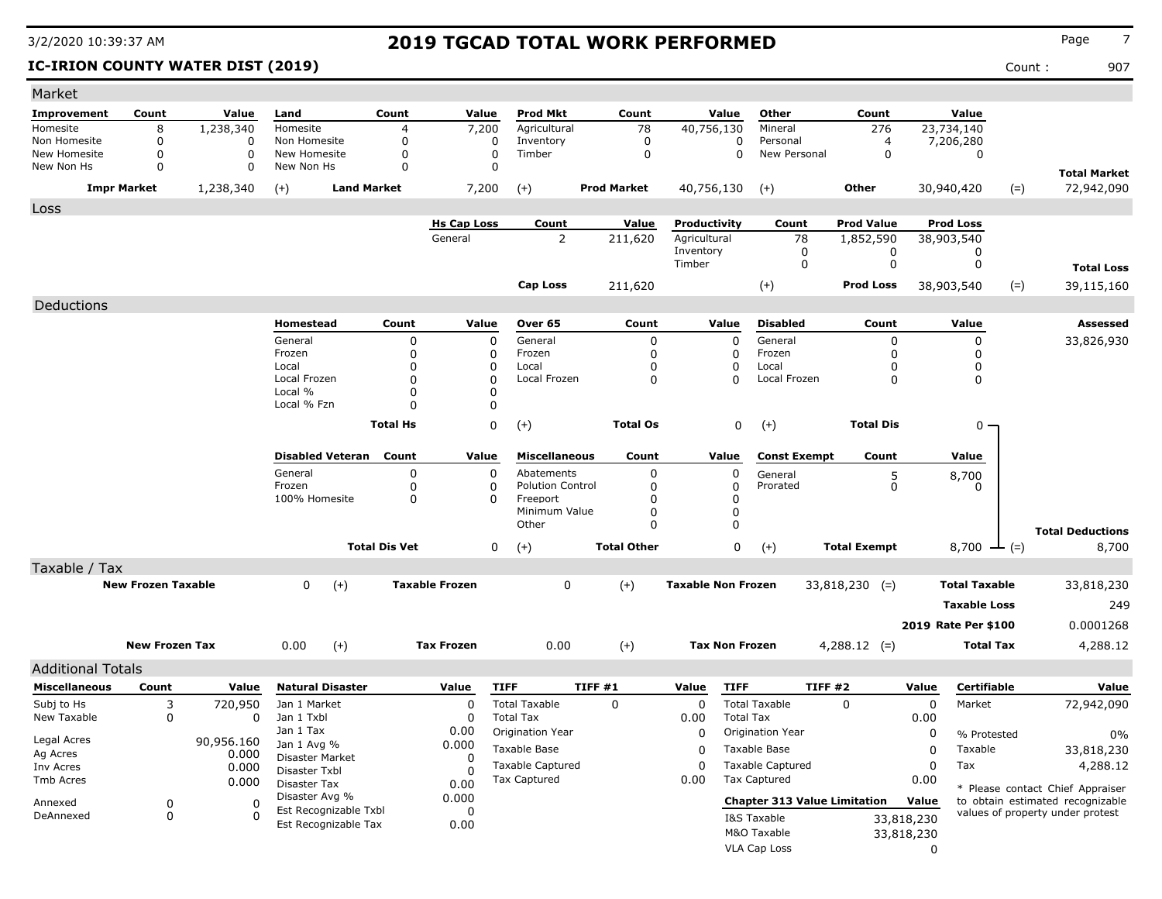### **IC-IRION COUNTY WATER DIST (2019)** Count : 907

| Market                   |                           |             |                                  |                      |                       |                         |                    |                           |                  |                                     |                     |            |                      |                                                                      |
|--------------------------|---------------------------|-------------|----------------------------------|----------------------|-----------------------|-------------------------|--------------------|---------------------------|------------------|-------------------------------------|---------------------|------------|----------------------|----------------------------------------------------------------------|
| Improvement              | Count                     | Value       | Land                             | Count                | Value                 | <b>Prod Mkt</b>         | Count              |                           | Value            | Other                               | Count               |            | Value                |                                                                      |
| Homesite                 | 8                         | 1,238,340   | Homesite                         | 4                    | 7,200                 | Agricultural            | 78                 | 40,756,130                |                  | Mineral                             | 276                 |            | 23,734,140           |                                                                      |
| Non Homesite             | $\Omega$                  | 0           | Non Homesite                     | 0                    | 0                     | Inventory               | 0                  |                           | 0                | Personal                            | 4                   |            | 7,206,280            |                                                                      |
| New Homesite             | 0                         | $\mathbf 0$ | New Homesite                     | 0                    | $\Omega$              | Timber                  | 0                  |                           | $\Omega$         | New Personal                        | 0                   |            | 0                    |                                                                      |
| New Non Hs               | $\Omega$                  | 0           | New Non Hs                       | $\Omega$             | $\Omega$              |                         |                    |                           |                  |                                     |                     |            |                      | <b>Total Market</b>                                                  |
|                          | <b>Impr Market</b>        | 1,238,340   | <b>Land Market</b><br>$(+)$      |                      | 7,200                 | $(+)$                   | <b>Prod Market</b> | 40,756,130                |                  | $(+)$                               | Other               |            | 30,940,420           | 72,942,090<br>$(=)$                                                  |
| Loss                     |                           |             |                                  |                      |                       |                         |                    |                           |                  |                                     |                     |            |                      |                                                                      |
|                          |                           |             |                                  |                      | <b>Hs Cap Loss</b>    | Count                   | Value              | Productivity              |                  | Count                               | <b>Prod Value</b>   |            | <b>Prod Loss</b>     |                                                                      |
|                          |                           |             |                                  |                      | General               | $\overline{2}$          | 211,620            | Agricultural              |                  | 78                                  | 1,852,590           |            | 38,903,540           |                                                                      |
|                          |                           |             |                                  |                      |                       |                         |                    | Inventory<br>Timber       |                  | 0<br>$\mathbf 0$                    | 0<br>$\mathbf 0$    |            | 0<br>0               |                                                                      |
|                          |                           |             |                                  |                      |                       |                         |                    |                           |                  |                                     |                     |            |                      | <b>Total Loss</b>                                                    |
|                          |                           |             |                                  |                      |                       | <b>Cap Loss</b>         | 211,620            |                           |                  | $(+)$                               | <b>Prod Loss</b>    |            | 38,903,540           | $(=)$<br>39,115,160                                                  |
| Deductions               |                           |             |                                  |                      |                       |                         |                    |                           |                  |                                     |                     |            |                      |                                                                      |
|                          |                           |             | Homestead                        | Count                | Value                 | Over 65                 | Count              |                           | Value            | <b>Disabled</b>                     | Count               |            | Value                | Assessed                                                             |
|                          |                           |             | General                          | 0                    | 0                     | General                 | 0                  |                           | 0                | General                             | 0                   |            | 0                    | 33,826,930                                                           |
|                          |                           |             | Frozen                           | $\mathbf{0}$         | 0                     | Frozen                  | 0                  |                           | 0                | Frozen                              | 0                   |            | 0                    |                                                                      |
|                          |                           |             | Local                            | $\mathbf 0$          | 0                     | Local                   | 0                  |                           | 0                | Local                               | 0                   |            | 0                    |                                                                      |
|                          |                           |             | Local Frozen<br>Local %          | O<br>$\mathbf 0$     | 0<br>0                | Local Frozen            | 0                  |                           | $\Omega$         | Local Frozen                        | 0                   |            | 0                    |                                                                      |
|                          |                           |             | Local % Fzn                      |                      | $\Omega$              |                         |                    |                           |                  |                                     |                     |            |                      |                                                                      |
|                          |                           |             |                                  |                      |                       |                         |                    |                           |                  |                                     |                     |            |                      |                                                                      |
|                          |                           |             |                                  | <b>Total Hs</b>      | 0                     | $(+)$                   | <b>Total Os</b>    |                           | 0                | $(+)$                               | <b>Total Dis</b>    |            | 0 -                  |                                                                      |
|                          |                           |             | <b>Disabled Veteran</b>          | Count                | Value                 | <b>Miscellaneous</b>    | Count              |                           | Value            | <b>Const Exempt</b>                 | Count               |            | Value                |                                                                      |
|                          |                           |             | General                          | 0                    | 0                     | Abatements              | 0                  |                           | 0                | General                             | 5                   |            | 8,700                |                                                                      |
|                          |                           |             | Frozen                           | 0                    | 0                     | <b>Polution Control</b> | 0                  |                           | 0                | Prorated                            | 0                   |            | 0                    |                                                                      |
|                          |                           |             | 100% Homesite                    | 0                    | $\Omega$              | Freeport                | 0                  |                           | 0                |                                     |                     |            |                      |                                                                      |
|                          |                           |             |                                  |                      |                       | Minimum Value<br>Other  | 0<br>0             |                           | 0<br>0           |                                     |                     |            |                      |                                                                      |
|                          |                           |             |                                  |                      |                       |                         |                    |                           |                  |                                     |                     |            |                      | <b>Total Deductions</b>                                              |
|                          |                           |             |                                  | <b>Total Dis Vet</b> | 0                     | $(+)$                   | <b>Total Other</b> |                           | 0                | $(+)$                               | <b>Total Exempt</b> |            | 8,700<br>$-(-)$      | 8,700                                                                |
| Taxable / Tax            |                           |             |                                  |                      |                       |                         |                    |                           |                  |                                     |                     |            |                      |                                                                      |
|                          | <b>New Frozen Taxable</b> |             | 0<br>$(+)$                       |                      | <b>Taxable Frozen</b> | $\mathbf 0$             | $(+)$              | <b>Taxable Non Frozen</b> |                  |                                     | $33,818,230$ (=)    |            | <b>Total Taxable</b> | 33,818,230                                                           |
|                          |                           |             |                                  |                      |                       |                         |                    |                           |                  |                                     |                     |            | <b>Taxable Loss</b>  | 249                                                                  |
|                          |                           |             |                                  |                      |                       |                         |                    |                           |                  |                                     |                     |            | 2019 Rate Per \$100  | 0.0001268                                                            |
|                          |                           |             |                                  |                      |                       |                         |                    |                           |                  |                                     |                     |            |                      |                                                                      |
|                          | <b>New Frozen Tax</b>     |             | 0.00<br>$(+)$                    |                      | <b>Tax Frozen</b>     | 0.00                    | $(+)$              | <b>Tax Non Frozen</b>     |                  |                                     | $4,288.12$ (=)      |            | <b>Total Tax</b>     | 4,288.12                                                             |
| <b>Additional Totals</b> |                           |             |                                  |                      |                       |                         |                    |                           |                  |                                     |                     |            |                      |                                                                      |
| <b>Miscellaneous</b>     | Count                     | Value       | <b>Natural Disaster</b>          |                      | Value                 | <b>TIFF</b>             | TIFF #1            | Value                     | <b>TIFF</b>      | TIFF #2                             |                     | Value      | Certifiable          | Value                                                                |
| Subj to Hs               | 3                         | 720,950     | Jan 1 Market                     |                      | 0                     | <b>Total Taxable</b>    | 0                  | 0                         |                  | <b>Total Taxable</b>                | 0                   | $\Omega$   | Market               | 72,942,090                                                           |
| New Taxable              | 0                         | 0           | Jan 1 Txbl                       |                      | 0                     | <b>Total Tax</b>        |                    | 0.00                      | <b>Total Tax</b> |                                     |                     | 0.00       |                      |                                                                      |
| Legal Acres              |                           | 90,956.160  | Jan 1 Tax                        |                      | 0.00                  | Origination Year        |                    | 0                         |                  | Origination Year                    |                     | 0          | % Protested          | $0\%$                                                                |
| Ag Acres                 |                           | 0.000       | Jan 1 Avg %                      |                      | 0.000                 | Taxable Base            |                    | 0                         |                  | Taxable Base                        |                     | 0          | Taxable              | 33,818,230                                                           |
| Inv Acres                |                           | 0.000       | Disaster Market<br>Disaster Txbl |                      | 0<br>$\Omega$         | <b>Taxable Captured</b> |                    | 0                         |                  | <b>Taxable Captured</b>             |                     | 0          | Tax                  | 4,288.12                                                             |
| Tmb Acres                |                           | 0.000       | Disaster Tax                     |                      | 0.00                  | <b>Tax Captured</b>     |                    | 0.00                      |                  | <b>Tax Captured</b>                 |                     | 0.00       |                      |                                                                      |
|                          |                           |             | Disaster Avg %                   |                      | 0.000                 |                         |                    |                           |                  | <b>Chapter 313 Value Limitation</b> |                     | Value      |                      | * Please contact Chief Appraiser<br>to obtain estimated recognizable |
| Annexed<br>DeAnnexed     | 0<br>0                    | 0<br>0      | Est Recognizable Txbl            |                      | 0                     |                         |                    |                           |                  |                                     |                     |            |                      | values of property under protest                                     |
|                          |                           |             | Est Recognizable Tax             |                      | 0.00                  |                         |                    |                           |                  | I&S Taxable                         |                     | 33,818,230 |                      |                                                                      |
|                          |                           |             |                                  |                      |                       |                         |                    |                           |                  | M&O Taxable                         |                     | 33,818,230 |                      |                                                                      |
|                          |                           |             |                                  |                      |                       |                         |                    |                           |                  | VLA Cap Loss                        |                     | 0          |                      |                                                                      |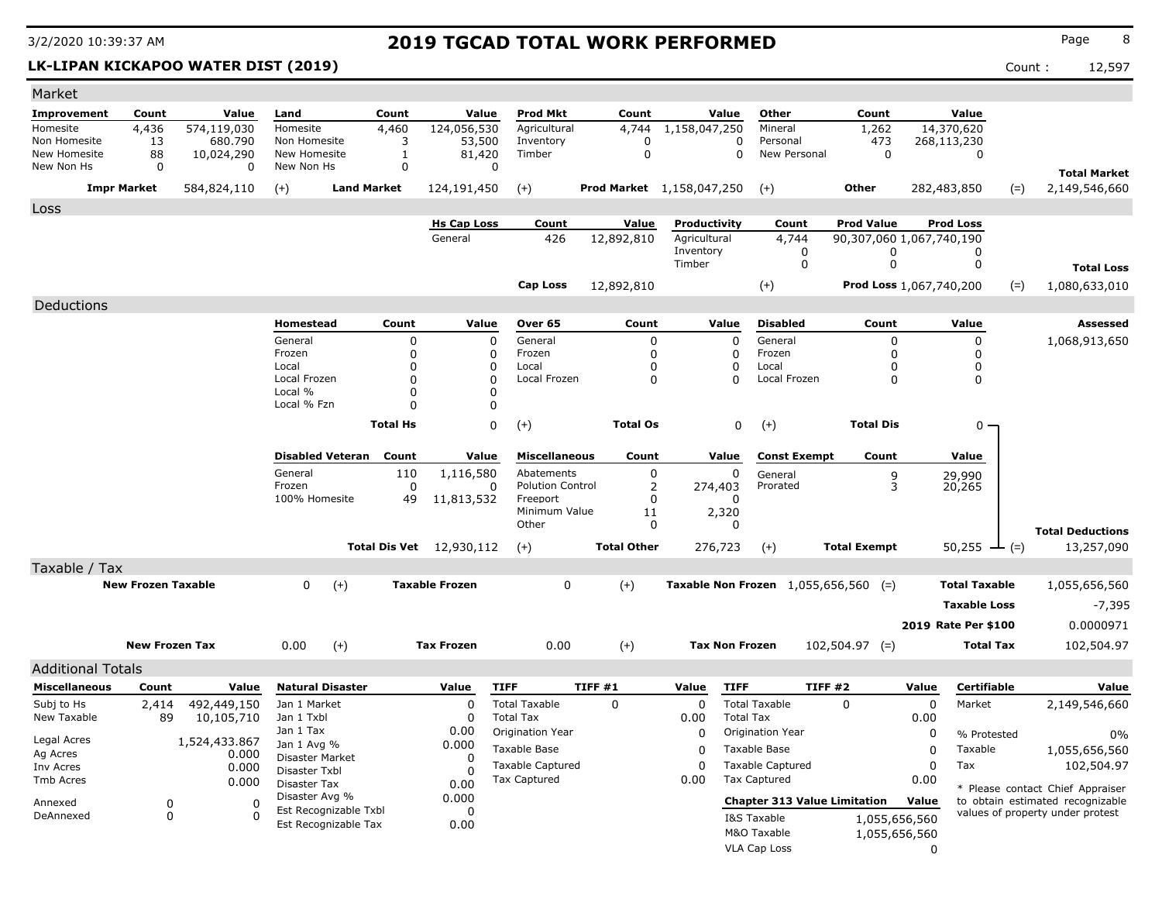### **LK-LIPAN KICKAPOO WATER DIST (2019)** Count : 12,597

| Market                   |                           |               |                                         |                      |                                 |                                                |                    |                             |                                                |                     |                          |                            |                                       |
|--------------------------|---------------------------|---------------|-----------------------------------------|----------------------|---------------------------------|------------------------------------------------|--------------------|-----------------------------|------------------------------------------------|---------------------|--------------------------|----------------------------|---------------------------------------|
| <b>Improvement</b>       | Count                     | Value         | Land                                    | Count                | Value                           | <b>Prod Mkt</b>                                | Count              | Value                       | Other                                          | Count               | Value                    |                            |                                       |
| Homesite                 | 4,436                     | 574,119,030   | Homesite                                | 4,460                | 124,056,530                     | Agricultural                                   | 4,744              | $\overline{1,1}$ 58,047,250 | Mineral                                        | 1,262               | $\overline{14,}370,620$  |                            |                                       |
| Non Homesite             | 13                        | 680.790       | Non Homesite                            | 3                    | 53,500                          | Inventory                                      | 0                  |                             | 0<br>Personal                                  | 473                 | 268,113,230              |                            |                                       |
| New Homesite             | 88                        | 10,024,290    | New Homesite                            | 1                    | 81,420                          | Timber                                         | $\mathbf 0$        |                             | 0<br>New Personal                              | 0                   |                          | 0                          |                                       |
| New Non Hs               | 0                         | $\Omega$      | New Non Hs                              | 0                    |                                 | 0                                              |                    |                             |                                                |                     |                          |                            | <b>Total Market</b>                   |
|                          | <b>Impr Market</b>        | 584,824,110   | $(+)$                                   | <b>Land Market</b>   | 124,191,450                     | $(+)$                                          |                    | Prod Market 1,158,047,250   | $(+)$                                          | Other               | 282,483,850              | $(=)$                      | 2,149,546,660                         |
| Loss                     |                           |               |                                         |                      |                                 |                                                |                    |                             |                                                |                     |                          |                            |                                       |
|                          |                           |               |                                         |                      | <b>Hs Cap Loss</b>              | Count                                          | Value              | Productivity                | Count                                          | <b>Prod Value</b>   | <b>Prod Loss</b>         |                            |                                       |
|                          |                           |               |                                         |                      | General                         | 426                                            | 12,892,810         | Agricultural                | 4,744                                          |                     | 90,307,060 1,067,740,190 |                            |                                       |
|                          |                           |               |                                         |                      |                                 |                                                |                    | Inventory<br>Timber         | 0<br>0                                         | 0<br>0              |                          | 0<br>0                     |                                       |
|                          |                           |               |                                         |                      |                                 |                                                |                    |                             |                                                |                     |                          |                            | <b>Total Loss</b>                     |
|                          |                           |               |                                         |                      |                                 | Cap Loss                                       | 12,892,810         |                             | $(+)$                                          |                     | Prod Loss 1,067,740,200  | $(=)$                      | 1,080,633,010                         |
| Deductions               |                           |               |                                         |                      |                                 |                                                |                    |                             |                                                |                     |                          |                            |                                       |
|                          |                           |               | Homestead                               | Count                | Value                           | Over 65                                        | Count              | Value                       | <b>Disabled</b>                                | Count               | Value                    |                            | Assessed                              |
|                          |                           |               | General                                 | 0                    |                                 | 0<br>General                                   | 0                  | $\Omega$                    | General                                        | 0                   |                          | 0                          | 1,068,913,650                         |
|                          |                           |               | Frozen                                  | $\Omega$             |                                 | 0<br>Frozen                                    | 0                  | 0                           | Frozen                                         | 0                   |                          | 0                          |                                       |
|                          |                           |               | Local<br>Local Frozen                   | $\Omega$<br>$\Omega$ |                                 | Local<br>0<br>$\Omega$<br>Local Frozen         | 0<br>$\mathbf{0}$  | 0<br>$\Omega$               | Local<br>Local Frozen                          | 0<br>0              |                          | 0<br>$\Omega$              |                                       |
|                          |                           |               | Local %                                 | $\Omega$             |                                 | 0                                              |                    |                             |                                                |                     |                          |                            |                                       |
|                          |                           |               | Local % Fzn                             | $\Omega$             |                                 | $\Omega$                                       |                    |                             |                                                |                     |                          |                            |                                       |
|                          |                           |               |                                         | <b>Total Hs</b>      |                                 | 0<br>$(+)$                                     | <b>Total Os</b>    | 0                           | $(+)$                                          | <b>Total Dis</b>    |                          | $0 -$                      |                                       |
|                          |                           |               |                                         |                      |                                 |                                                |                    |                             |                                                |                     |                          |                            |                                       |
|                          |                           |               | <b>Disabled Veteran</b>                 | Count                | Value                           | <b>Miscellaneous</b>                           | Count              | Value                       | <b>Const Exempt</b>                            | Count               | Value                    |                            |                                       |
|                          |                           |               | General                                 | 110                  | 1,116,580                       | Abatements                                     | 0                  | 0                           | General                                        | 9                   | 29,990                   |                            |                                       |
|                          |                           |               | Frozen                                  | 0                    |                                 | <b>Polution Control</b><br>0                   | 2                  | 274,403                     | Prorated                                       | 3                   | 20,265                   |                            |                                       |
|                          |                           |               | 100% Homesite                           | 49                   | 11,813,532                      | Freeport<br>Minimum Value                      | 0<br>11            | 0<br>2,320                  |                                                |                     |                          |                            |                                       |
|                          |                           |               |                                         |                      |                                 | Other                                          | 0                  | 0                           |                                                |                     |                          |                            |                                       |
|                          |                           |               |                                         |                      | <b>Total Dis Vet</b> 12,930,112 |                                                | <b>Total Other</b> | 276,723                     |                                                | <b>Total Exempt</b> |                          | $50,255$ $\rightarrow$ (=) | <b>Total Deductions</b><br>13,257,090 |
|                          |                           |               |                                         |                      |                                 | $(+)$                                          |                    |                             | $(+)$                                          |                     |                          |                            |                                       |
| Taxable / Tax            |                           |               |                                         |                      |                                 |                                                |                    |                             |                                                |                     |                          |                            |                                       |
|                          | <b>New Frozen Taxable</b> |               | 0                                       | $(+)$                | <b>Taxable Frozen</b>           | $\mathbf 0$                                    | $(+)$              |                             | Taxable Non Frozen $1,055,656,560$ (=)         |                     |                          | <b>Total Taxable</b>       | 1,055,656,560                         |
|                          |                           |               |                                         |                      |                                 |                                                |                    |                             |                                                |                     |                          | <b>Taxable Loss</b>        | $-7,395$                              |
|                          |                           |               |                                         |                      |                                 |                                                |                    |                             |                                                |                     | 2019 Rate Per \$100      |                            | 0.0000971                             |
|                          | <b>New Frozen Tax</b>     |               | 0.00                                    | $(+)$                | <b>Tax Frozen</b>               | 0.00                                           | $(+)$              | <b>Tax Non Frozen</b>       |                                                | $102,504.97$ (=)    |                          | <b>Total Tax</b>           | 102,504.97                            |
|                          |                           |               |                                         |                      |                                 |                                                |                    |                             |                                                |                     |                          |                            |                                       |
| <b>Additional Totals</b> |                           |               |                                         |                      |                                 |                                                |                    |                             |                                                |                     |                          |                            |                                       |
| <b>Miscellaneous</b>     | Count                     | Value         | <b>Natural Disaster</b>                 |                      | Value                           | <b>TIFF</b>                                    | TIFF #1            | <b>TIFF</b><br>Value        |                                                | TIFF#2              | Value                    | Certifiable                | Value                                 |
| Subj to Hs               | 2,414                     | 492,449,150   | Jan 1 Market                            |                      | $\Omega$                        | <b>Total Taxable</b>                           | $\Omega$           | 0                           | <b>Total Taxable</b>                           | 0                   | 0                        | Market                     | 2,149,546,660                         |
| New Taxable              | 89                        | 10,105,710    | Jan 1 Txbl<br>Jan 1 Tax                 |                      | 0<br>0.00                       | <b>Total Tax</b><br>Origination Year           |                    | 0.00                        | <b>Total Tax</b><br>Origination Year           |                     | 0.00                     |                            |                                       |
| Legal Acres              |                           | 1,524,433.867 | Jan 1 Avg %                             |                      | 0.000                           |                                                |                    | 0                           |                                                |                     | 0                        | % Protested                | 0%                                    |
| Ag Acres                 |                           | 0.000         | Disaster Market                         |                      | $\Omega$                        | Taxable Base                                   |                    | 0                           | Taxable Base                                   |                     | 0                        | Taxable                    | 1,055,656,560                         |
| Inv Acres                |                           | 0.000         | Disaster Txbl                           |                      | O                               | <b>Taxable Captured</b><br><b>Tax Captured</b> |                    | 0<br>0.00                   | <b>Taxable Captured</b><br><b>Tax Captured</b> |                     | 0<br>Tax<br>0.00         |                            | 102,504.97                            |
| Tmb Acres                |                           | 0.000         | Disaster Tax                            |                      | 0.00                            |                                                |                    |                             |                                                |                     |                          |                            | * Please contact Chief Appraiser      |
| Annexed                  | 0                         | 0             | Disaster Avg %<br>Est Recognizable Txbl |                      | 0.000                           |                                                |                    |                             | <b>Chapter 313 Value Limitation</b>            |                     | Value                    |                            | to obtain estimated recognizable      |
| DeAnnexed                | 0                         | 0             | Est Recognizable Tax                    |                      | 0<br>0.00                       |                                                |                    |                             | I&S Taxable                                    | 1,055,656,560       |                          |                            | values of property under protest      |
|                          |                           |               |                                         |                      |                                 |                                                |                    |                             | M&O Taxable                                    | 1,055,656,560       |                          |                            |                                       |
|                          |                           |               |                                         |                      |                                 |                                                |                    |                             | VLA Cap Loss                                   |                     | $\Omega$                 |                            |                                       |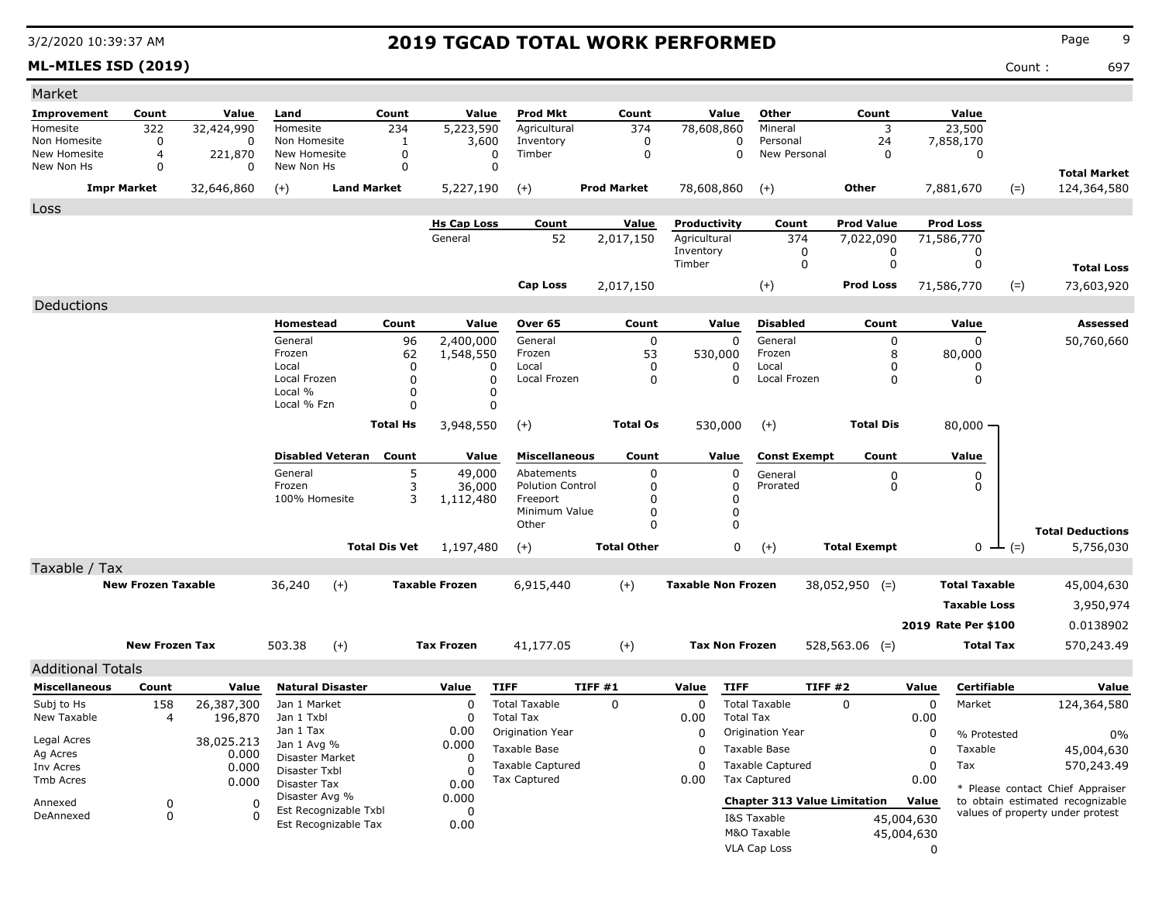**ML-MILES ISD (2019)** Count : 697

| Market                       |                               |                     |                                  |                         |                      |                               |                           |                    |                 |                              |                         |                                     |                                |             |                                |                                                                      |
|------------------------------|-------------------------------|---------------------|----------------------------------|-------------------------|----------------------|-------------------------------|---------------------------|--------------------|-----------------|------------------------------|-------------------------|-------------------------------------|--------------------------------|-------------|--------------------------------|----------------------------------------------------------------------|
| Improvement                  | Count                         | Value               | Land                             |                         | Count                | Value                         | <b>Prod Mkt</b>           |                    | Count           | Value                        | Other                   |                                     | Count                          |             | Value                          |                                                                      |
| Homesite                     | 322                           | 32,424,990          | Homesite                         |                         | 234                  | 5,223,590                     | Agricultural              |                    | 374             | 78,608,860                   | Mineral                 |                                     | 3                              |             | 23,500                         |                                                                      |
| Non Homesite<br>New Homesite | 0                             | 0                   | Non Homesite                     |                         | 1                    | 3,600                         | Inventory                 |                    | 0               | 0                            | Personal                |                                     | 24                             |             | 7,858,170                      |                                                                      |
| New Non Hs                   | $\overline{4}$<br>$\mathbf 0$ | 221,870<br>0        | New Homesite<br>New Non Hs       |                         | 0<br>0               | $\mathbf 0$<br>$\mathbf 0$    | Timber                    |                    | $\mathbf 0$     | 0                            | New Personal            |                                     | 0                              |             | 0                              |                                                                      |
|                              | <b>Impr Market</b>            | 32,646,860          |                                  | <b>Land Market</b>      |                      | 5,227,190                     |                           | <b>Prod Market</b> |                 | 78,608,860                   | $(+)$                   | Other                               |                                |             | 7,881,670                      | <b>Total Market</b><br>124,364,580                                   |
|                              |                               |                     | $(+)$                            |                         |                      |                               | $^{(+)}$                  |                    |                 |                              |                         |                                     |                                |             | $(=)$                          |                                                                      |
| Loss                         |                               |                     |                                  |                         |                      |                               |                           |                    |                 |                              |                         |                                     |                                |             |                                |                                                                      |
|                              |                               |                     |                                  |                         |                      | <b>Hs Cap Loss</b><br>General | Count<br>52               | 2,017,150          | Value           | Productivity<br>Agricultural | Count<br>374            |                                     | <b>Prod Value</b><br>7,022,090 |             | <b>Prod Loss</b><br>71,586,770 |                                                                      |
|                              |                               |                     |                                  |                         |                      |                               |                           |                    |                 | Inventory                    | 0                       |                                     | 0                              |             | 0                              |                                                                      |
|                              |                               |                     |                                  |                         |                      |                               |                           |                    |                 | Timber                       | 0                       |                                     | 0                              |             | 0                              | <b>Total Loss</b>                                                    |
|                              |                               |                     |                                  |                         |                      |                               | Cap Loss                  | 2,017,150          |                 |                              | $(+)$                   |                                     | <b>Prod Loss</b>               |             | $(=)$<br>71,586,770            | 73,603,920                                                           |
| Deductions                   |                               |                     |                                  |                         |                      |                               |                           |                    |                 |                              |                         |                                     |                                |             |                                |                                                                      |
|                              |                               |                     | Homestead                        |                         | Count                | Value                         | Over 65                   |                    | Count           | Value                        | <b>Disabled</b>         |                                     | Count                          |             | Value                          | Assessed                                                             |
|                              |                               |                     | General                          |                         | 96                   | 2,400,000                     | General                   |                    | 0               | 0                            | General                 |                                     | 0                              |             | 0                              | 50,760,660                                                           |
|                              |                               |                     | Frozen                           |                         | 62                   | 1,548,550                     | Frozen                    |                    | 53              | 530,000                      | Frozen                  |                                     | 8                              |             | 80,000                         |                                                                      |
|                              |                               |                     | Local                            |                         | 0                    | 0                             | Local                     |                    | 0               | <sup>0</sup>                 | Local                   |                                     | 0                              |             | $\Omega$                       |                                                                      |
|                              |                               |                     | Local Frozen<br>Local %          |                         | 0<br>0               | 0<br>0                        | Local Frozen              |                    | 0               | $\Omega$                     | Local Frozen            |                                     | 0                              |             | 0                              |                                                                      |
|                              |                               |                     | Local % Fzn                      |                         | $\Omega$             | 0                             |                           |                    |                 |                              |                         |                                     |                                |             |                                |                                                                      |
|                              |                               |                     |                                  |                         | <b>Total Hs</b>      | 3,948,550                     | $(+)$                     |                    | <b>Total Os</b> | 530,000                      | $(+)$                   |                                     | <b>Total Dis</b>               |             | $80,000 -$                     |                                                                      |
|                              |                               |                     |                                  |                         |                      |                               |                           |                    |                 |                              |                         |                                     |                                |             |                                |                                                                      |
|                              |                               |                     |                                  | <b>Disabled Veteran</b> | Count                | Value                         | <b>Miscellaneous</b>      |                    | Count           | Value                        | <b>Const Exempt</b>     |                                     | Count                          |             | Value                          |                                                                      |
|                              |                               |                     | General                          |                         | 5                    | 49,000                        | Abatements                |                    | 0               | 0                            | General                 |                                     | 0                              |             | 0                              |                                                                      |
|                              |                               |                     | Frozen                           |                         | 3                    | 36,000                        | <b>Polution Control</b>   |                    | 0               |                              | Prorated                |                                     | 0                              |             | 0                              |                                                                      |
|                              |                               |                     | 100% Homesite                    |                         | 3                    | 1,112,480                     | Freeport<br>Minimum Value |                    | 0<br>0          | 0<br>$\mathbf{0}$            |                         |                                     |                                |             |                                |                                                                      |
|                              |                               |                     |                                  |                         |                      |                               | Other                     |                    | 0               | $\mathbf{0}$                 |                         |                                     |                                |             |                                |                                                                      |
|                              |                               |                     |                                  |                         | <b>Total Dis Vet</b> | 1,197,480                     | $(+)$                     | <b>Total Other</b> |                 | 0                            | $(+)$                   | <b>Total Exempt</b>                 |                                |             | 0<br>$(=)$                     | <b>Total Deductions</b><br>5,756,030                                 |
| Taxable / Tax                |                               |                     |                                  |                         |                      |                               |                           |                    |                 |                              |                         |                                     |                                |             |                                |                                                                      |
|                              | <b>New Frozen Taxable</b>     |                     | 36,240                           | $(+)$                   |                      | <b>Taxable Frozen</b>         | 6,915,440                 | $(+)$              |                 | <b>Taxable Non Frozen</b>    |                         | $38,052,950$ (=)                    |                                |             | <b>Total Taxable</b>           | 45,004,630                                                           |
|                              |                               |                     |                                  |                         |                      |                               |                           |                    |                 |                              |                         |                                     |                                |             |                                |                                                                      |
|                              |                               |                     |                                  |                         |                      |                               |                           |                    |                 |                              |                         |                                     |                                |             | <b>Taxable Loss</b>            | 3,950,974                                                            |
|                              |                               |                     |                                  |                         |                      |                               |                           |                    |                 |                              |                         |                                     |                                |             | 2019 Rate Per \$100            | 0.0138902                                                            |
|                              | <b>New Frozen Tax</b>         |                     | 503.38                           | $(+)$                   |                      | <b>Tax Frozen</b>             | 41,177.05                 | $(+)$              |                 | <b>Tax Non Frozen</b>        |                         | $528,563.06$ (=)                    |                                |             | <b>Total Tax</b>               | 570,243.49                                                           |
| <b>Additional Totals</b>     |                               |                     |                                  |                         |                      |                               |                           |                    |                 |                              |                         |                                     |                                |             |                                |                                                                      |
| <b>Miscellaneous</b>         | Count                         | Value               |                                  | <b>Natural Disaster</b> |                      | Value                         | <b>TIFF</b>               | TIFF #1            |                 | Value<br><b>TIFF</b>         |                         | TIFF #2                             |                                | Value       | Certifiable                    | Value                                                                |
| Subj to Hs                   | 158                           | 26,387,300          | Jan 1 Market                     |                         |                      | 0                             | <b>Total Taxable</b>      | 0                  |                 | $\mathbf 0$                  | <b>Total Taxable</b>    | 0                                   |                                | 0           | Market                         | 124,364,580                                                          |
| New Taxable                  | 4                             | 196,870             | Jan 1 Txbl                       |                         |                      | 0                             | <b>Total Tax</b>          |                    |                 | 0.00                         | <b>Total Tax</b>        |                                     |                                | 0.00        |                                |                                                                      |
|                              |                               |                     | Jan 1 Tax                        |                         |                      | 0.00                          | Origination Year          |                    |                 | $\Omega$                     | Origination Year        |                                     |                                | 0           | % Protested                    | 0%                                                                   |
| Legal Acres<br>Ag Acres      |                               | 38,025.213<br>0.000 | Jan 1 Avg %                      |                         |                      | 0.000                         | Taxable Base              |                    |                 | 0                            | Taxable Base            |                                     |                                | 0           | Taxable                        | 45,004,630                                                           |
| Inv Acres                    |                               | 0.000               | Disaster Market<br>Disaster Txbl |                         |                      | 0<br>0                        | <b>Taxable Captured</b>   |                    |                 | $\mathbf 0$                  | <b>Taxable Captured</b> |                                     |                                | $\mathbf 0$ | Tax                            | 570,243.49                                                           |
| Tmb Acres                    |                               | 0.000               | Disaster Tax                     |                         |                      | 0.00                          | Tax Captured              |                    |                 | 0.00                         | Tax Captured            |                                     |                                | 0.00        |                                |                                                                      |
| Annexed                      | 0                             | $\Omega$            | Disaster Avg %                   |                         |                      | 0.000                         |                           |                    |                 |                              |                         | <b>Chapter 313 Value Limitation</b> |                                | Value       |                                | * Please contact Chief Appraiser<br>to obtain estimated recognizable |
| DeAnnexed                    | 0                             | $\Omega$            |                                  | Est Recognizable Txbl   |                      | 0                             |                           |                    |                 |                              | I&S Taxable             |                                     | 45,004,630                     |             |                                | values of property under protest                                     |
|                              |                               |                     |                                  | Est Recognizable Tax    |                      | 0.00                          |                           |                    |                 |                              | M&O Taxable             |                                     | 45,004,630                     |             |                                |                                                                      |
|                              |                               |                     |                                  |                         |                      |                               |                           |                    |                 |                              | VLA Cap Loss            |                                     |                                | 0           |                                |                                                                      |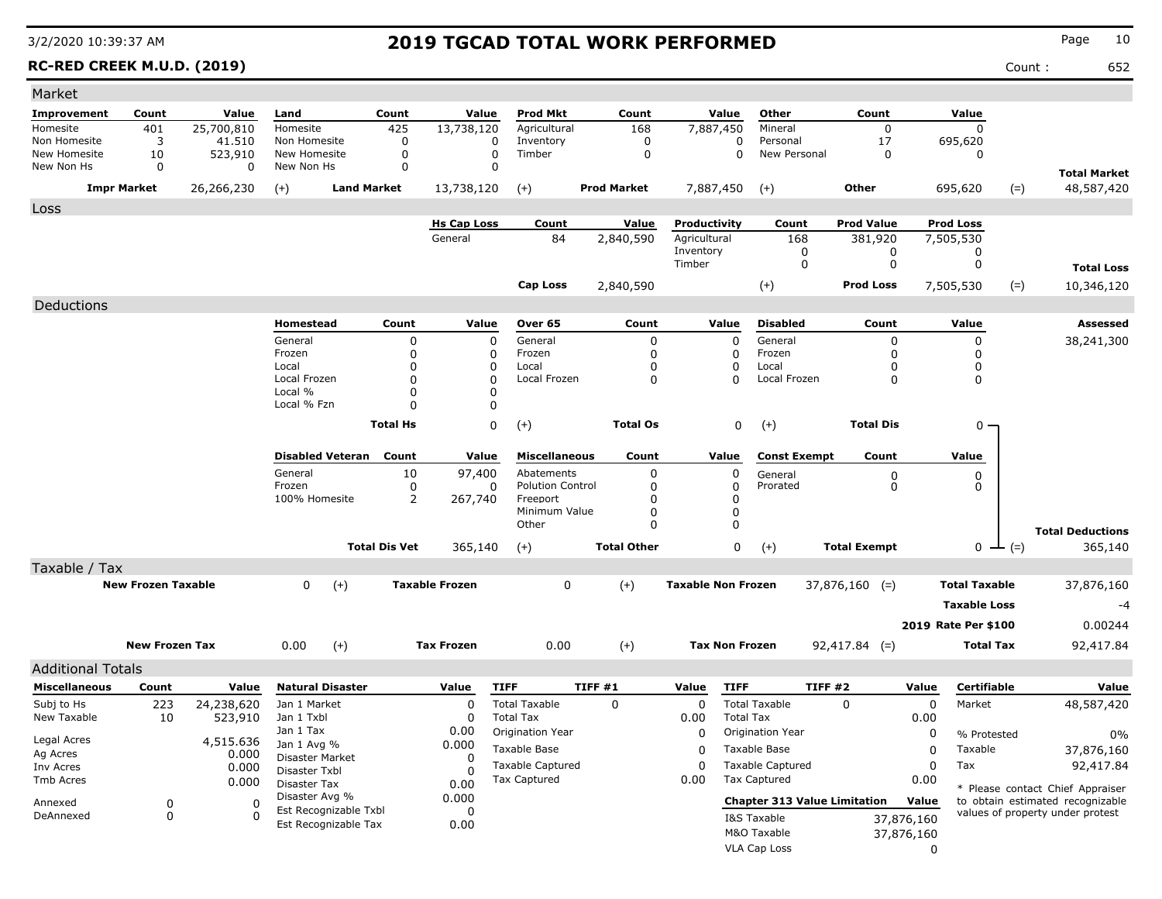**RC-RED CREEK M.U.D. (2019)** Count : 652

| Market                     |                           |                    |                                  |                            |                         |                           |                            |                           |                            |                                     |                     |            |                            |       |                                                                      |
|----------------------------|---------------------------|--------------------|----------------------------------|----------------------------|-------------------------|---------------------------|----------------------------|---------------------------|----------------------------|-------------------------------------|---------------------|------------|----------------------------|-------|----------------------------------------------------------------------|
| Improvement                | Count                     | Value              | Land                             | Count                      | Value                   | <b>Prod Mkt</b>           | Count                      |                           | Value                      | Other                               | Count               |            | Value                      |       |                                                                      |
| Homesite                   | 401                       | 25,700,810         | Homesite                         | 425                        | 13,738,120              | Agricultural              | 168                        | 7,887,450                 |                            | Mineral                             | $\mathbf 0$         |            | $\mathbf 0$                |       |                                                                      |
| Non Homesite               | 3                         | 41,510             | Non Homesite                     | 0                          | 0                       | Inventory                 | 0                          |                           | $\Omega$                   | Personal                            | 17                  |            | 695,620                    |       |                                                                      |
| New Homesite<br>New Non Hs | 10<br>0                   | 523,910<br>0       | New Homesite<br>New Non Hs       | $\mathbf 0$<br>$\mathbf 0$ | 0<br>0                  | Timber                    | $\mathsf 0$                |                           | $\Omega$                   | New Personal                        | $\Omega$            |            | $\Omega$                   |       |                                                                      |
|                            |                           |                    |                                  |                            |                         |                           |                            |                           |                            |                                     |                     |            |                            |       | <b>Total Market</b>                                                  |
|                            | <b>Impr Market</b>        | 26,266,230         | $(+)$                            | <b>Land Market</b>         | 13,738,120              | $(+)$                     | <b>Prod Market</b>         | 7,887,450                 |                            | $(+)$                               | <b>Other</b>        |            | 695,620                    | $(=)$ | 48,587,420                                                           |
| Loss                       |                           |                    |                                  |                            |                         |                           |                            |                           |                            |                                     |                     |            |                            |       |                                                                      |
|                            |                           |                    |                                  |                            | <b>Hs Cap Loss</b>      | Count                     | Value                      | Productivity              |                            | Count                               | <b>Prod Value</b>   |            | <b>Prod Loss</b>           |       |                                                                      |
|                            |                           |                    |                                  |                            | General                 | 84                        | 2,840,590                  | Agricultural<br>Inventory |                            | 168<br>0                            | 381,920<br>0        |            | 7,505,530<br>0             |       |                                                                      |
|                            |                           |                    |                                  |                            |                         |                           |                            | Timber                    |                            | 0                                   | $\mathbf 0$         |            | $\mathbf 0$                |       | <b>Total Loss</b>                                                    |
|                            |                           |                    |                                  |                            |                         | <b>Cap Loss</b>           | 2,840,590                  |                           |                            | $(+)$                               | <b>Prod Loss</b>    |            | 7,505,530                  | $(=)$ | 10,346,120                                                           |
|                            |                           |                    |                                  |                            |                         |                           |                            |                           |                            |                                     |                     |            |                            |       |                                                                      |
| Deductions                 |                           |                    |                                  |                            |                         |                           |                            |                           |                            |                                     |                     |            |                            |       |                                                                      |
|                            |                           |                    | <b>Homestead</b><br>General      | Count                      | Value                   | Over 65<br>General        | Count                      |                           | Value                      | <b>Disabled</b><br>General          | Count               |            | Value                      |       | <b>Assessed</b>                                                      |
|                            |                           |                    | Frozen                           | 0<br>0                     | $\mathbf 0$<br>$\Omega$ | Frozen                    | $\mathbf 0$<br>$\mathbf 0$ |                           | $\mathbf 0$<br>$\mathbf 0$ | Frozen                              | 0<br>0              |            | $\mathbf 0$<br>$\mathbf 0$ |       | 38,241,300                                                           |
|                            |                           |                    | Local                            | 0                          | $\Omega$                | Local                     | $\Omega$                   |                           | $\mathbf 0$                | Local                               | 0                   |            | $\mathbf 0$                |       |                                                                      |
|                            |                           |                    | Local Frozen                     | 0                          | $\Omega$                | Local Frozen              | $\mathbf 0$                |                           | $\mathbf 0$                | Local Frozen                        | $\Omega$            |            | $\mathbf 0$                |       |                                                                      |
|                            |                           |                    | Local %                          | 0                          | 0                       |                           |                            |                           |                            |                                     |                     |            |                            |       |                                                                      |
|                            |                           |                    | Local % Fzn                      | 0                          | 0                       |                           |                            |                           |                            |                                     |                     |            |                            |       |                                                                      |
|                            |                           |                    |                                  | <b>Total Hs</b>            | $\Omega$                | $(+)$                     | <b>Total Os</b>            |                           | 0                          | $(+)$                               | <b>Total Dis</b>    |            | 0                          |       |                                                                      |
|                            |                           |                    | <b>Disabled Veteran</b>          | Count                      | Value                   | <b>Miscellaneous</b>      | Count                      |                           | Value                      | <b>Const Exempt</b>                 | Count               |            | Value                      |       |                                                                      |
|                            |                           |                    | General                          | 10                         | 97,400                  | Abatements                | 0                          |                           | 0                          | General                             | 0                   |            | 0                          |       |                                                                      |
|                            |                           |                    | Frozen                           | $\mathbf 0$                | $\Omega$                | <b>Polution Control</b>   | $\Omega$                   |                           | $\mathbf 0$                | Prorated                            | 0                   |            | $\Omega$                   |       |                                                                      |
|                            |                           |                    | 100% Homesite                    | 2                          | 267,740                 | Freeport<br>Minimum Value | $\mathbf 0$<br>$\Omega$    |                           | $\mathbf 0$<br>$\mathbf 0$ |                                     |                     |            |                            |       |                                                                      |
|                            |                           |                    |                                  |                            |                         | Other                     | $\Omega$                   |                           | $\mathbf 0$                |                                     |                     |            |                            |       |                                                                      |
|                            |                           |                    |                                  | <b>Total Dis Vet</b>       | 365,140                 | $(+)$                     | <b>Total Other</b>         |                           | $\mathbf 0$                | $(+)$                               | <b>Total Exempt</b> |            | $0 \leftarrow (=)$         |       | <b>Total Deductions</b><br>365,140                                   |
| Taxable / Tax              |                           |                    |                                  |                            |                         |                           |                            |                           |                            |                                     |                     |            |                            |       |                                                                      |
|                            | <b>New Frozen Taxable</b> |                    | 0<br>$(+)$                       |                            | <b>Taxable Frozen</b>   | $\mathbf 0$               | $(+)$                      | <b>Taxable Non Frozen</b> |                            |                                     | $37,876,160$ (=)    |            | <b>Total Taxable</b>       |       | 37,876,160                                                           |
|                            |                           |                    |                                  |                            |                         |                           |                            |                           |                            |                                     |                     |            |                            |       |                                                                      |
|                            |                           |                    |                                  |                            |                         |                           |                            |                           |                            |                                     |                     |            | <b>Taxable Loss</b>        |       | $-4$                                                                 |
|                            |                           |                    |                                  |                            |                         |                           |                            |                           |                            |                                     |                     |            | 2019 Rate Per \$100        |       | 0.00244                                                              |
|                            | <b>New Frozen Tax</b>     |                    | 0.00<br>$(+)$                    |                            | <b>Tax Frozen</b>       | 0.00                      | $(+)$                      | <b>Tax Non Frozen</b>     |                            |                                     | 92,417.84 (=)       |            | <b>Total Tax</b>           |       | 92,417.84                                                            |
| <b>Additional Totals</b>   |                           |                    |                                  |                            |                         |                           |                            |                           |                            |                                     |                     |            |                            |       |                                                                      |
| <b>Miscellaneous</b>       | Count                     | Value              | <b>Natural Disaster</b>          |                            | Value                   | <b>TIFF</b>               | TIFF #1                    | Value                     | <b>TIFF</b>                | <b>TIFF #2</b>                      |                     | Value      | Certifiable                |       | Value                                                                |
| Subj to Hs                 | 223                       | 24,238,620         | Jan 1 Market                     |                            | $\mathbf 0$             | <b>Total Taxable</b>      | 0                          | 0                         |                            | <b>Total Taxable</b>                | $\mathbf 0$         | 0          | Market                     |       | 48,587,420                                                           |
| New Taxable                | 10                        | 523,910            | Jan 1 Txbl                       |                            | $\Omega$                | <b>Total Tax</b>          |                            | 0.00                      | <b>Total Tax</b>           |                                     |                     | 0.00       |                            |       |                                                                      |
| Legal Acres                |                           |                    | Jan 1 Tax                        |                            | 0.00                    | Origination Year          |                            | 0                         |                            | Origination Year                    |                     | 0          | % Protested                |       | $0\%$                                                                |
| Ag Acres                   |                           | 4,515.636<br>0.000 | Jan 1 Avg %                      |                            | 0.000                   | Taxable Base              |                            | $\Omega$                  |                            | Taxable Base                        |                     | $\Omega$   | Taxable                    |       | 37,876,160                                                           |
| Inv Acres                  |                           | 0.000              | Disaster Market<br>Disaster Txbl |                            | $\Omega$<br>0           | <b>Taxable Captured</b>   |                            | $\Omega$                  |                            | <b>Taxable Captured</b>             |                     | $\Omega$   | Tax                        |       | 92,417.84                                                            |
| Tmb Acres                  |                           | 0.000              | Disaster Tax                     |                            | 0.00                    | Tax Captured              |                            | 0.00                      |                            | <b>Tax Captured</b>                 |                     | 0.00       |                            |       |                                                                      |
| Annexed                    | $\mathbf 0$               | $\Omega$           | Disaster Avg %                   |                            | 0.000                   |                           |                            |                           |                            | <b>Chapter 313 Value Limitation</b> |                     | Value      |                            |       | * Please contact Chief Appraiser<br>to obtain estimated recognizable |
| DeAnnexed                  | $\mathbf 0$               | $\Omega$           | Est Recognizable Txbl            |                            | $\Omega$                |                           |                            |                           |                            | I&S Taxable                         |                     | 37,876,160 |                            |       | values of property under protest                                     |
|                            |                           |                    | Est Recognizable Tax             |                            | 0.00                    |                           |                            |                           |                            | M&O Taxable                         |                     | 37,876,160 |                            |       |                                                                      |
|                            |                           |                    |                                  |                            |                         |                           |                            |                           |                            | VLA Cap Loss                        |                     | $\Omega$   |                            |       |                                                                      |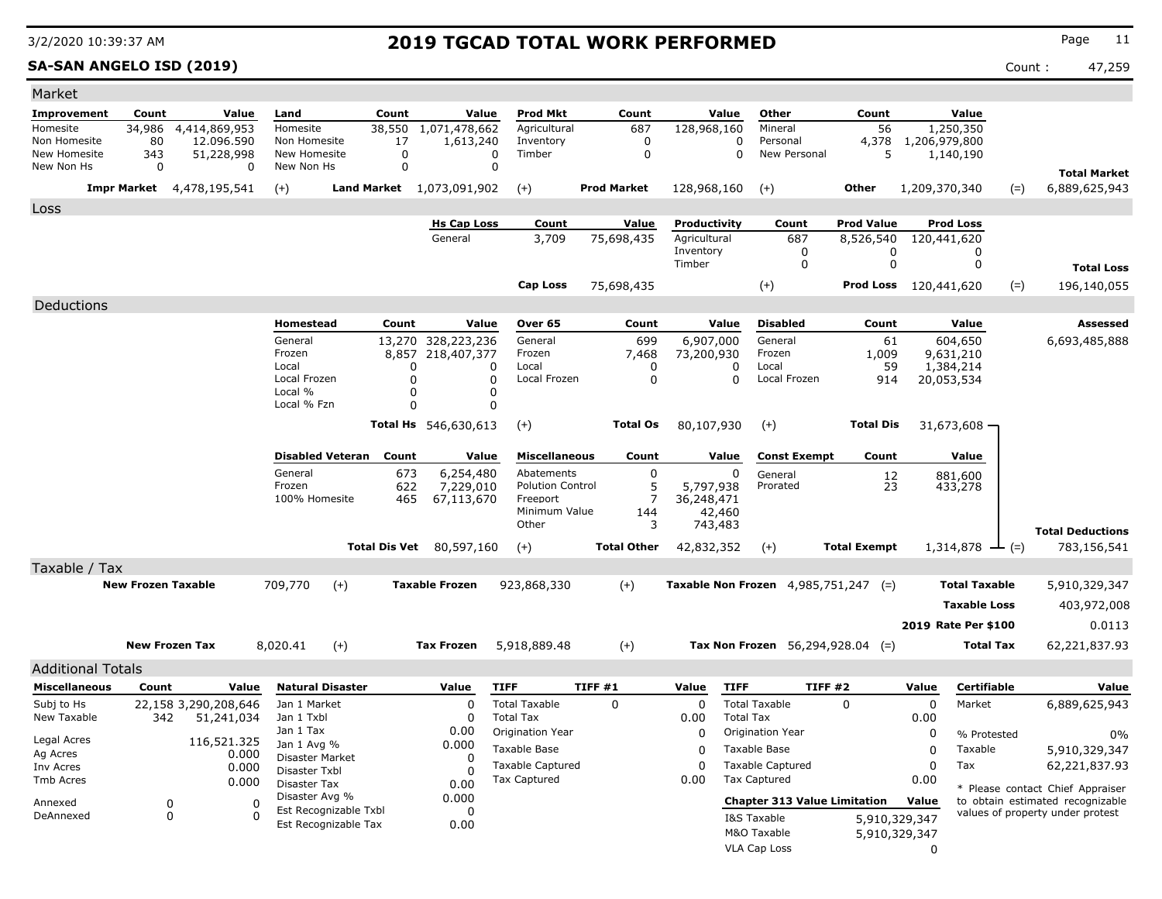### **SA-SAN ANGELO ISD (2019)** Count : 47,259

| <b>Prod Mkt</b><br>Other<br>Value<br>Value<br>Count<br>Count<br>Value<br>Count<br>Count<br>Land<br>Value<br>56<br>4,414,869,953<br>38,550<br>1,071,478,662<br>687<br>128,968,160<br>1,250,350<br>34,986<br>Homesite<br>Agricultural<br>Mineral<br>12.096.590<br>Non Homesite<br>1,613,240<br>0<br>4,378<br>1,206,979,800<br>Non Homesite<br>80<br>17<br>Inventory<br>0<br>Personal<br>0<br>New Personal<br>5<br>New Homesite<br>51,228,998<br>New Homesite<br>Timber<br>0<br>0<br>343<br>0<br>1,140,190<br>$\Omega$<br>0<br>New Non Hs<br>0<br>New Non Hs<br>0<br><b>Total Market</b><br>Land Market 1,073,091,902<br><b>Prod Market</b><br>128,968,160<br>Other<br>1,209,370,340<br>6,889,625,943<br>Impr Market<br>4,478,195,541<br>$(+)$<br>$(+)$<br>$(+)$<br>$(=)$<br>Productivity<br><b>Prod Value</b><br><b>Prod Loss</b><br><b>Hs Cap Loss</b><br>Count<br>Value<br>Count<br>3,709<br>General<br>75,698,435<br>Agricultural<br>687<br>8,526,540<br>120,441,620<br>Inventory<br>0<br>0<br>0<br>0<br>0<br>Timber<br>0<br><b>Total Loss</b><br>$(+)$<br>120,441,620<br><b>Cap Loss</b><br>75,698,435<br>Prod Loss<br>$(=)$<br>196,140,055<br>Deductions<br>Homestead<br>Count<br>Over 65<br>Value<br><b>Disabled</b><br>Count<br>Value<br>Assessed<br>Value<br>Count<br>13,270 328,223,236<br>General<br>General<br>General<br>699<br>6,907,000<br>61<br>604,650<br>6,693,485,888<br>Frozen<br>8,857<br>218,407,377<br>7,468<br>Frozen<br>1,009<br>Frozen<br>73,200,930<br>9,631,210<br>59<br>1,384,214<br>Local<br>Local<br>0<br>0<br>Local<br>$\Omega$<br>0<br>Local Frozen<br>Local Frozen<br>0<br>914<br>20,053,534<br>$\Omega$<br>0<br>$\Omega$<br>Local Frozen<br>Local %<br>O<br>0<br>Local % Fzn<br>$\Omega$<br>0<br>Total Hs 546,630,613<br><b>Total Os</b><br>80,107,930<br>$(+)$<br><b>Total Dis</b><br>$(+)$<br>31,673,608<br><b>Disabled Veteran</b><br><b>Miscellaneous</b><br><b>Const Exempt</b><br>Value<br>Count<br>Value<br>Count<br>Value<br>Count<br>General<br>673<br>6,254,480<br>0<br>Abatements<br>0<br>General<br>$\frac{12}{23}$<br>881,600<br>5<br>Frozen<br>622<br>7,229,010<br><b>Polution Control</b><br>5,797,938<br>Prorated<br>433,278<br>7<br>100% Homesite<br>465<br>36,248,471<br>67,113,670<br>Freeport<br>Minimum Value<br>144<br>42,460<br>Other<br>3<br>743,483<br><b>Total Deductions</b><br>Total Dis Vet<br>80,597,160<br><b>Total Other</b><br><b>Total Exempt</b><br>$(+)$<br>42,832,352<br>$(+)$<br>$1,314,878$ — (=)<br>783,156,541<br>Taxable / Tax<br>$(+)$<br><b>New Frozen Taxable</b><br>709,770<br>$(+)$<br><b>Taxable Frozen</b><br><b>Taxable Non Frozen</b> $4,985,751,247$ (=)<br><b>Total Taxable</b><br>923,868,330<br>5,910,329,347<br><b>Taxable Loss</b><br>403,972,008<br>2019 Rate Per \$100<br>0.0113<br><b>New Frozen Tax</b><br>8,020.41<br>$(+)$<br><b>Tax Frozen</b><br>5,918,889.48<br>$(+)$<br>Tax Non Frozen $56,294,928.04$ (=)<br>62,221,837.93<br><b>Total Tax</b><br><b>Additional Totals</b><br>TIFF#1<br>TIFF #2<br><b>Miscellaneous</b><br><b>Natural Disaster</b><br>Value<br><b>TIFF</b><br>Value<br><b>TIFF</b><br>Value<br>Certifiable<br>Value<br>Count<br>Value<br><b>Total Taxable</b><br>0<br>$\mathbf 0$<br><b>Total Taxable</b><br>0<br>0<br>Market<br>Subj to Hs<br>22,158 3,290,208,646<br>Jan 1 Market<br>0<br>6,889,625,943<br>New Taxable<br><b>Total Tax</b><br><b>Total Tax</b><br>342<br>51,241,034<br>Jan 1 Txbl<br>0.00<br>0.00<br>0<br>Jan 1 Tax<br>0.00<br>Origination Year<br>0<br>Origination Year<br>0<br>% Protested<br>$0\%$<br>Legal Acres<br>116,521.325<br>0.000<br>Jan 1 Avg %<br>Taxable Base<br>0<br>Taxable Base<br>0<br>Taxable<br>5,910,329,347<br>Ag Acres<br>0.000<br>Disaster Market<br>0<br><b>Taxable Captured</b><br><b>Taxable Captured</b><br>0<br>0<br>Tax<br>62,221,837.93<br>Inv Acres<br>0.000<br>Disaster Txbl<br><sup>0</sup><br>Tax Captured<br><b>Tax Captured</b><br>0.00<br>0.00<br>0.000<br>Disaster Tax<br>0.00<br>* Please contact Chief Appraiser<br>Disaster Avg %<br>0.000<br>to obtain estimated recognizable<br><b>Chapter 313 Value Limitation</b><br>Value | Market               |  |   |  |  |  |  |  |  |
|----------------------------------------------------------------------------------------------------------------------------------------------------------------------------------------------------------------------------------------------------------------------------------------------------------------------------------------------------------------------------------------------------------------------------------------------------------------------------------------------------------------------------------------------------------------------------------------------------------------------------------------------------------------------------------------------------------------------------------------------------------------------------------------------------------------------------------------------------------------------------------------------------------------------------------------------------------------------------------------------------------------------------------------------------------------------------------------------------------------------------------------------------------------------------------------------------------------------------------------------------------------------------------------------------------------------------------------------------------------------------------------------------------------------------------------------------------------------------------------------------------------------------------------------------------------------------------------------------------------------------------------------------------------------------------------------------------------------------------------------------------------------------------------------------------------------------------------------------------------------------------------------------------------------------------------------------------------------------------------------------------------------------------------------------------------------------------------------------------------------------------------------------------------------------------------------------------------------------------------------------------------------------------------------------------------------------------------------------------------------------------------------------------------------------------------------------------------------------------------------------------------------------------------------------------------------------------------------------------------------------------------------------------------------------------------------------------------------------------------------------------------------------------------------------------------------------------------------------------------------------------------------------------------------------------------------------------------------------------------------------------------------------------------------------------------------------------------------------------------------------------------------------------------------------------------------------------------------------------------------------------------------------------------------------------------------------------------------------------------------------------------------------------------------------------------------------------------------------------------------------------------------------------------------------------------------------------------------------------------------------------------------------------------------------------------------------------------------------------------------------------------------------------------------------------------------------------------------------------------------------------------------------------------------------------------------------------------------------------------------------------------------------------------------------------------------------------------------------------------|----------------------|--|---|--|--|--|--|--|--|
|                                                                                                                                                                                                                                                                                                                                                                                                                                                                                                                                                                                                                                                                                                                                                                                                                                                                                                                                                                                                                                                                                                                                                                                                                                                                                                                                                                                                                                                                                                                                                                                                                                                                                                                                                                                                                                                                                                                                                                                                                                                                                                                                                                                                                                                                                                                                                                                                                                                                                                                                                                                                                                                                                                                                                                                                                                                                                                                                                                                                                                                                                                                                                                                                                                                                                                                                                                                                                                                                                                                                                                                                                                                                                                                                                                                                                                                                                                                                                                                                                                                                                                                | <b>Improvement</b>   |  |   |  |  |  |  |  |  |
|                                                                                                                                                                                                                                                                                                                                                                                                                                                                                                                                                                                                                                                                                                                                                                                                                                                                                                                                                                                                                                                                                                                                                                                                                                                                                                                                                                                                                                                                                                                                                                                                                                                                                                                                                                                                                                                                                                                                                                                                                                                                                                                                                                                                                                                                                                                                                                                                                                                                                                                                                                                                                                                                                                                                                                                                                                                                                                                                                                                                                                                                                                                                                                                                                                                                                                                                                                                                                                                                                                                                                                                                                                                                                                                                                                                                                                                                                                                                                                                                                                                                                                                | Homesite             |  |   |  |  |  |  |  |  |
|                                                                                                                                                                                                                                                                                                                                                                                                                                                                                                                                                                                                                                                                                                                                                                                                                                                                                                                                                                                                                                                                                                                                                                                                                                                                                                                                                                                                                                                                                                                                                                                                                                                                                                                                                                                                                                                                                                                                                                                                                                                                                                                                                                                                                                                                                                                                                                                                                                                                                                                                                                                                                                                                                                                                                                                                                                                                                                                                                                                                                                                                                                                                                                                                                                                                                                                                                                                                                                                                                                                                                                                                                                                                                                                                                                                                                                                                                                                                                                                                                                                                                                                |                      |  |   |  |  |  |  |  |  |
|                                                                                                                                                                                                                                                                                                                                                                                                                                                                                                                                                                                                                                                                                                                                                                                                                                                                                                                                                                                                                                                                                                                                                                                                                                                                                                                                                                                                                                                                                                                                                                                                                                                                                                                                                                                                                                                                                                                                                                                                                                                                                                                                                                                                                                                                                                                                                                                                                                                                                                                                                                                                                                                                                                                                                                                                                                                                                                                                                                                                                                                                                                                                                                                                                                                                                                                                                                                                                                                                                                                                                                                                                                                                                                                                                                                                                                                                                                                                                                                                                                                                                                                |                      |  |   |  |  |  |  |  |  |
|                                                                                                                                                                                                                                                                                                                                                                                                                                                                                                                                                                                                                                                                                                                                                                                                                                                                                                                                                                                                                                                                                                                                                                                                                                                                                                                                                                                                                                                                                                                                                                                                                                                                                                                                                                                                                                                                                                                                                                                                                                                                                                                                                                                                                                                                                                                                                                                                                                                                                                                                                                                                                                                                                                                                                                                                                                                                                                                                                                                                                                                                                                                                                                                                                                                                                                                                                                                                                                                                                                                                                                                                                                                                                                                                                                                                                                                                                                                                                                                                                                                                                                                |                      |  |   |  |  |  |  |  |  |
|                                                                                                                                                                                                                                                                                                                                                                                                                                                                                                                                                                                                                                                                                                                                                                                                                                                                                                                                                                                                                                                                                                                                                                                                                                                                                                                                                                                                                                                                                                                                                                                                                                                                                                                                                                                                                                                                                                                                                                                                                                                                                                                                                                                                                                                                                                                                                                                                                                                                                                                                                                                                                                                                                                                                                                                                                                                                                                                                                                                                                                                                                                                                                                                                                                                                                                                                                                                                                                                                                                                                                                                                                                                                                                                                                                                                                                                                                                                                                                                                                                                                                                                |                      |  |   |  |  |  |  |  |  |
|                                                                                                                                                                                                                                                                                                                                                                                                                                                                                                                                                                                                                                                                                                                                                                                                                                                                                                                                                                                                                                                                                                                                                                                                                                                                                                                                                                                                                                                                                                                                                                                                                                                                                                                                                                                                                                                                                                                                                                                                                                                                                                                                                                                                                                                                                                                                                                                                                                                                                                                                                                                                                                                                                                                                                                                                                                                                                                                                                                                                                                                                                                                                                                                                                                                                                                                                                                                                                                                                                                                                                                                                                                                                                                                                                                                                                                                                                                                                                                                                                                                                                                                | Loss                 |  |   |  |  |  |  |  |  |
|                                                                                                                                                                                                                                                                                                                                                                                                                                                                                                                                                                                                                                                                                                                                                                                                                                                                                                                                                                                                                                                                                                                                                                                                                                                                                                                                                                                                                                                                                                                                                                                                                                                                                                                                                                                                                                                                                                                                                                                                                                                                                                                                                                                                                                                                                                                                                                                                                                                                                                                                                                                                                                                                                                                                                                                                                                                                                                                                                                                                                                                                                                                                                                                                                                                                                                                                                                                                                                                                                                                                                                                                                                                                                                                                                                                                                                                                                                                                                                                                                                                                                                                |                      |  |   |  |  |  |  |  |  |
|                                                                                                                                                                                                                                                                                                                                                                                                                                                                                                                                                                                                                                                                                                                                                                                                                                                                                                                                                                                                                                                                                                                                                                                                                                                                                                                                                                                                                                                                                                                                                                                                                                                                                                                                                                                                                                                                                                                                                                                                                                                                                                                                                                                                                                                                                                                                                                                                                                                                                                                                                                                                                                                                                                                                                                                                                                                                                                                                                                                                                                                                                                                                                                                                                                                                                                                                                                                                                                                                                                                                                                                                                                                                                                                                                                                                                                                                                                                                                                                                                                                                                                                |                      |  |   |  |  |  |  |  |  |
|                                                                                                                                                                                                                                                                                                                                                                                                                                                                                                                                                                                                                                                                                                                                                                                                                                                                                                                                                                                                                                                                                                                                                                                                                                                                                                                                                                                                                                                                                                                                                                                                                                                                                                                                                                                                                                                                                                                                                                                                                                                                                                                                                                                                                                                                                                                                                                                                                                                                                                                                                                                                                                                                                                                                                                                                                                                                                                                                                                                                                                                                                                                                                                                                                                                                                                                                                                                                                                                                                                                                                                                                                                                                                                                                                                                                                                                                                                                                                                                                                                                                                                                |                      |  |   |  |  |  |  |  |  |
|                                                                                                                                                                                                                                                                                                                                                                                                                                                                                                                                                                                                                                                                                                                                                                                                                                                                                                                                                                                                                                                                                                                                                                                                                                                                                                                                                                                                                                                                                                                                                                                                                                                                                                                                                                                                                                                                                                                                                                                                                                                                                                                                                                                                                                                                                                                                                                                                                                                                                                                                                                                                                                                                                                                                                                                                                                                                                                                                                                                                                                                                                                                                                                                                                                                                                                                                                                                                                                                                                                                                                                                                                                                                                                                                                                                                                                                                                                                                                                                                                                                                                                                |                      |  |   |  |  |  |  |  |  |
|                                                                                                                                                                                                                                                                                                                                                                                                                                                                                                                                                                                                                                                                                                                                                                                                                                                                                                                                                                                                                                                                                                                                                                                                                                                                                                                                                                                                                                                                                                                                                                                                                                                                                                                                                                                                                                                                                                                                                                                                                                                                                                                                                                                                                                                                                                                                                                                                                                                                                                                                                                                                                                                                                                                                                                                                                                                                                                                                                                                                                                                                                                                                                                                                                                                                                                                                                                                                                                                                                                                                                                                                                                                                                                                                                                                                                                                                                                                                                                                                                                                                                                                |                      |  |   |  |  |  |  |  |  |
|                                                                                                                                                                                                                                                                                                                                                                                                                                                                                                                                                                                                                                                                                                                                                                                                                                                                                                                                                                                                                                                                                                                                                                                                                                                                                                                                                                                                                                                                                                                                                                                                                                                                                                                                                                                                                                                                                                                                                                                                                                                                                                                                                                                                                                                                                                                                                                                                                                                                                                                                                                                                                                                                                                                                                                                                                                                                                                                                                                                                                                                                                                                                                                                                                                                                                                                                                                                                                                                                                                                                                                                                                                                                                                                                                                                                                                                                                                                                                                                                                                                                                                                |                      |  |   |  |  |  |  |  |  |
|                                                                                                                                                                                                                                                                                                                                                                                                                                                                                                                                                                                                                                                                                                                                                                                                                                                                                                                                                                                                                                                                                                                                                                                                                                                                                                                                                                                                                                                                                                                                                                                                                                                                                                                                                                                                                                                                                                                                                                                                                                                                                                                                                                                                                                                                                                                                                                                                                                                                                                                                                                                                                                                                                                                                                                                                                                                                                                                                                                                                                                                                                                                                                                                                                                                                                                                                                                                                                                                                                                                                                                                                                                                                                                                                                                                                                                                                                                                                                                                                                                                                                                                |                      |  |   |  |  |  |  |  |  |
|                                                                                                                                                                                                                                                                                                                                                                                                                                                                                                                                                                                                                                                                                                                                                                                                                                                                                                                                                                                                                                                                                                                                                                                                                                                                                                                                                                                                                                                                                                                                                                                                                                                                                                                                                                                                                                                                                                                                                                                                                                                                                                                                                                                                                                                                                                                                                                                                                                                                                                                                                                                                                                                                                                                                                                                                                                                                                                                                                                                                                                                                                                                                                                                                                                                                                                                                                                                                                                                                                                                                                                                                                                                                                                                                                                                                                                                                                                                                                                                                                                                                                                                |                      |  |   |  |  |  |  |  |  |
|                                                                                                                                                                                                                                                                                                                                                                                                                                                                                                                                                                                                                                                                                                                                                                                                                                                                                                                                                                                                                                                                                                                                                                                                                                                                                                                                                                                                                                                                                                                                                                                                                                                                                                                                                                                                                                                                                                                                                                                                                                                                                                                                                                                                                                                                                                                                                                                                                                                                                                                                                                                                                                                                                                                                                                                                                                                                                                                                                                                                                                                                                                                                                                                                                                                                                                                                                                                                                                                                                                                                                                                                                                                                                                                                                                                                                                                                                                                                                                                                                                                                                                                |                      |  |   |  |  |  |  |  |  |
|                                                                                                                                                                                                                                                                                                                                                                                                                                                                                                                                                                                                                                                                                                                                                                                                                                                                                                                                                                                                                                                                                                                                                                                                                                                                                                                                                                                                                                                                                                                                                                                                                                                                                                                                                                                                                                                                                                                                                                                                                                                                                                                                                                                                                                                                                                                                                                                                                                                                                                                                                                                                                                                                                                                                                                                                                                                                                                                                                                                                                                                                                                                                                                                                                                                                                                                                                                                                                                                                                                                                                                                                                                                                                                                                                                                                                                                                                                                                                                                                                                                                                                                |                      |  |   |  |  |  |  |  |  |
|                                                                                                                                                                                                                                                                                                                                                                                                                                                                                                                                                                                                                                                                                                                                                                                                                                                                                                                                                                                                                                                                                                                                                                                                                                                                                                                                                                                                                                                                                                                                                                                                                                                                                                                                                                                                                                                                                                                                                                                                                                                                                                                                                                                                                                                                                                                                                                                                                                                                                                                                                                                                                                                                                                                                                                                                                                                                                                                                                                                                                                                                                                                                                                                                                                                                                                                                                                                                                                                                                                                                                                                                                                                                                                                                                                                                                                                                                                                                                                                                                                                                                                                |                      |  |   |  |  |  |  |  |  |
|                                                                                                                                                                                                                                                                                                                                                                                                                                                                                                                                                                                                                                                                                                                                                                                                                                                                                                                                                                                                                                                                                                                                                                                                                                                                                                                                                                                                                                                                                                                                                                                                                                                                                                                                                                                                                                                                                                                                                                                                                                                                                                                                                                                                                                                                                                                                                                                                                                                                                                                                                                                                                                                                                                                                                                                                                                                                                                                                                                                                                                                                                                                                                                                                                                                                                                                                                                                                                                                                                                                                                                                                                                                                                                                                                                                                                                                                                                                                                                                                                                                                                                                |                      |  |   |  |  |  |  |  |  |
|                                                                                                                                                                                                                                                                                                                                                                                                                                                                                                                                                                                                                                                                                                                                                                                                                                                                                                                                                                                                                                                                                                                                                                                                                                                                                                                                                                                                                                                                                                                                                                                                                                                                                                                                                                                                                                                                                                                                                                                                                                                                                                                                                                                                                                                                                                                                                                                                                                                                                                                                                                                                                                                                                                                                                                                                                                                                                                                                                                                                                                                                                                                                                                                                                                                                                                                                                                                                                                                                                                                                                                                                                                                                                                                                                                                                                                                                                                                                                                                                                                                                                                                |                      |  |   |  |  |  |  |  |  |
|                                                                                                                                                                                                                                                                                                                                                                                                                                                                                                                                                                                                                                                                                                                                                                                                                                                                                                                                                                                                                                                                                                                                                                                                                                                                                                                                                                                                                                                                                                                                                                                                                                                                                                                                                                                                                                                                                                                                                                                                                                                                                                                                                                                                                                                                                                                                                                                                                                                                                                                                                                                                                                                                                                                                                                                                                                                                                                                                                                                                                                                                                                                                                                                                                                                                                                                                                                                                                                                                                                                                                                                                                                                                                                                                                                                                                                                                                                                                                                                                                                                                                                                |                      |  |   |  |  |  |  |  |  |
|                                                                                                                                                                                                                                                                                                                                                                                                                                                                                                                                                                                                                                                                                                                                                                                                                                                                                                                                                                                                                                                                                                                                                                                                                                                                                                                                                                                                                                                                                                                                                                                                                                                                                                                                                                                                                                                                                                                                                                                                                                                                                                                                                                                                                                                                                                                                                                                                                                                                                                                                                                                                                                                                                                                                                                                                                                                                                                                                                                                                                                                                                                                                                                                                                                                                                                                                                                                                                                                                                                                                                                                                                                                                                                                                                                                                                                                                                                                                                                                                                                                                                                                |                      |  |   |  |  |  |  |  |  |
|                                                                                                                                                                                                                                                                                                                                                                                                                                                                                                                                                                                                                                                                                                                                                                                                                                                                                                                                                                                                                                                                                                                                                                                                                                                                                                                                                                                                                                                                                                                                                                                                                                                                                                                                                                                                                                                                                                                                                                                                                                                                                                                                                                                                                                                                                                                                                                                                                                                                                                                                                                                                                                                                                                                                                                                                                                                                                                                                                                                                                                                                                                                                                                                                                                                                                                                                                                                                                                                                                                                                                                                                                                                                                                                                                                                                                                                                                                                                                                                                                                                                                                                |                      |  |   |  |  |  |  |  |  |
|                                                                                                                                                                                                                                                                                                                                                                                                                                                                                                                                                                                                                                                                                                                                                                                                                                                                                                                                                                                                                                                                                                                                                                                                                                                                                                                                                                                                                                                                                                                                                                                                                                                                                                                                                                                                                                                                                                                                                                                                                                                                                                                                                                                                                                                                                                                                                                                                                                                                                                                                                                                                                                                                                                                                                                                                                                                                                                                                                                                                                                                                                                                                                                                                                                                                                                                                                                                                                                                                                                                                                                                                                                                                                                                                                                                                                                                                                                                                                                                                                                                                                                                |                      |  |   |  |  |  |  |  |  |
|                                                                                                                                                                                                                                                                                                                                                                                                                                                                                                                                                                                                                                                                                                                                                                                                                                                                                                                                                                                                                                                                                                                                                                                                                                                                                                                                                                                                                                                                                                                                                                                                                                                                                                                                                                                                                                                                                                                                                                                                                                                                                                                                                                                                                                                                                                                                                                                                                                                                                                                                                                                                                                                                                                                                                                                                                                                                                                                                                                                                                                                                                                                                                                                                                                                                                                                                                                                                                                                                                                                                                                                                                                                                                                                                                                                                                                                                                                                                                                                                                                                                                                                |                      |  |   |  |  |  |  |  |  |
|                                                                                                                                                                                                                                                                                                                                                                                                                                                                                                                                                                                                                                                                                                                                                                                                                                                                                                                                                                                                                                                                                                                                                                                                                                                                                                                                                                                                                                                                                                                                                                                                                                                                                                                                                                                                                                                                                                                                                                                                                                                                                                                                                                                                                                                                                                                                                                                                                                                                                                                                                                                                                                                                                                                                                                                                                                                                                                                                                                                                                                                                                                                                                                                                                                                                                                                                                                                                                                                                                                                                                                                                                                                                                                                                                                                                                                                                                                                                                                                                                                                                                                                |                      |  |   |  |  |  |  |  |  |
|                                                                                                                                                                                                                                                                                                                                                                                                                                                                                                                                                                                                                                                                                                                                                                                                                                                                                                                                                                                                                                                                                                                                                                                                                                                                                                                                                                                                                                                                                                                                                                                                                                                                                                                                                                                                                                                                                                                                                                                                                                                                                                                                                                                                                                                                                                                                                                                                                                                                                                                                                                                                                                                                                                                                                                                                                                                                                                                                                                                                                                                                                                                                                                                                                                                                                                                                                                                                                                                                                                                                                                                                                                                                                                                                                                                                                                                                                                                                                                                                                                                                                                                |                      |  |   |  |  |  |  |  |  |
|                                                                                                                                                                                                                                                                                                                                                                                                                                                                                                                                                                                                                                                                                                                                                                                                                                                                                                                                                                                                                                                                                                                                                                                                                                                                                                                                                                                                                                                                                                                                                                                                                                                                                                                                                                                                                                                                                                                                                                                                                                                                                                                                                                                                                                                                                                                                                                                                                                                                                                                                                                                                                                                                                                                                                                                                                                                                                                                                                                                                                                                                                                                                                                                                                                                                                                                                                                                                                                                                                                                                                                                                                                                                                                                                                                                                                                                                                                                                                                                                                                                                                                                |                      |  |   |  |  |  |  |  |  |
|                                                                                                                                                                                                                                                                                                                                                                                                                                                                                                                                                                                                                                                                                                                                                                                                                                                                                                                                                                                                                                                                                                                                                                                                                                                                                                                                                                                                                                                                                                                                                                                                                                                                                                                                                                                                                                                                                                                                                                                                                                                                                                                                                                                                                                                                                                                                                                                                                                                                                                                                                                                                                                                                                                                                                                                                                                                                                                                                                                                                                                                                                                                                                                                                                                                                                                                                                                                                                                                                                                                                                                                                                                                                                                                                                                                                                                                                                                                                                                                                                                                                                                                |                      |  |   |  |  |  |  |  |  |
|                                                                                                                                                                                                                                                                                                                                                                                                                                                                                                                                                                                                                                                                                                                                                                                                                                                                                                                                                                                                                                                                                                                                                                                                                                                                                                                                                                                                                                                                                                                                                                                                                                                                                                                                                                                                                                                                                                                                                                                                                                                                                                                                                                                                                                                                                                                                                                                                                                                                                                                                                                                                                                                                                                                                                                                                                                                                                                                                                                                                                                                                                                                                                                                                                                                                                                                                                                                                                                                                                                                                                                                                                                                                                                                                                                                                                                                                                                                                                                                                                                                                                                                |                      |  |   |  |  |  |  |  |  |
|                                                                                                                                                                                                                                                                                                                                                                                                                                                                                                                                                                                                                                                                                                                                                                                                                                                                                                                                                                                                                                                                                                                                                                                                                                                                                                                                                                                                                                                                                                                                                                                                                                                                                                                                                                                                                                                                                                                                                                                                                                                                                                                                                                                                                                                                                                                                                                                                                                                                                                                                                                                                                                                                                                                                                                                                                                                                                                                                                                                                                                                                                                                                                                                                                                                                                                                                                                                                                                                                                                                                                                                                                                                                                                                                                                                                                                                                                                                                                                                                                                                                                                                |                      |  |   |  |  |  |  |  |  |
|                                                                                                                                                                                                                                                                                                                                                                                                                                                                                                                                                                                                                                                                                                                                                                                                                                                                                                                                                                                                                                                                                                                                                                                                                                                                                                                                                                                                                                                                                                                                                                                                                                                                                                                                                                                                                                                                                                                                                                                                                                                                                                                                                                                                                                                                                                                                                                                                                                                                                                                                                                                                                                                                                                                                                                                                                                                                                                                                                                                                                                                                                                                                                                                                                                                                                                                                                                                                                                                                                                                                                                                                                                                                                                                                                                                                                                                                                                                                                                                                                                                                                                                |                      |  |   |  |  |  |  |  |  |
|                                                                                                                                                                                                                                                                                                                                                                                                                                                                                                                                                                                                                                                                                                                                                                                                                                                                                                                                                                                                                                                                                                                                                                                                                                                                                                                                                                                                                                                                                                                                                                                                                                                                                                                                                                                                                                                                                                                                                                                                                                                                                                                                                                                                                                                                                                                                                                                                                                                                                                                                                                                                                                                                                                                                                                                                                                                                                                                                                                                                                                                                                                                                                                                                                                                                                                                                                                                                                                                                                                                                                                                                                                                                                                                                                                                                                                                                                                                                                                                                                                                                                                                |                      |  |   |  |  |  |  |  |  |
|                                                                                                                                                                                                                                                                                                                                                                                                                                                                                                                                                                                                                                                                                                                                                                                                                                                                                                                                                                                                                                                                                                                                                                                                                                                                                                                                                                                                                                                                                                                                                                                                                                                                                                                                                                                                                                                                                                                                                                                                                                                                                                                                                                                                                                                                                                                                                                                                                                                                                                                                                                                                                                                                                                                                                                                                                                                                                                                                                                                                                                                                                                                                                                                                                                                                                                                                                                                                                                                                                                                                                                                                                                                                                                                                                                                                                                                                                                                                                                                                                                                                                                                |                      |  |   |  |  |  |  |  |  |
|                                                                                                                                                                                                                                                                                                                                                                                                                                                                                                                                                                                                                                                                                                                                                                                                                                                                                                                                                                                                                                                                                                                                                                                                                                                                                                                                                                                                                                                                                                                                                                                                                                                                                                                                                                                                                                                                                                                                                                                                                                                                                                                                                                                                                                                                                                                                                                                                                                                                                                                                                                                                                                                                                                                                                                                                                                                                                                                                                                                                                                                                                                                                                                                                                                                                                                                                                                                                                                                                                                                                                                                                                                                                                                                                                                                                                                                                                                                                                                                                                                                                                                                |                      |  |   |  |  |  |  |  |  |
|                                                                                                                                                                                                                                                                                                                                                                                                                                                                                                                                                                                                                                                                                                                                                                                                                                                                                                                                                                                                                                                                                                                                                                                                                                                                                                                                                                                                                                                                                                                                                                                                                                                                                                                                                                                                                                                                                                                                                                                                                                                                                                                                                                                                                                                                                                                                                                                                                                                                                                                                                                                                                                                                                                                                                                                                                                                                                                                                                                                                                                                                                                                                                                                                                                                                                                                                                                                                                                                                                                                                                                                                                                                                                                                                                                                                                                                                                                                                                                                                                                                                                                                |                      |  |   |  |  |  |  |  |  |
|                                                                                                                                                                                                                                                                                                                                                                                                                                                                                                                                                                                                                                                                                                                                                                                                                                                                                                                                                                                                                                                                                                                                                                                                                                                                                                                                                                                                                                                                                                                                                                                                                                                                                                                                                                                                                                                                                                                                                                                                                                                                                                                                                                                                                                                                                                                                                                                                                                                                                                                                                                                                                                                                                                                                                                                                                                                                                                                                                                                                                                                                                                                                                                                                                                                                                                                                                                                                                                                                                                                                                                                                                                                                                                                                                                                                                                                                                                                                                                                                                                                                                                                |                      |  |   |  |  |  |  |  |  |
|                                                                                                                                                                                                                                                                                                                                                                                                                                                                                                                                                                                                                                                                                                                                                                                                                                                                                                                                                                                                                                                                                                                                                                                                                                                                                                                                                                                                                                                                                                                                                                                                                                                                                                                                                                                                                                                                                                                                                                                                                                                                                                                                                                                                                                                                                                                                                                                                                                                                                                                                                                                                                                                                                                                                                                                                                                                                                                                                                                                                                                                                                                                                                                                                                                                                                                                                                                                                                                                                                                                                                                                                                                                                                                                                                                                                                                                                                                                                                                                                                                                                                                                |                      |  |   |  |  |  |  |  |  |
|                                                                                                                                                                                                                                                                                                                                                                                                                                                                                                                                                                                                                                                                                                                                                                                                                                                                                                                                                                                                                                                                                                                                                                                                                                                                                                                                                                                                                                                                                                                                                                                                                                                                                                                                                                                                                                                                                                                                                                                                                                                                                                                                                                                                                                                                                                                                                                                                                                                                                                                                                                                                                                                                                                                                                                                                                                                                                                                                                                                                                                                                                                                                                                                                                                                                                                                                                                                                                                                                                                                                                                                                                                                                                                                                                                                                                                                                                                                                                                                                                                                                                                                |                      |  |   |  |  |  |  |  |  |
|                                                                                                                                                                                                                                                                                                                                                                                                                                                                                                                                                                                                                                                                                                                                                                                                                                                                                                                                                                                                                                                                                                                                                                                                                                                                                                                                                                                                                                                                                                                                                                                                                                                                                                                                                                                                                                                                                                                                                                                                                                                                                                                                                                                                                                                                                                                                                                                                                                                                                                                                                                                                                                                                                                                                                                                                                                                                                                                                                                                                                                                                                                                                                                                                                                                                                                                                                                                                                                                                                                                                                                                                                                                                                                                                                                                                                                                                                                                                                                                                                                                                                                                | Tmb Acres            |  |   |  |  |  |  |  |  |
|                                                                                                                                                                                                                                                                                                                                                                                                                                                                                                                                                                                                                                                                                                                                                                                                                                                                                                                                                                                                                                                                                                                                                                                                                                                                                                                                                                                                                                                                                                                                                                                                                                                                                                                                                                                                                                                                                                                                                                                                                                                                                                                                                                                                                                                                                                                                                                                                                                                                                                                                                                                                                                                                                                                                                                                                                                                                                                                                                                                                                                                                                                                                                                                                                                                                                                                                                                                                                                                                                                                                                                                                                                                                                                                                                                                                                                                                                                                                                                                                                                                                                                                |                      |  |   |  |  |  |  |  |  |
| 0<br>Est Recognizable Txbl<br>0<br>values of property under protest<br>0<br>$\Omega$<br>5,910,329,347                                                                                                                                                                                                                                                                                                                                                                                                                                                                                                                                                                                                                                                                                                                                                                                                                                                                                                                                                                                                                                                                                                                                                                                                                                                                                                                                                                                                                                                                                                                                                                                                                                                                                                                                                                                                                                                                                                                                                                                                                                                                                                                                                                                                                                                                                                                                                                                                                                                                                                                                                                                                                                                                                                                                                                                                                                                                                                                                                                                                                                                                                                                                                                                                                                                                                                                                                                                                                                                                                                                                                                                                                                                                                                                                                                                                                                                                                                                                                                                                          | Annexed<br>DeAnnexed |  | 0 |  |  |  |  |  |  |
| I&S Taxable<br>Est Recognizable Tax<br>0.00<br>M&O Taxable<br>5,910,329,347                                                                                                                                                                                                                                                                                                                                                                                                                                                                                                                                                                                                                                                                                                                                                                                                                                                                                                                                                                                                                                                                                                                                                                                                                                                                                                                                                                                                                                                                                                                                                                                                                                                                                                                                                                                                                                                                                                                                                                                                                                                                                                                                                                                                                                                                                                                                                                                                                                                                                                                                                                                                                                                                                                                                                                                                                                                                                                                                                                                                                                                                                                                                                                                                                                                                                                                                                                                                                                                                                                                                                                                                                                                                                                                                                                                                                                                                                                                                                                                                                                    |                      |  |   |  |  |  |  |  |  |
| VLA Cap Loss<br>0                                                                                                                                                                                                                                                                                                                                                                                                                                                                                                                                                                                                                                                                                                                                                                                                                                                                                                                                                                                                                                                                                                                                                                                                                                                                                                                                                                                                                                                                                                                                                                                                                                                                                                                                                                                                                                                                                                                                                                                                                                                                                                                                                                                                                                                                                                                                                                                                                                                                                                                                                                                                                                                                                                                                                                                                                                                                                                                                                                                                                                                                                                                                                                                                                                                                                                                                                                                                                                                                                                                                                                                                                                                                                                                                                                                                                                                                                                                                                                                                                                                                                              |                      |  |   |  |  |  |  |  |  |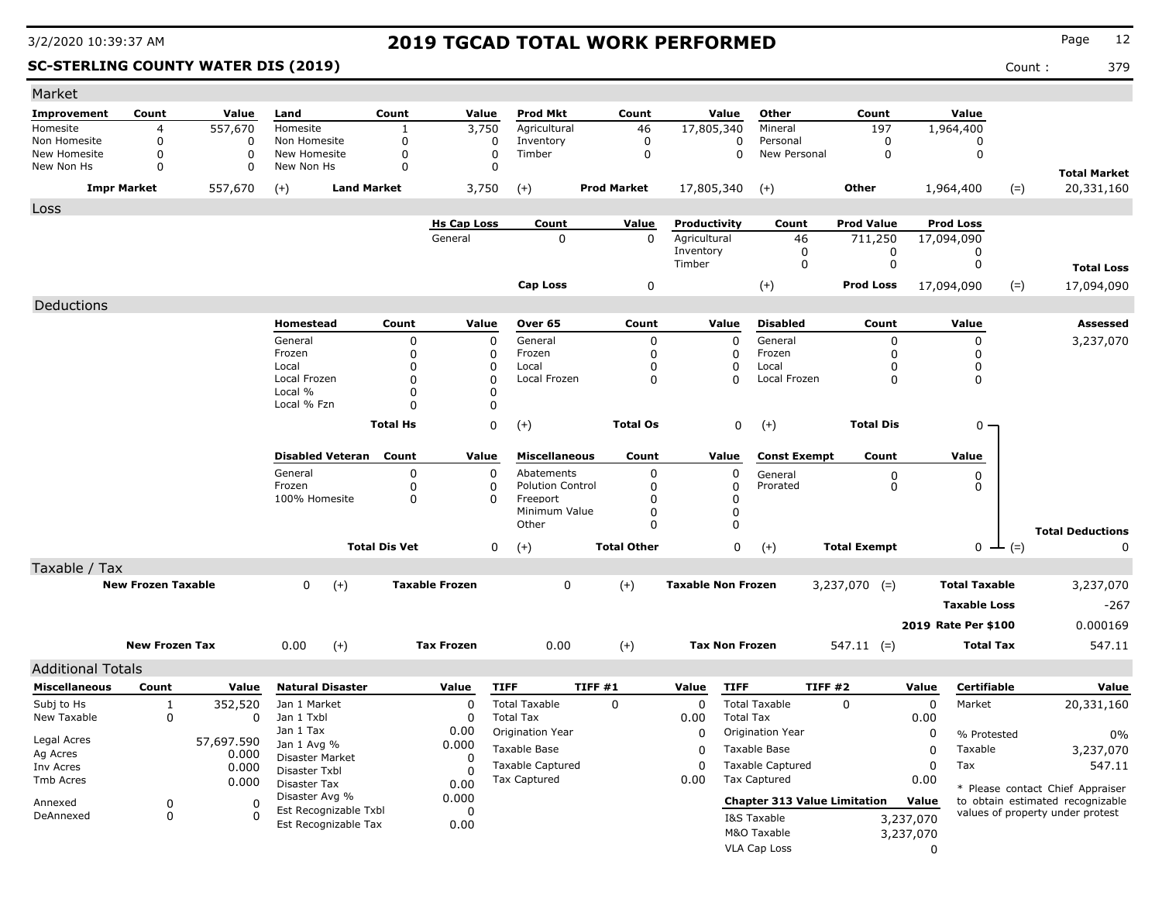### **SC-STERLING COUNTY WATER DIS (2019)** Count : 379

| Market                     |                           |            |                                         |                      |                         |                           |                    |             |                           |                                     |                     |             |                      |               |                                   |
|----------------------------|---------------------------|------------|-----------------------------------------|----------------------|-------------------------|---------------------------|--------------------|-------------|---------------------------|-------------------------------------|---------------------|-------------|----------------------|---------------|-----------------------------------|
| Improvement                | Count                     | Value      | Land                                    | Count                | Value                   | <b>Prod Mkt</b>           | Count              |             | Value                     | Other                               | Count               |             | Value                |               |                                   |
| Homesite                   | 4                         | 557,670    | Homesite                                |                      | 3,750                   | Agricultural              | 46                 |             | 17,805,340                | Mineral                             | 197                 |             | 1,964,400            |               |                                   |
| Non Homesite               | $\Omega$                  | 0          | Non Homesite                            | 0                    | 0                       | Inventory                 |                    | 0           | 0                         | Personal                            | 0                   |             | 0                    |               |                                   |
| New Homesite<br>New Non Hs | $\mathbf 0$<br>$\Omega$   | 0<br>0     | New Homesite<br>New Non Hs              | 0<br>$\Omega$        | $\mathbf 0$<br>$\Omega$ | Timber                    |                    | $\mathbf 0$ | $\Omega$                  | New Personal                        | 0                   |             | 0                    |               |                                   |
|                            | <b>Impr Market</b>        | 557,670    | <b>Land Market</b><br>$(+)$             |                      | 3,750                   | $(+)$                     | <b>Prod Market</b> |             | 17,805,340                | $(+)$                               | Other               |             | 1,964,400            | $(=)$         | <b>Total Market</b><br>20,331,160 |
| Loss                       |                           |            |                                         |                      |                         |                           |                    |             |                           |                                     |                     |             |                      |               |                                   |
|                            |                           |            |                                         |                      | <b>Hs Cap Loss</b>      | Count                     | Value              |             | Productivity              | Count                               | <b>Prod Value</b>   |             | <b>Prod Loss</b>     |               |                                   |
|                            |                           |            |                                         |                      | General                 | 0                         |                    | 0           | Agricultural              | 46                                  | 711,250             |             | 17,094,090           |               |                                   |
|                            |                           |            |                                         |                      |                         |                           |                    |             | Inventory                 | 0                                   | 0                   |             | 0                    |               |                                   |
|                            |                           |            |                                         |                      |                         |                           |                    |             | Timber                    | 0                                   | $\mathbf 0$         |             | 0                    |               | <b>Total Loss</b>                 |
|                            |                           |            |                                         |                      |                         | Cap Loss                  |                    | 0           |                           | $(+)$                               | <b>Prod Loss</b>    |             | 17,094,090           | $(=)$         | 17,094,090                        |
| Deductions                 |                           |            |                                         |                      |                         |                           |                    |             |                           |                                     |                     |             |                      |               |                                   |
|                            |                           |            | Homestead                               | Count                | Value                   | Over 65                   | Count              |             | Value                     | <b>Disabled</b>                     | Count               |             | Value                |               | Assessed                          |
|                            |                           |            | General                                 | 0                    | $\mathbf 0$             | General                   |                    | 0           | $\Omega$                  | General                             | 0                   |             | $\mathbf 0$          |               | 3,237,070                         |
|                            |                           |            | Frozen                                  | 0                    | 0                       | Frozen                    |                    | $\mathbf 0$ | 0                         | Frozen                              | 0                   |             | 0                    |               |                                   |
|                            |                           |            | Local                                   | 0                    | 0                       | Local                     |                    | $\mathbf 0$ | 0                         | Local                               | <sup>0</sup>        |             | 0                    |               |                                   |
|                            |                           |            | Local Frozen                            | 0                    | $\Omega$                | Local Frozen              |                    | 0           | $\Omega$                  | Local Frozen                        | 0                   |             | 0                    |               |                                   |
|                            |                           |            | Local %<br>Local % Fzn                  | $\Omega$<br>0        | 0<br>0                  |                           |                    |             |                           |                                     |                     |             |                      |               |                                   |
|                            |                           |            |                                         |                      |                         |                           |                    |             |                           |                                     |                     |             |                      |               |                                   |
|                            |                           |            |                                         | <b>Total Hs</b>      | 0                       | $(+)$                     | <b>Total Os</b>    |             | 0                         | $(+)$                               | <b>Total Dis</b>    |             | $0 -$                |               |                                   |
|                            |                           |            | <b>Disabled Veteran</b>                 | Count                | Value                   | <b>Miscellaneous</b>      | Count              |             | Value                     | <b>Const Exempt</b>                 | Count               |             | Value                |               |                                   |
|                            |                           |            | General                                 | 0                    | $\Omega$                | Abatements                |                    | $\mathbf 0$ | $\mathbf 0$               | General                             | 0                   |             | 0                    |               |                                   |
|                            |                           |            | Frozen                                  | 0                    | 0                       | <b>Polution Control</b>   |                    | 0           | 0                         | Prorated                            | 0                   |             | 0                    |               |                                   |
|                            |                           |            | 100% Homesite                           | 0                    | 0                       | Freeport<br>Minimum Value |                    | 0<br>0      | 0<br>0                    |                                     |                     |             |                      |               |                                   |
|                            |                           |            |                                         |                      |                         | Other                     |                    | $\Omega$    | $\Omega$                  |                                     |                     |             |                      |               |                                   |
|                            |                           |            |                                         |                      |                         |                           |                    |             |                           |                                     |                     |             |                      |               | <b>Total Deductions</b>           |
|                            |                           |            |                                         | <b>Total Dis Vet</b> | 0                       | $(+)$                     | <b>Total Other</b> |             | 0                         | $(+)$                               | <b>Total Exempt</b> |             |                      | $0 \perp (=)$ | 0                                 |
| Taxable / Tax              |                           |            |                                         |                      |                         |                           |                    |             |                           |                                     |                     |             |                      |               |                                   |
|                            | <b>New Frozen Taxable</b> |            | $(+)$<br>0                              |                      | <b>Taxable Frozen</b>   | 0                         | $(+)$              |             | <b>Taxable Non Frozen</b> |                                     | $3,237,070$ (=)     |             | <b>Total Taxable</b> |               | 3,237,070                         |
|                            |                           |            |                                         |                      |                         |                           |                    |             |                           |                                     |                     |             | <b>Taxable Loss</b>  |               | $-267$                            |
|                            |                           |            |                                         |                      |                         |                           |                    |             |                           |                                     |                     |             | 2019 Rate Per \$100  |               | 0.000169                          |
|                            | <b>New Frozen Tax</b>     |            | 0.00<br>$(+)$                           |                      | <b>Tax Frozen</b>       | 0.00                      | $^{(+)}$           |             | <b>Tax Non Frozen</b>     |                                     | $547.11$ (=)        |             | <b>Total Tax</b>     |               | 547.11                            |
| <b>Additional Totals</b>   |                           |            |                                         |                      |                         |                           |                    |             |                           |                                     |                     |             |                      |               |                                   |
| <b>Miscellaneous</b>       | Count                     | Value      | <b>Natural Disaster</b>                 |                      | Value                   | <b>TIFF</b>               | TIFF #1            |             | <b>TIFF</b><br>Value      |                                     | TIFF#2              | Value       | Certifiable          |               | Value                             |
| Subj to Hs                 | 1                         | 352,520    | Jan 1 Market                            |                      | 0                       | <b>Total Taxable</b>      | 0                  |             | 0                         | <b>Total Taxable</b>                | $\Omega$            | $\mathbf 0$ | Market               |               | 20,331,160                        |
| New Taxable                | 0                         | 0          | Jan 1 Txbl                              |                      | 0                       | <b>Total Tax</b>          |                    |             | 0.00<br><b>Total Tax</b>  |                                     |                     | 0.00        |                      |               |                                   |
|                            |                           |            | Jan 1 Tax                               |                      | 0.00                    | Origination Year          |                    |             | 0                         | Origination Year                    |                     | 0           | % Protested          |               | $0\%$                             |
| Legal Acres                |                           | 57,697.590 | Jan 1 Avg %                             |                      | 0.000                   | Taxable Base              |                    |             | 0                         | Taxable Base                        |                     | 0           | Taxable              |               | 3,237,070                         |
| Ag Acres                   |                           | 0.000      | Disaster Market                         |                      | 0                       | <b>Taxable Captured</b>   |                    |             | 0                         | <b>Taxable Captured</b>             |                     | 0           | Tax                  |               | 547.11                            |
| Inv Acres<br>Tmb Acres     |                           | 0.000      | Disaster Txbl                           |                      | $\Omega$                | Tax Captured              |                    |             | 0.00                      | <b>Tax Captured</b>                 |                     | 0.00        |                      |               |                                   |
|                            |                           | 0.000      | Disaster Tax                            |                      | 0.00                    |                           |                    |             |                           |                                     |                     |             |                      |               | * Please contact Chief Appraiser  |
| Annexed                    | 0                         | 0          | Disaster Avg %<br>Est Recognizable Txbl |                      | 0.000<br>0              |                           |                    |             |                           | <b>Chapter 313 Value Limitation</b> |                     | Value       |                      |               | to obtain estimated recognizable  |
| DeAnnexed                  | 0                         | $\Omega$   | Est Recognizable Tax                    |                      | 0.00                    |                           |                    |             |                           | I&S Taxable                         |                     | 3,237,070   |                      |               | values of property under protest  |
|                            |                           |            |                                         |                      |                         |                           |                    |             |                           | M&O Taxable                         |                     | 3,237,070   |                      |               |                                   |
|                            |                           |            |                                         |                      |                         |                           |                    |             |                           | VLA Cap Loss                        |                     | $\Omega$    |                      |               |                                   |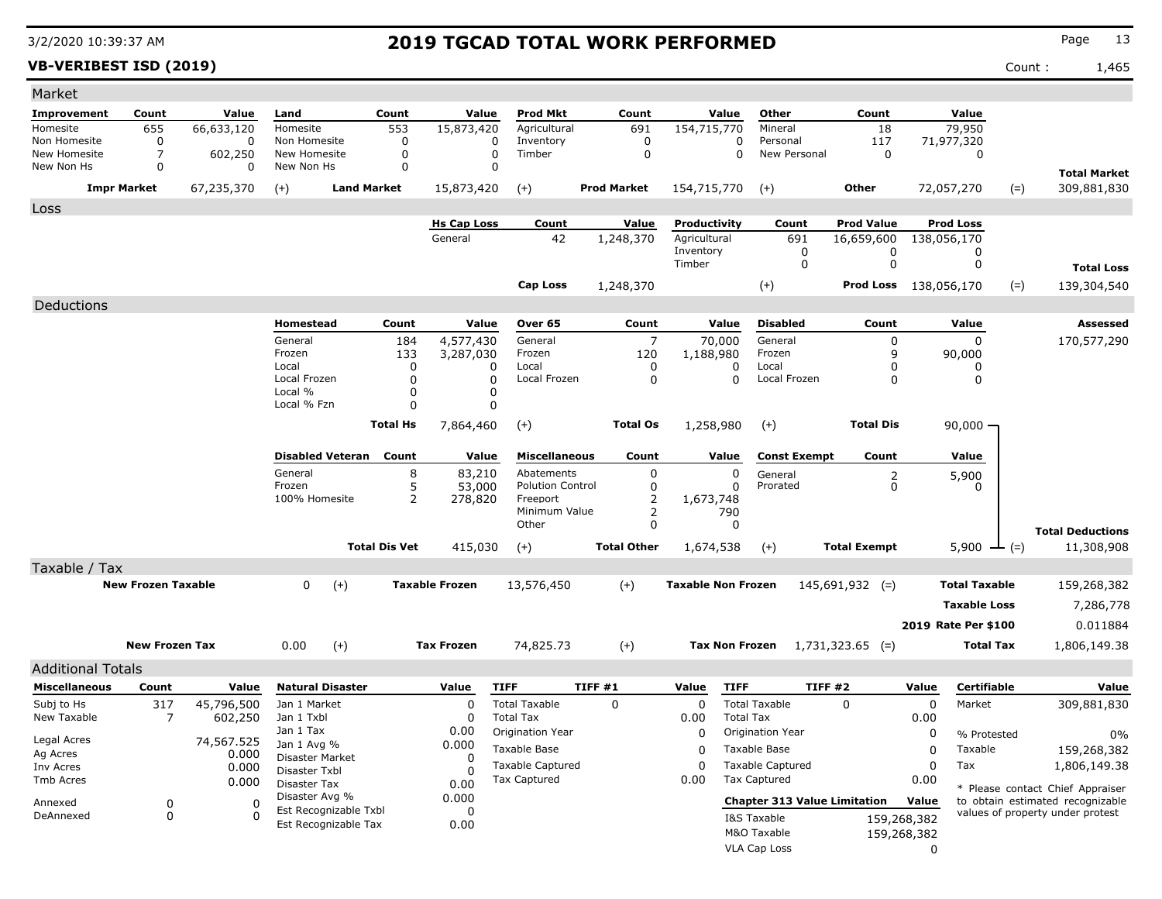**VB-VERIBEST ISD (2019)** Count : 1,465

| Market                     |                           |                                       |                                     |                               |                      |                      |                                          |         |                           |                           |                  |                                     |                              |                      |                     |                                                                      |                                  |
|----------------------------|---------------------------|---------------------------------------|-------------------------------------|-------------------------------|----------------------|----------------------|------------------------------------------|---------|---------------------------|---------------------------|------------------|-------------------------------------|------------------------------|----------------------|---------------------|----------------------------------------------------------------------|----------------------------------|
| <b>Improvement</b>         | Count                     | Value                                 | Land                                | Count                         |                      | Value                | <b>Prod Mkt</b>                          |         | Count                     |                           | Value            | Other                               | Count                        |                      | Value               |                                                                      |                                  |
| Homesite                   | 655                       | 66,633,120                            | Homesite                            |                               | 553                  | 15,873,420           | Agricultural                             |         | 691                       | 154,715,770               |                  | Mineral                             | 18                           |                      | 79,950              |                                                                      |                                  |
| Non Homesite               | 0                         | 0                                     | Non Homesite                        |                               | 0                    | 0                    | Inventory                                |         | 0                         |                           | 0                | Personal                            | 117                          |                      | 71,977,320          |                                                                      |                                  |
| New Homesite<br>New Non Hs | 7<br>0                    | 602,250<br>0                          | New Homesite<br>New Non Hs          |                               | 0<br>$\Omega$        | $\Omega$<br>$\Omega$ | Timber                                   |         | $\mathbf 0$               |                           | 0                | New Personal                        | $\mathbf 0$                  |                      | 0                   |                                                                      |                                  |
|                            |                           |                                       |                                     |                               |                      |                      |                                          |         |                           |                           |                  |                                     |                              |                      |                     |                                                                      | <b>Total Market</b>              |
|                            | <b>Impr Market</b>        | 67,235,370                            | $(+)$                               | <b>Land Market</b>            |                      | 15,873,420           | $(+)$                                    |         | <b>Prod Market</b>        | 154,715,770               |                  | $(+)$                               | Other                        |                      | 72,057,270          | $(=)$                                                                | 309,881,830                      |
| Loss                       |                           |                                       |                                     |                               |                      |                      |                                          |         |                           |                           |                  |                                     |                              |                      |                     |                                                                      |                                  |
|                            |                           |                                       |                                     |                               |                      | <b>Hs Cap Loss</b>   | Count                                    |         | <u>Value</u>              | Productivity              |                  | Count                               | <b>Prod Value</b>            |                      | <b>Prod Loss</b>    |                                                                      |                                  |
|                            |                           |                                       |                                     |                               |                      | General              | 42                                       |         | 1,248,370                 | Agricultural<br>Inventory |                  | 691<br>0                            | 16,659,600<br>0              |                      | 138,056,170<br>0    |                                                                      |                                  |
|                            |                           |                                       |                                     |                               |                      |                      |                                          |         |                           | Timber                    |                  | 0                                   | $\mathbf 0$                  |                      | 0                   |                                                                      | <b>Total Loss</b>                |
|                            |                           |                                       |                                     |                               |                      |                      |                                          |         |                           |                           |                  |                                     |                              |                      |                     |                                                                      |                                  |
|                            |                           |                                       |                                     |                               |                      |                      | <b>Cap Loss</b>                          |         | 1,248,370                 |                           |                  | $(+)$                               | <b>Prod Loss</b> 138,056,170 |                      |                     | $(=)$                                                                | 139,304,540                      |
| Deductions                 |                           |                                       |                                     |                               |                      |                      |                                          |         |                           |                           |                  |                                     |                              |                      |                     |                                                                      |                                  |
|                            |                           |                                       | Homestead                           |                               | Count                | Value                | Over 65                                  |         | Count                     |                           | Value            | <b>Disabled</b>                     | Count                        |                      | Value               |                                                                      | Assessed                         |
|                            |                           |                                       | General                             |                               | 184                  | 4,577,430            | General                                  |         | 7                         |                           | 70,000           | General                             | 0                            |                      | 0                   |                                                                      | 170,577,290                      |
|                            |                           |                                       | Frozen<br>Local                     |                               | 133<br>$\Omega$      | 3,287,030<br>0       | Frozen<br>Local                          |         | 120<br>0                  | 1,188,980<br>0            |                  | Frozen<br>Local                     | 9<br>$\Omega$                |                      | 90,000<br>0         |                                                                      |                                  |
|                            |                           |                                       | Local Frozen                        |                               | $\Omega$<br>$\Omega$ |                      | Local Frozen                             |         | 0                         | $\Omega$                  |                  | Local Frozen                        | $\Omega$                     |                      | 0                   |                                                                      |                                  |
|                            |                           |                                       | Local %                             |                               | 0                    | 0                    |                                          |         |                           |                           |                  |                                     |                              |                      |                     |                                                                      |                                  |
|                            |                           |                                       | Local % Fzn                         |                               | $\Omega$             | 0                    |                                          |         |                           |                           |                  |                                     |                              |                      |                     |                                                                      |                                  |
|                            |                           |                                       |                                     | <b>Total Hs</b>               |                      | 7,864,460            | $(+)$                                    |         | <b>Total Os</b>           | 1,258,980                 |                  | $(+)$                               | <b>Total Dis</b>             |                      | $90,000 -$          |                                                                      |                                  |
|                            |                           |                                       |                                     | <b>Disabled Veteran</b> Count |                      | Value                | <b>Miscellaneous</b>                     |         | Count                     |                           | Value            | <b>Const Exempt</b>                 | Count                        |                      | Value               |                                                                      |                                  |
|                            |                           |                                       | General                             |                               | 8                    | 83,210               | Abatements                               |         | 0                         |                           | 0                | General                             |                              |                      | 5,900               |                                                                      |                                  |
|                            |                           |                                       | Frozen                              |                               | 5                    | 53,000               | <b>Polution Control</b>                  |         | 0                         |                           | 0                | Prorated                            | $\overline{c}$<br>0          |                      | 0                   |                                                                      |                                  |
|                            |                           |                                       | 100% Homesite<br>2                  |                               |                      | 278,820              | Freeport                                 |         | 2                         | 1,673,748                 |                  |                                     |                              |                      |                     |                                                                      |                                  |
|                            |                           |                                       |                                     |                               |                      |                      | Minimum Value<br>Other                   |         | 2<br>0                    |                           | 790<br>0         |                                     |                              |                      |                     |                                                                      |                                  |
|                            |                           |                                       |                                     |                               |                      |                      |                                          |         |                           |                           |                  |                                     |                              |                      |                     |                                                                      | <b>Total Deductions</b>          |
|                            |                           |                                       |                                     | <b>Total Dis Vet</b>          |                      | 415,030              | $(+)$                                    |         | <b>Total Other</b>        | 1,674,538                 |                  | $(+)$                               | <b>Total Exempt</b>          |                      | $5,900 \perp (=)$   |                                                                      | 11,308,908                       |
| Taxable / Tax              |                           |                                       |                                     |                               |                      |                      |                                          |         |                           |                           |                  |                                     |                              |                      |                     |                                                                      |                                  |
|                            | <b>New Frozen Taxable</b> |                                       | $(+)$<br>0<br><b>Taxable Frozen</b> |                               |                      | 13,576,450           |                                          | $(+)$   | <b>Taxable Non Frozen</b> |                           |                  | $145,691,932$ (=)                   |                              | <b>Total Taxable</b> |                     | 159,268,382                                                          |                                  |
|                            |                           |                                       |                                     |                               |                      |                      |                                          |         |                           |                           |                  |                                     |                              |                      | <b>Taxable Loss</b> |                                                                      | 7,286,778                        |
|                            |                           |                                       |                                     |                               |                      |                      |                                          |         |                           |                           |                  |                                     |                              |                      | 2019 Rate Per \$100 |                                                                      | 0.011884                         |
|                            | <b>New Frozen Tax</b>     |                                       | $(+)$<br>0.00                       |                               |                      | <b>Tax Frozen</b>    | 74,825.73                                |         | $^{(+)}$                  | <b>Tax Non Frozen</b>     |                  |                                     | $1,731,323.65$ (=)           |                      |                     | 1,806,149.38<br>Total Tax                                            |                                  |
|                            |                           |                                       |                                     |                               |                      |                      |                                          |         |                           |                           |                  |                                     |                              |                      |                     |                                                                      |                                  |
| <b>Additional Totals</b>   |                           |                                       |                                     |                               |                      |                      |                                          |         |                           |                           |                  |                                     |                              |                      |                     |                                                                      |                                  |
| <b>Miscellaneous</b>       | Count                     | Value                                 | <b>Natural Disaster</b>             |                               |                      | Value                | <b>TIFF</b>                              | TIFF #1 |                           | Value                     | <b>TIFF</b>      |                                     | TIFF#2                       | Value                | Certifiable         |                                                                      | Value                            |
| Subj to Hs<br>New Taxable  | 317<br>7                  | 45,796,500<br>602,250                 | Jan 1 Market<br>Jan 1 Txbl          |                               |                      | 0<br>0               | <b>Total Taxable</b><br><b>Total Tax</b> |         | 0                         | 0<br>0.00                 | <b>Total Tax</b> | <b>Total Taxable</b>                | 0                            | 0<br>0.00            | Market              |                                                                      | 309,881,830                      |
|                            |                           |                                       | Jan 1 Tax                           |                               |                      | 0.00                 | Origination Year                         |         |                           | 0                         |                  | Origination Year                    |                              | 0                    | % Protested         |                                                                      |                                  |
| Legal Acres                |                           | 74,567.525                            | Jan 1 Avg %                         |                               | 0.000                |                      | Taxable Base                             |         |                           |                           |                  | Taxable Base                        |                              | 0                    | Taxable             |                                                                      | $0\%$<br>159,268,382             |
| Ag Acres<br>Inv Acres      | 0.000                     |                                       | Disaster Market                     |                               |                      | 0                    | <b>Taxable Captured</b>                  |         |                           | 0<br>0                    |                  | <b>Taxable Captured</b>             |                              | 0                    | Tax                 |                                                                      | 1,806,149.38                     |
| Tmb Acres                  |                           | 0.000<br>0.000                        | Disaster Txbl                       |                               |                      | O                    | <b>Tax Captured</b>                      |         |                           | 0.00                      |                  | <b>Tax Captured</b>                 |                              | 0.00                 |                     |                                                                      |                                  |
|                            |                           | <b>Disaster Tax</b><br>Disaster Avg % |                                     |                               | 0.00<br>0.000        |                      |                                          |         |                           |                           |                  |                                     |                              |                      |                     | * Please contact Chief Appraiser<br>to obtain estimated recognizable |                                  |
| Annexed<br>DeAnnexed       | 0<br>0                    | 0<br>$\Omega$                         |                                     | Est Recognizable Txbl         |                      | 0                    |                                          |         |                           |                           |                  | <b>Chapter 313 Value Limitation</b> |                              | Value                |                     |                                                                      | values of property under protest |
|                            |                           |                                       |                                     | Est Recognizable Tax          |                      | 0.00                 |                                          |         |                           |                           |                  | I&S Taxable<br>M&O Taxable          |                              | 159,268,382          |                     |                                                                      |                                  |
|                            |                           |                                       |                                     |                               |                      |                      |                                          |         |                           |                           |                  | VLA Cap Loss                        | 159,268,382                  | 0                    |                     |                                                                      |                                  |
|                            |                           |                                       |                                     |                               |                      |                      |                                          |         |                           |                           |                  |                                     |                              |                      |                     |                                                                      |                                  |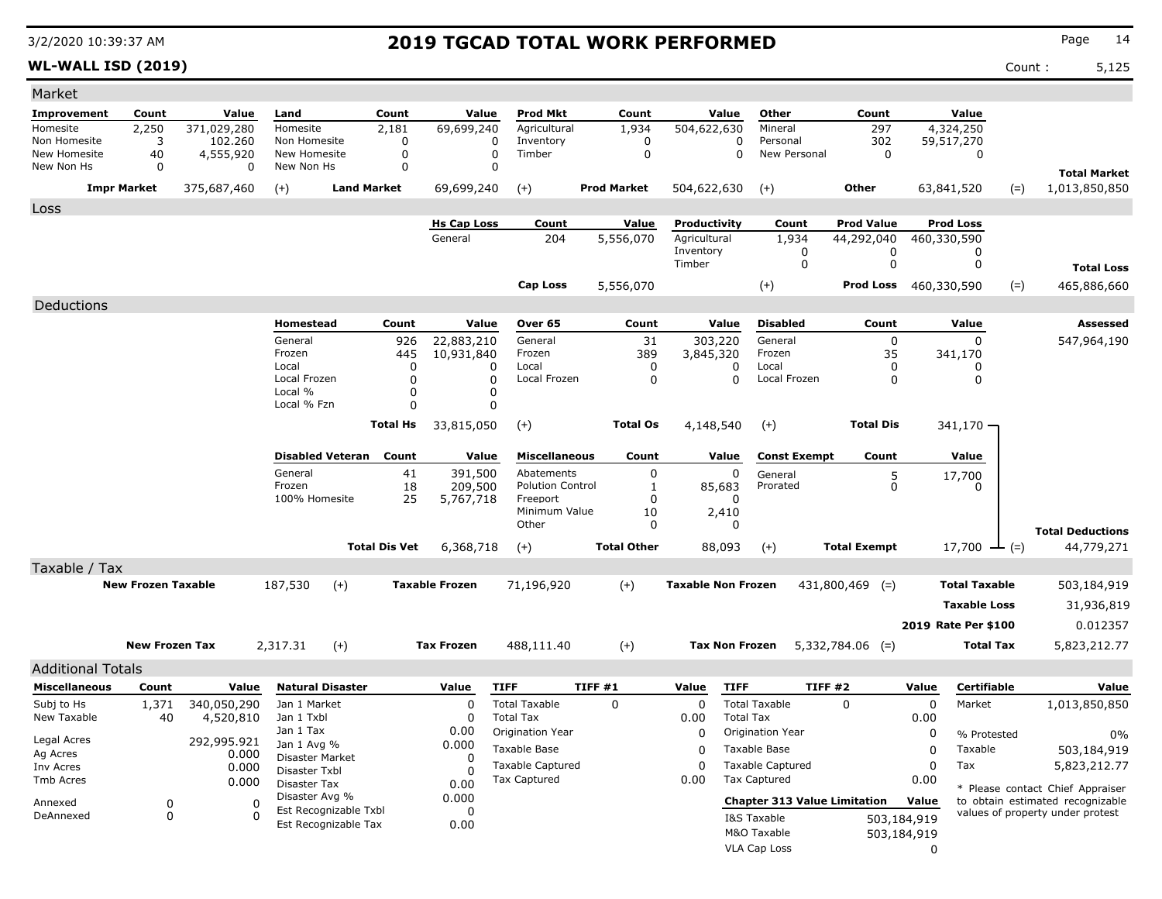**WL-WALL ISD (2019)** Count : 5,125

| Market                                           |                           |                          |                               |                         |                         |                       |                                       |         |                           |                           |                  |                                     |                     |             |                                  |        |                                  |
|--------------------------------------------------|---------------------------|--------------------------|-------------------------------|-------------------------|-------------------------|-----------------------|---------------------------------------|---------|---------------------------|---------------------------|------------------|-------------------------------------|---------------------|-------------|----------------------------------|--------|----------------------------------|
| <b>Improvement</b>                               | Count                     | Value                    | Land                          |                         | Count                   | Value                 | <b>Prod Mkt</b>                       |         | Count                     | Value                     |                  | Other                               | Count               |             | Value                            |        |                                  |
| Homesite                                         | 2,250                     | 371,029,280              | Homesite                      |                         | 2,181                   | 69,699,240            | Agricultural                          |         | 1,934                     | 504,622,630               |                  | Mineral                             | 297                 |             | 4,324,250                        |        |                                  |
| Non Homesite                                     | 3                         | 102.260                  | Non Homesite                  |                         | 0                       |                       | Inventory<br>0                        |         | 0                         |                           | $\Omega$         | Personal                            | 302                 |             | 59,517,270                       |        |                                  |
| New Homesite<br>New Non Hs                       | 40<br>0                   | 4,555,920<br>$\Omega$    | New Homesite<br>New Non Hs    |                         | $\mathbf 0$<br>$\Omega$ |                       | $\Omega$<br>Timber<br>$\Omega$        |         | $\mathbf 0$               |                           | 0                | New Personal                        | $\mathbf 0$         |             | 0                                |        |                                  |
|                                                  | <b>Impr Market</b>        |                          |                               | <b>Land Market</b>      |                         |                       |                                       |         | <b>Prod Market</b>        |                           |                  |                                     | Other               |             |                                  |        | <b>Total Market</b>              |
|                                                  |                           | 375,687,460              | $(+)$                         |                         |                         | 69,699,240            | $(+)$                                 |         |                           | 504,622,630               |                  | $(+)$                               |                     |             | 63,841,520                       | $(=)$  | 1,013,850,850                    |
| Loss                                             |                           |                          |                               |                         |                         | <b>Hs Cap Loss</b>    | Count                                 |         |                           | Productivity              |                  |                                     | <b>Prod Value</b>   |             | <b>Prod Loss</b>                 |        |                                  |
|                                                  |                           |                          |                               |                         |                         | General               | 204                                   |         | <b>Value</b><br>5,556,070 | Agricultural              |                  | Count<br>1,934                      | 44,292,040          |             | 460,330,590                      |        |                                  |
|                                                  |                           |                          |                               |                         |                         |                       |                                       |         |                           | Inventory                 |                  | 0                                   | 0                   |             | 0                                |        |                                  |
|                                                  |                           |                          |                               |                         |                         |                       |                                       |         |                           | Timber                    |                  | 0                                   | $\mathbf 0$         |             | 0                                |        | <b>Total Loss</b>                |
|                                                  |                           |                          |                               |                         |                         |                       | Cap Loss                              |         | 5,556,070                 |                           |                  | $(+)$                               | <b>Prod Loss</b>    |             | 460,330,590                      | $(=)$  | 465,886,660                      |
| Deductions                                       |                           |                          |                               |                         |                         |                       |                                       |         |                           |                           |                  |                                     |                     |             |                                  |        |                                  |
|                                                  |                           |                          | Homestead                     |                         | Count                   | Value                 | Over 65                               |         | Count                     | Value                     |                  | <b>Disabled</b>                     | Count               |             | Value                            |        | Assessed                         |
|                                                  |                           |                          | General                       |                         | 926                     | 22,883,210            | General                               |         | 31                        | 303,220                   |                  | General                             | $\mathbf 0$         |             | $\Omega$                         |        | 547,964,190                      |
|                                                  |                           |                          | Frozen                        |                         | 445                     | 10,931,840            | Frozen                                |         | 389                       | 3,845,320                 |                  | Frozen                              | 35                  |             | 341,170                          |        |                                  |
|                                                  |                           |                          | Local<br>Local Frozen         |                         | 0<br>0                  |                       | Local<br>0<br>0<br>Local Frozen       |         | 0<br>0                    |                           | 0<br>$\Omega$    | Local<br>Local Frozen               | 0<br>$\mathbf 0$    |             | 0<br>$\mathbf 0$                 |        |                                  |
|                                                  |                           |                          | Local %                       |                         | $\Omega$                |                       | 0                                     |         |                           |                           |                  |                                     |                     |             |                                  |        |                                  |
|                                                  |                           |                          | Local % Fzn                   |                         | $\Omega$                |                       | 0                                     |         |                           |                           |                  |                                     |                     |             |                                  |        |                                  |
|                                                  |                           |                          |                               |                         | <b>Total Hs</b>         | 33,815,050            | $(+)$                                 |         | <b>Total Os</b>           | 4,148,540                 |                  | $(+)$                               | <b>Total Dis</b>    |             | $341,170 -$                      |        |                                  |
|                                                  |                           |                          |                               |                         |                         |                       |                                       |         |                           |                           |                  |                                     |                     |             |                                  |        |                                  |
|                                                  |                           |                          |                               | <b>Disabled Veteran</b> | Count                   | Value                 | <b>Miscellaneous</b>                  |         | Count                     | Value                     |                  | <b>Const Exempt</b>                 | Count               |             | Value                            |        |                                  |
|                                                  |                           |                          | General<br>Frozen             |                         | 41<br>18                | 391,500<br>209,500    | Abatements<br><b>Polution Control</b> |         | 0                         |                           | 0                | General<br>Prorated                 | 5<br>0              |             | 17,700                           |        |                                  |
|                                                  |                           |                          | 100% Homesite                 |                         | 25                      | 5,767,718             | Freeport                              |         | 1<br>0                    | 85,683                    | 0                |                                     |                     |             | O                                |        |                                  |
|                                                  |                           |                          |                               |                         |                         |                       | Minimum Value                         |         | 10                        | 2,410                     |                  |                                     |                     |             |                                  |        |                                  |
|                                                  |                           |                          |                               |                         |                         |                       | Other                                 |         | 0                         |                           | 0                |                                     |                     |             |                                  |        | <b>Total Deductions</b>          |
|                                                  |                           |                          |                               |                         | <b>Total Dis Vet</b>    | 6,368,718             | $(+)$                                 |         | <b>Total Other</b>        | 88,093                    |                  | $(+)$                               | <b>Total Exempt</b> |             | 17,700                           | $ (=)$ | 44,779,271                       |
| Taxable / Tax                                    |                           |                          |                               |                         |                         |                       |                                       |         |                           |                           |                  |                                     |                     |             |                                  |        |                                  |
|                                                  | <b>New Frozen Taxable</b> |                          | 187,530                       | $(+)$                   |                         | <b>Taxable Frozen</b> | 71,196,920                            |         | $(+)$                     | <b>Taxable Non Frozen</b> |                  |                                     | $431,800,469$ (=)   |             | <b>Total Taxable</b>             |        | 503,184,919                      |
|                                                  |                           |                          |                               |                         |                         |                       |                                       |         |                           |                           |                  |                                     |                     |             | <b>Taxable Loss</b>              |        | 31,936,819                       |
|                                                  |                           |                          |                               |                         |                         |                       |                                       |         |                           |                           |                  |                                     |                     |             | 2019 Rate Per \$100              |        | 0.012357                         |
|                                                  | <b>New Frozen Tax</b>     |                          | 2,317.31                      | $(+)$                   |                         | <b>Tax Frozen</b>     | 488,111.40                            |         | $(+)$                     | <b>Tax Non Frozen</b>     |                  |                                     | $5,332,784.06$ (=)  |             | <b>Total Tax</b>                 |        | 5,823,212.77                     |
|                                                  |                           |                          |                               |                         |                         |                       |                                       |         |                           |                           |                  |                                     |                     |             |                                  |        |                                  |
| <b>Additional Totals</b><br><b>Miscellaneous</b> | Count                     | Value                    | <b>Natural Disaster</b>       |                         |                         | Value                 | <b>TIFF</b>                           | TIFF #1 |                           | Value                     | <b>TIFF</b>      |                                     | TIFF #2             | Value       | Certifiable                      |        | Value                            |
| Subj to Hs                                       |                           |                          | Jan 1 Market                  |                         |                         | 0                     | <b>Total Taxable</b>                  |         | 0                         | $\mathbf 0$               |                  | <b>Total Taxable</b>                | 0                   | 0           | Market                           |        |                                  |
| New Taxable                                      | 1,371<br>40               | 340,050,290<br>4,520,810 | Jan 1 Txbl                    |                         |                         | 0                     | <b>Total Tax</b>                      |         |                           | 0.00                      | <b>Total Tax</b> |                                     |                     | 0.00        |                                  |        | 1,013,850,850                    |
|                                                  |                           |                          | Jan 1 Tax                     |                         |                         | 0.00                  | Origination Year                      |         |                           | 0                         |                  | Origination Year                    |                     | 0           | % Protested                      |        | 0%                               |
| Legal Acres                                      |                           | 292,995.921              | Jan 1 Avg %                   |                         |                         | 0.000                 | Taxable Base                          |         |                           | 0                         |                  | Taxable Base                        |                     | 0           | Taxable                          |        | 503,184,919                      |
| Ag Acres<br>Inv Acres                            |                           | 0.000<br>0.000           | Disaster Market               |                         |                         | 0                     | <b>Taxable Captured</b>               |         |                           | 0                         |                  | <b>Taxable Captured</b>             |                     | 0           | Tax                              |        | 5,823,212.77                     |
| Tmb Acres                                        |                           | 0.000                    | Disaster Txbl<br>Disaster Tax |                         |                         | 0<br>0.00             | Tax Captured                          |         |                           | 0.00                      |                  | <b>Tax Captured</b>                 |                     | 0.00        |                                  |        |                                  |
|                                                  |                           |                          | Disaster Avg %                |                         |                         | 0.000                 |                                       |         |                           |                           |                  | <b>Chapter 313 Value Limitation</b> |                     | Value       | * Please contact Chief Appraiser |        | to obtain estimated recognizable |
| Annexed<br>DeAnnexed                             | 0<br>0                    | 0<br>$\Omega$            |                               | Est Recognizable Txbl   |                         | 0                     |                                       |         |                           |                           |                  | I&S Taxable                         |                     | 503,184,919 |                                  |        | values of property under protest |
|                                                  |                           |                          |                               | Est Recognizable Tax    |                         | 0.00                  |                                       |         |                           |                           |                  | M&O Taxable                         |                     | 503,184,919 |                                  |        |                                  |
|                                                  |                           |                          |                               |                         |                         |                       |                                       |         |                           |                           |                  | <b>VLA Cap Loss</b>                 |                     | 0           |                                  |        |                                  |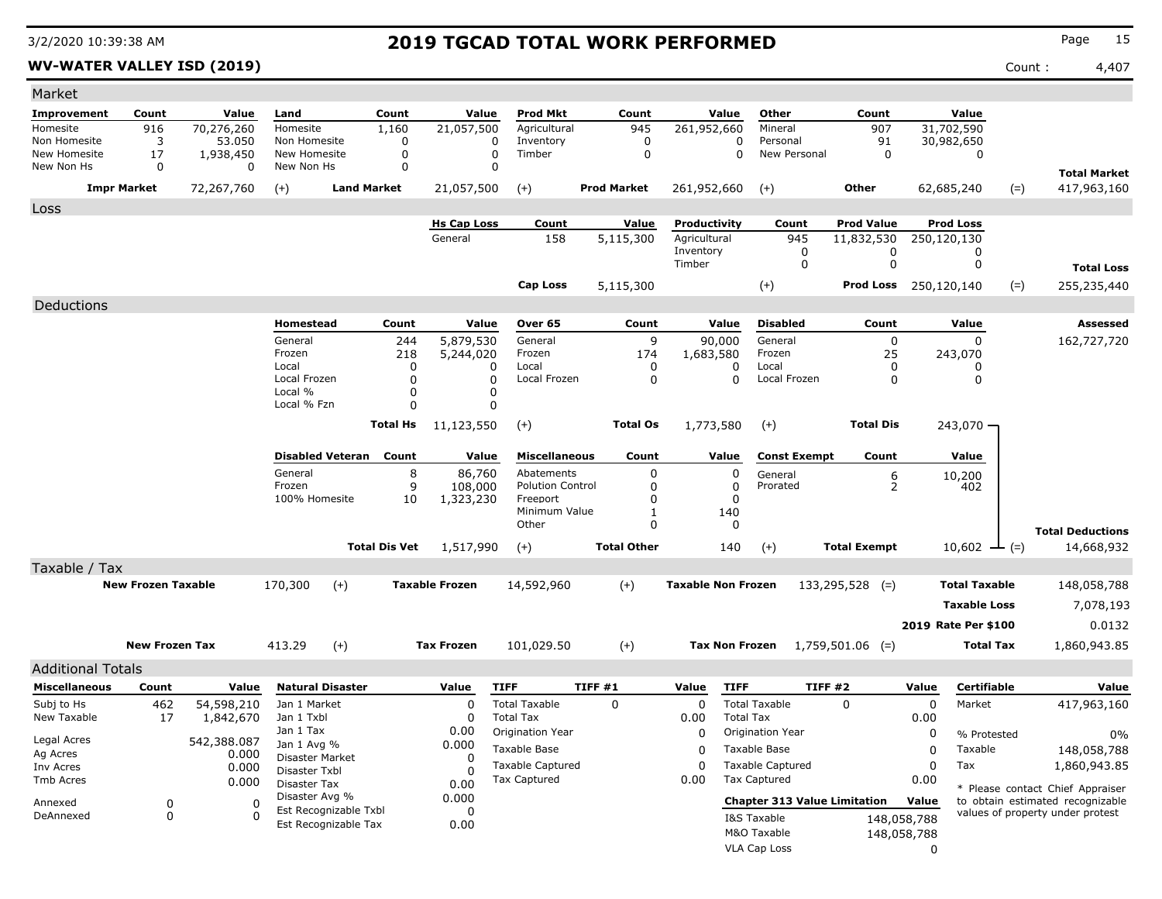**WV-WATER VALLEY ISD (2019)** Count : 4,407

| Market                           |                           |                       |                                |                                               |                 |                          |                                     |                    |                    |                           |                  |                                     |                     |             |                      |                                  |                                  |
|----------------------------------|---------------------------|-----------------------|--------------------------------|-----------------------------------------------|-----------------|--------------------------|-------------------------------------|--------------------|--------------------|---------------------------|------------------|-------------------------------------|---------------------|-------------|----------------------|----------------------------------|----------------------------------|
| Improvement                      | Count                     | Value                 | Land                           |                                               | Count           | Value                    | <b>Prod Mkt</b>                     |                    | Count              |                           | Value            | Other                               | Count               |             | Value                |                                  |                                  |
| Homesite                         | 916                       | 70,276,260            | Homesite                       |                                               | 1,160           | $\overline{21}$ ,057,500 | Agricultural                        |                    | 945                | 261,952,660               |                  | Mineral                             | 907                 |             | 31,702,590           |                                  |                                  |
| Non Homesite                     | 3                         | 53,050                | Non Homesite                   |                                               | 0               |                          | 0<br>Inventory                      |                    | 0                  |                           | 0                | Personal                            | 91                  |             | 30,982,650           |                                  |                                  |
| New Homesite<br>New Non Hs       | 17<br>0                   | 1,938,450<br>$\Omega$ | New Homesite<br>New Non Hs     |                                               | 0<br>0          |                          | $\mathbf 0$<br>Timber<br>$\Omega$   |                    | 0                  |                           | 0                | New Personal                        | 0                   |             | 0                    |                                  |                                  |
|                                  |                           |                       |                                |                                               |                 |                          |                                     |                    |                    |                           |                  |                                     |                     |             |                      |                                  | <b>Total Market</b>              |
| <b>Impr Market</b><br>72,267,760 |                           | $(+)$                 | <b>Land Market</b>             |                                               | 21,057,500      | $(+)$                    |                                     | <b>Prod Market</b> | 261,952,660        |                           | $(+)$            | Other                               |                     | 62,685,240  | $(=)$                | 417,963,160                      |                                  |
| Loss                             |                           |                       |                                |                                               |                 |                          |                                     |                    |                    |                           |                  |                                     |                     |             |                      |                                  |                                  |
|                                  |                           |                       |                                |                                               |                 | <b>Hs Cap Loss</b>       | Count                               |                    | <u>Value</u>       | Productivity              |                  | Count                               | <b>Prod Value</b>   |             | <b>Prod Loss</b>     |                                  |                                  |
|                                  |                           |                       |                                |                                               |                 | General                  | 158                                 |                    | 5,115,300          | Agricultural<br>Inventory |                  | 945<br>0                            | 11,832,530<br>0     |             | 250,120,130<br>0     |                                  |                                  |
|                                  |                           |                       |                                |                                               |                 |                          |                                     |                    |                    | Timber                    |                  | 0                                   | 0                   |             | 0                    |                                  | <b>Total Loss</b>                |
|                                  |                           |                       |                                |                                               |                 |                          |                                     |                    |                    |                           |                  |                                     | <b>Prod Loss</b>    |             | 250,120,140          |                                  |                                  |
|                                  |                           |                       |                                |                                               |                 |                          | <b>Cap Loss</b>                     |                    | 5,115,300          |                           |                  | $(+)$                               |                     |             |                      | $(=)$                            | 255,235,440                      |
| Deductions                       |                           |                       |                                |                                               |                 |                          |                                     |                    |                    |                           |                  |                                     |                     |             |                      |                                  |                                  |
|                                  |                           |                       | Homestead                      |                                               | Count           | Value                    | Over 65                             |                    | Count              |                           | Value            | <b>Disabled</b>                     | Count               |             | Value                |                                  | Assessed                         |
|                                  |                           |                       | General                        |                                               | 244             | 5,879,530                | General                             |                    | 9                  |                           | 90,000           | General                             | 0                   |             | 0                    |                                  | 162,727,720                      |
|                                  |                           |                       | Frozen<br>Local                |                                               | 218<br>$\Omega$ | 5,244,020<br>0           | Frozen<br>Local                     |                    | 174<br>0           | 1,683,580                 | 0                | Frozen<br>Local                     | 25<br>0             |             | 243,070<br>0         |                                  |                                  |
|                                  |                           |                       | Local Frozen                   |                                               | $\Omega$        | 0                        | Local Frozen                        |                    | 0                  |                           | $\Omega$         | Local Frozen                        | $\mathbf{0}$        |             | 0                    |                                  |                                  |
|                                  |                           |                       | Local %                        |                                               | $\Omega$        | 0                        |                                     |                    |                    |                           |                  |                                     |                     |             |                      |                                  |                                  |
|                                  |                           |                       | Local % Fzn                    |                                               | $\Omega$        |                          | 0                                   |                    |                    |                           |                  |                                     |                     |             |                      |                                  |                                  |
|                                  |                           |                       |                                |                                               | <b>Total Hs</b> | 11,123,550               | $(+)$                               |                    | <b>Total Os</b>    | 1,773,580                 |                  | $(+)$                               | <b>Total Dis</b>    |             | $243,070 -$          |                                  |                                  |
|                                  |                           |                       |                                | Disabled Veteran Count                        |                 | Value                    | <b>Miscellaneous</b>                |                    | Count              |                           | Value            | <b>Const Exempt</b>                 | Count               |             | Value                |                                  |                                  |
|                                  |                           |                       | General                        |                                               | 8               | 86,760                   | Abatements                          |                    | 0                  |                           | 0                | General                             | 6                   |             | 10,200               |                                  |                                  |
|                                  |                           |                       | Frozen<br>100% Homesite        |                                               | 9<br>10         | 108,000<br>1,323,230     | <b>Polution Control</b><br>Freeport |                    | 0<br>0             |                           | 0<br>0           | Prorated                            | $\overline{2}$      |             | 402                  |                                  |                                  |
|                                  |                           |                       |                                |                                               |                 |                          | Minimum Value                       |                    | 1                  |                           | 140              |                                     |                     |             |                      |                                  |                                  |
|                                  |                           |                       |                                |                                               |                 |                          | Other                               |                    | $\mathbf{0}$       |                           | 0                |                                     |                     |             |                      |                                  | <b>Total Deductions</b>          |
|                                  |                           |                       |                                | <b>Total Dis Vet</b>                          |                 | 1,517,990                | $(+)$                               |                    | <b>Total Other</b> |                           | 140              | $(+)$                               | <b>Total Exempt</b> |             | $10,602$ - (=)       |                                  | 14,668,932                       |
| Taxable / Tax                    |                           |                       |                                |                                               |                 |                          |                                     |                    |                    |                           |                  |                                     |                     |             |                      |                                  |                                  |
|                                  | <b>New Frozen Taxable</b> |                       | 170,300                        | $(+)$                                         |                 | <b>Taxable Frozen</b>    | 14,592,960                          |                    | $(+)$              | <b>Taxable Non Frozen</b> |                  |                                     | $133,295,528$ (=)   |             | <b>Total Taxable</b> |                                  | 148,058,788                      |
|                                  |                           |                       |                                |                                               |                 |                          |                                     |                    |                    |                           |                  |                                     |                     |             | <b>Taxable Loss</b>  |                                  | 7,078,193                        |
|                                  |                           |                       |                                |                                               |                 |                          |                                     |                    |                    |                           |                  |                                     |                     |             | 2019 Rate Per \$100  |                                  | 0.0132                           |
|                                  |                           |                       |                                |                                               |                 |                          |                                     |                    |                    | <b>Tax Non Frozen</b>     |                  |                                     |                     |             |                      |                                  |                                  |
|                                  | <b>New Frozen Tax</b>     |                       | 413.29                         | $(+)$                                         |                 | <b>Tax Frozen</b>        | 101,029.50                          |                    | $(+)$              |                           |                  |                                     | $1,759,501.06$ (=)  |             | Total Tax            |                                  | 1,860,943.85                     |
| <b>Additional Totals</b>         |                           |                       |                                |                                               |                 |                          |                                     |                    |                    |                           |                  |                                     |                     |             |                      |                                  |                                  |
| <b>Miscellaneous</b>             | Count                     | Value                 |                                | <b>Natural Disaster</b>                       |                 | Value                    | <b>TIFF</b>                         | TIFF #1            |                    | Value                     | <b>TIFF</b>      |                                     | TIFF#2              | Value       | Certifiable          |                                  | Value                            |
| Subj to Hs                       | 462                       | 54,598,210            | Jan 1 Market                   |                                               |                 | 0                        | <b>Total Taxable</b>                |                    | 0                  | 0                         |                  | <b>Total Taxable</b>                | 0                   | 0           | Market               |                                  | 417,963,160                      |
| New Taxable                      | 17                        | 1,842,670             | Jan 1 Txbl                     |                                               |                 | 0                        | <b>Total Tax</b>                    |                    |                    | 0.00                      | <b>Total Tax</b> |                                     |                     | 0.00        |                      |                                  |                                  |
| Legal Acres                      |                           | 542,388.087           | Jan 1 Tax                      |                                               |                 | 0.00                     | <b>Origination Year</b>             |                    |                    | 0                         |                  | Origination Year                    |                     | 0           | % Protested          |                                  | $0\%$                            |
| Ag Acres                         |                           | 0.000                 | Jan 1 Avg %<br>Disaster Market |                                               |                 | 0.000<br>0               | Taxable Base                        |                    |                    | 0                         | Taxable Base     |                                     |                     | 0           | Taxable              |                                  | 148,058,788                      |
| Inv Acres<br>0.000               |                           | Disaster Txbl         |                                |                                               | <sup>0</sup>    | <b>Taxable Captured</b>  |                                     |                    | 0                  | <b>Taxable Captured</b>   |                  |                                     | 0                   | Tax         |                      | 1,860,943.85                     |                                  |
| Tmb Acres                        |                           | 0.000                 | Disaster Tax                   |                                               |                 | 0.00                     | Tax Captured                        |                    |                    | 0.00                      |                  | Tax Captured                        | 0.00                |             |                      | * Please contact Chief Appraiser |                                  |
| Annexed                          | 0                         | 0                     | Disaster Avg %                 |                                               |                 | 0.000                    |                                     |                    |                    |                           |                  | <b>Chapter 313 Value Limitation</b> |                     |             |                      |                                  | to obtain estimated recognizable |
| DeAnnexed                        | 0                         | 0                     |                                | Est Recognizable Txbl<br>Est Recognizable Tax |                 | 0<br>0.00                |                                     |                    |                    |                           |                  | I&S Taxable                         |                     | 148,058,788 |                      |                                  | values of property under protest |
|                                  |                           |                       |                                |                                               |                 |                          |                                     |                    |                    |                           |                  | M&O Taxable                         |                     | 148,058,788 |                      |                                  |                                  |
|                                  |                           |                       |                                |                                               |                 |                          |                                     |                    |                    |                           |                  | VLA Cap Loss                        |                     | 0           |                      |                                  |                                  |